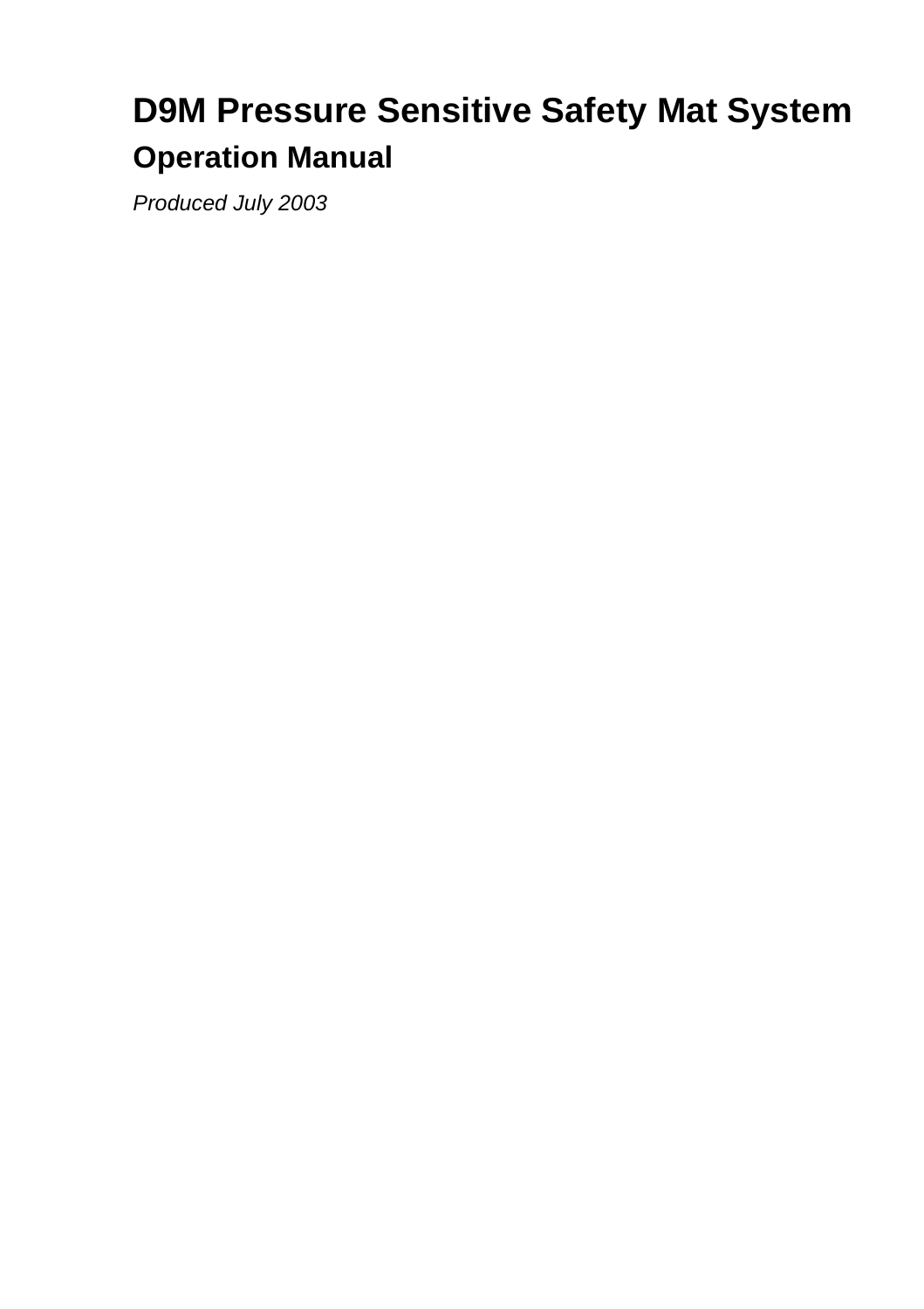# **D9M Pressure Sensitive Safety Mat System Operation Manual**

Produced July 2003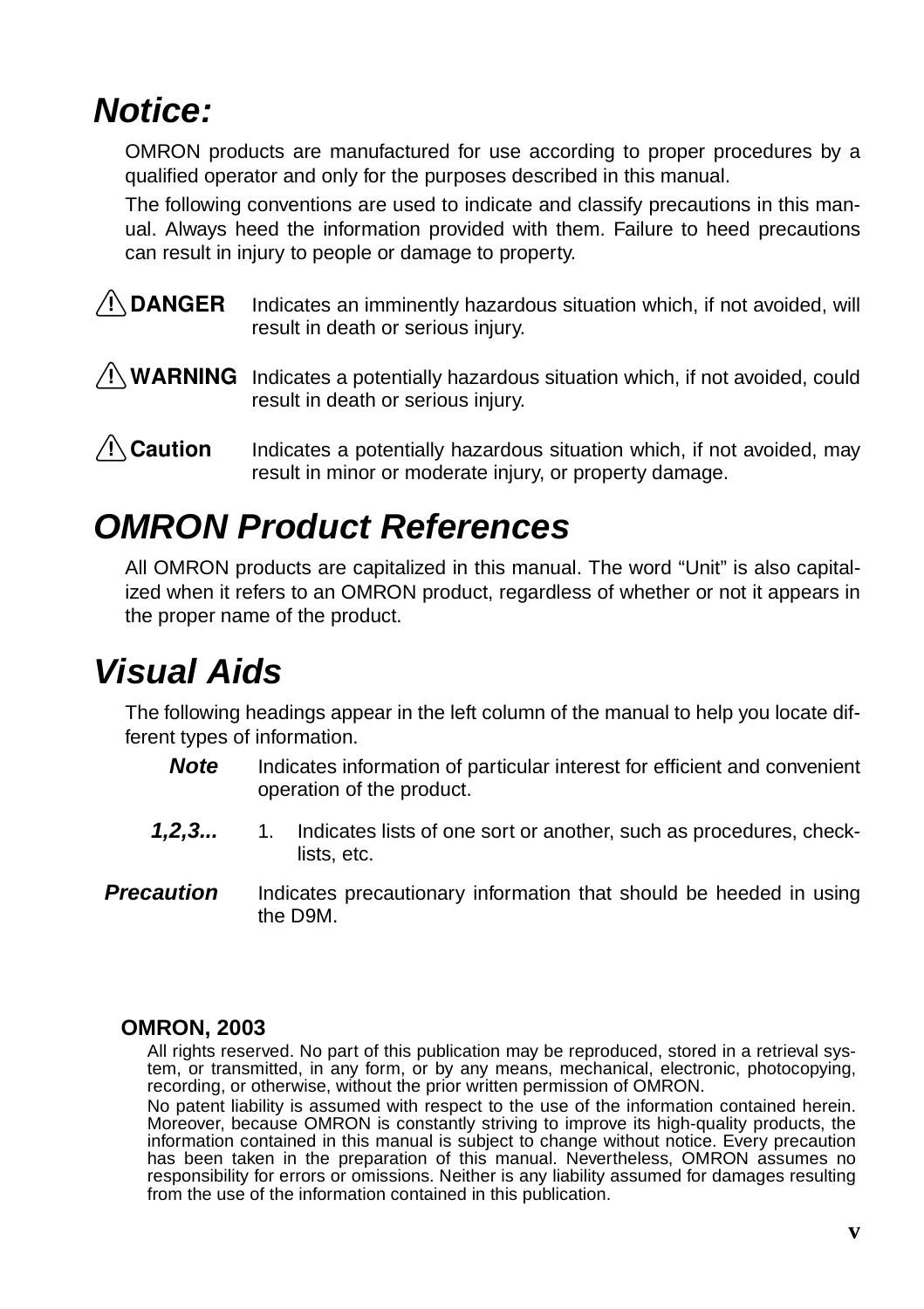# **Notice:**

OMRON products are manufactured for use according to proper procedures by a qualified operator and only for the purposes described in this manual.

The following conventions are used to indicate and classify precautions in this manual. Always heed the information provided with them. Failure to heed precautions can result in injury to people or damage to property.

#### $\hat{P}$  **DANGER** Indicates an imminently hazardous situation which, if not avoided, will result in death or serious injury.

 $\bigwedge$  WARNING Indicates a potentially hazardous situation which, if not avoided, could result in death or serious injury.

 $\bigwedge$  Caution Indicates a potentially hazardous situation which, if not avoided, may result in minor or moderate injury, or property damage.

# **OMRON Product References**

All OMRON products are capitalized in this manual. The word "Unit" is also capitalized when it refers to an OMRON product, regardless of whether or not it appears in the proper name of the product.

# **Visual Aids**

The following headings appear in the left column of the manual to help you locate different types of information.

- **Note** Indicates information of particular interest for efficient and convenient operation of the product.
- **1,2,3...** 1. Indicates lists of one sort or another, such as procedures, checklists, etc.
- **Precaution** Indicates precautionary information that should be heeded in using the D9M.

#### **OMRON, 2003**

All rights reserved. No part of this publication may be reproduced, stored in a retrieval system, or transmitted, in any form, or by any means, mechanical, electronic, photocopying, recording, or otherwise, without the prior written permission of OMRON.

No patent liability is assumed with respect to the use of the information contained herein. Moreover, because OMRON is constantly striving to improve its high-quality products, the information contained in this manual is subject to change without notice. Every precaution has been taken in the preparation of this manual. Nevertheless, OMRON assumes no responsibility for errors or omissions. Neither is any liability assumed for damages resulting from the use of the information contained in this publication.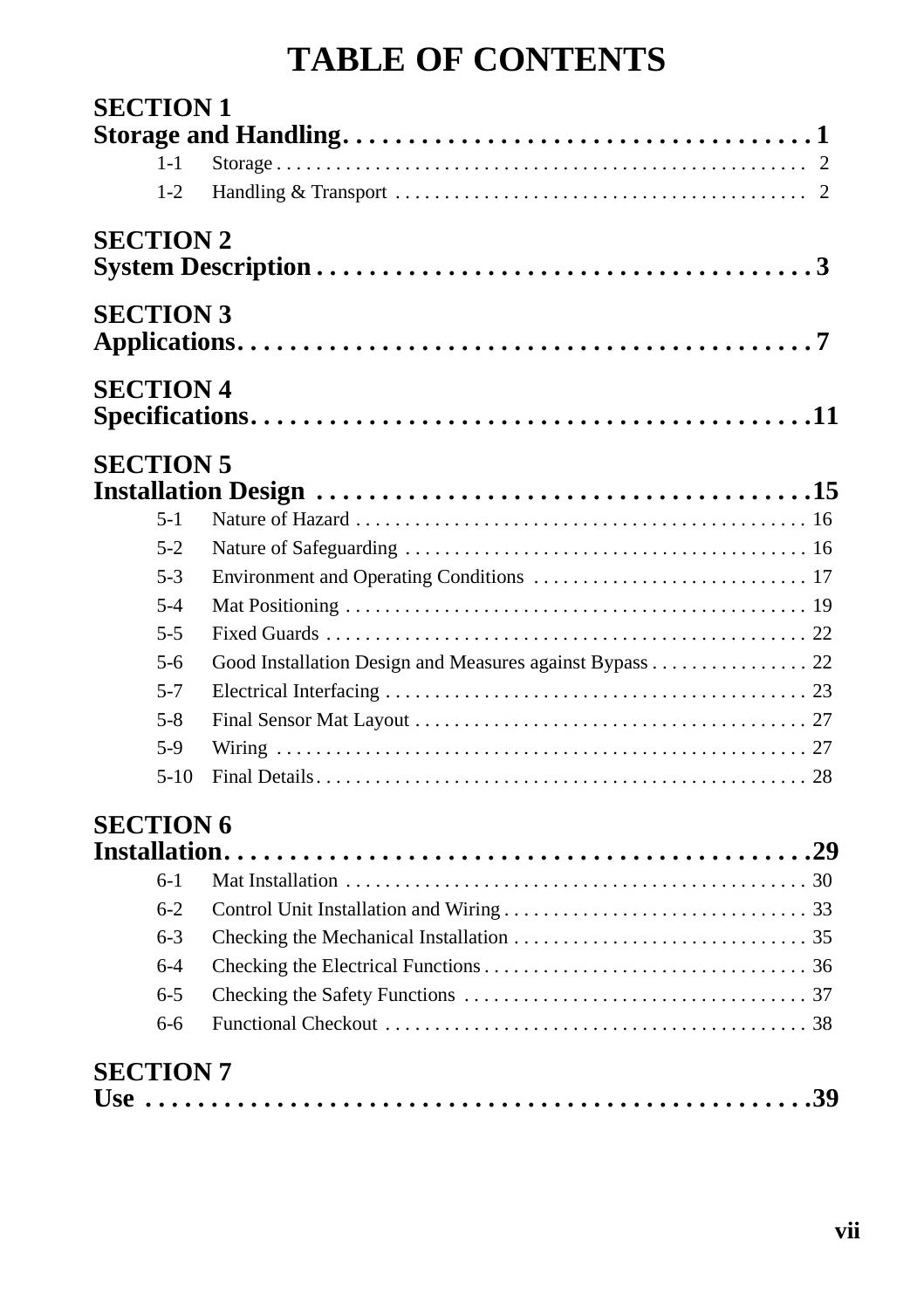# **TABLE OF CONTENTS**

| <b>SECTION 1</b>   |                                                         |
|--------------------|---------------------------------------------------------|
|                    |                                                         |
| $1 - 1$<br>$1 - 2$ |                                                         |
|                    |                                                         |
| <b>SECTION 2</b>   |                                                         |
| <b>SECTION 3</b>   |                                                         |
| <b>SECTION 4</b>   |                                                         |
| <b>SECTION 5</b>   |                                                         |
| $5 - 1$            |                                                         |
| $5-2$              |                                                         |
| $5-3$              |                                                         |
| $5 - 4$            |                                                         |
| $5 - 5$            |                                                         |
| $5-6$              | Good Installation Design and Measures against Bypass 22 |
| $5 - 7$            |                                                         |
| $5 - 8$            |                                                         |
| $5-9$              |                                                         |
| $5-10$             |                                                         |
| <b>SECTION 6</b>   |                                                         |
| $6-1$              |                                                         |
| $6-2$              |                                                         |
| $6 - 3$            |                                                         |
| $6 - 4$            |                                                         |
| $6 - 5$            |                                                         |
| 6-6                |                                                         |
| <b>SECTION 7</b>   |                                                         |
|                    |                                                         |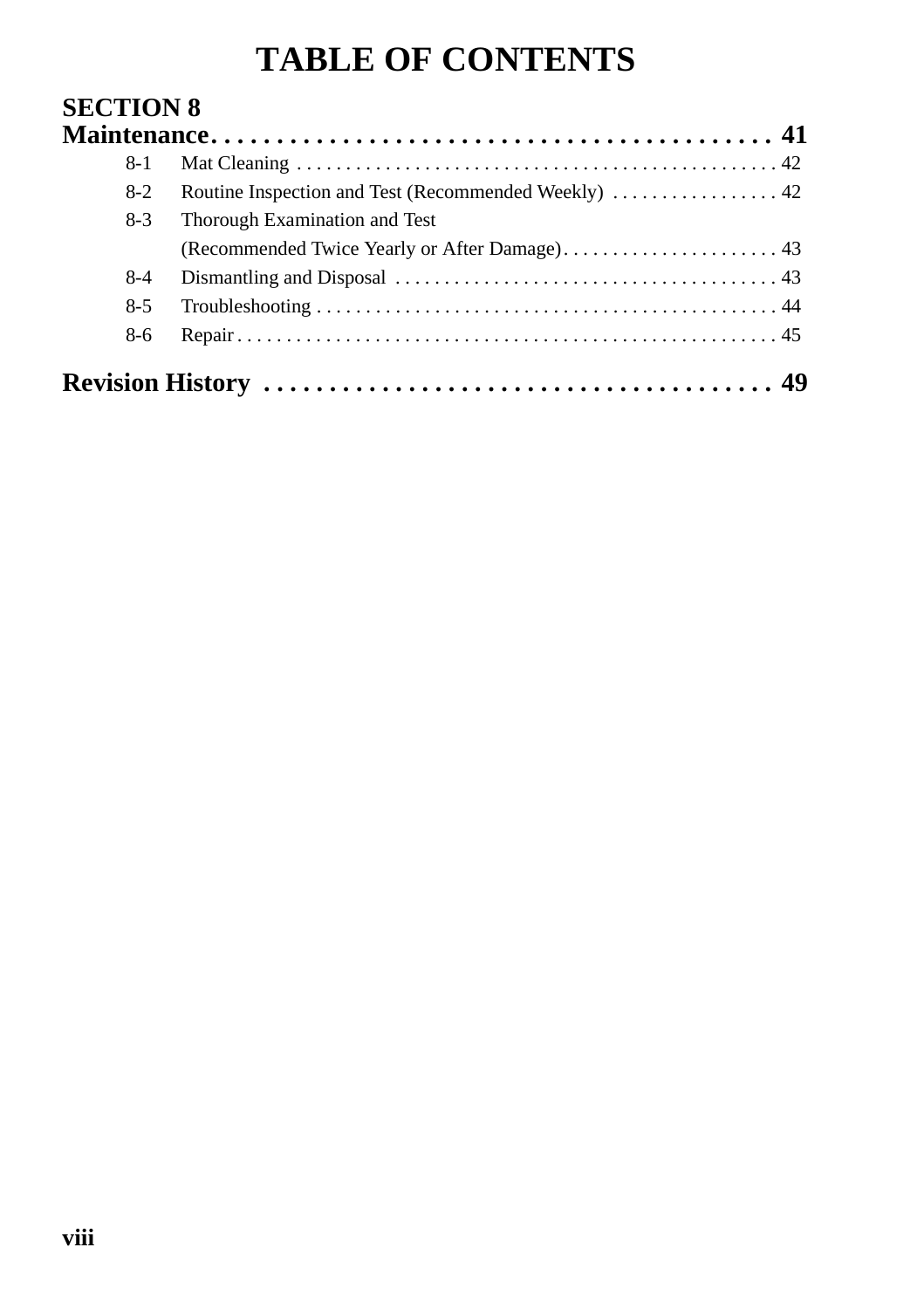# **TABLE OF CONTENTS**

| 8-1   |                                                      |
|-------|------------------------------------------------------|
| $8-2$ | Routine Inspection and Test (Recommended Weekly)  42 |
| $8-3$ | Thorough Examination and Test                        |
|       |                                                      |
| $8-4$ |                                                      |
| $8-5$ |                                                      |
| 8-6   |                                                      |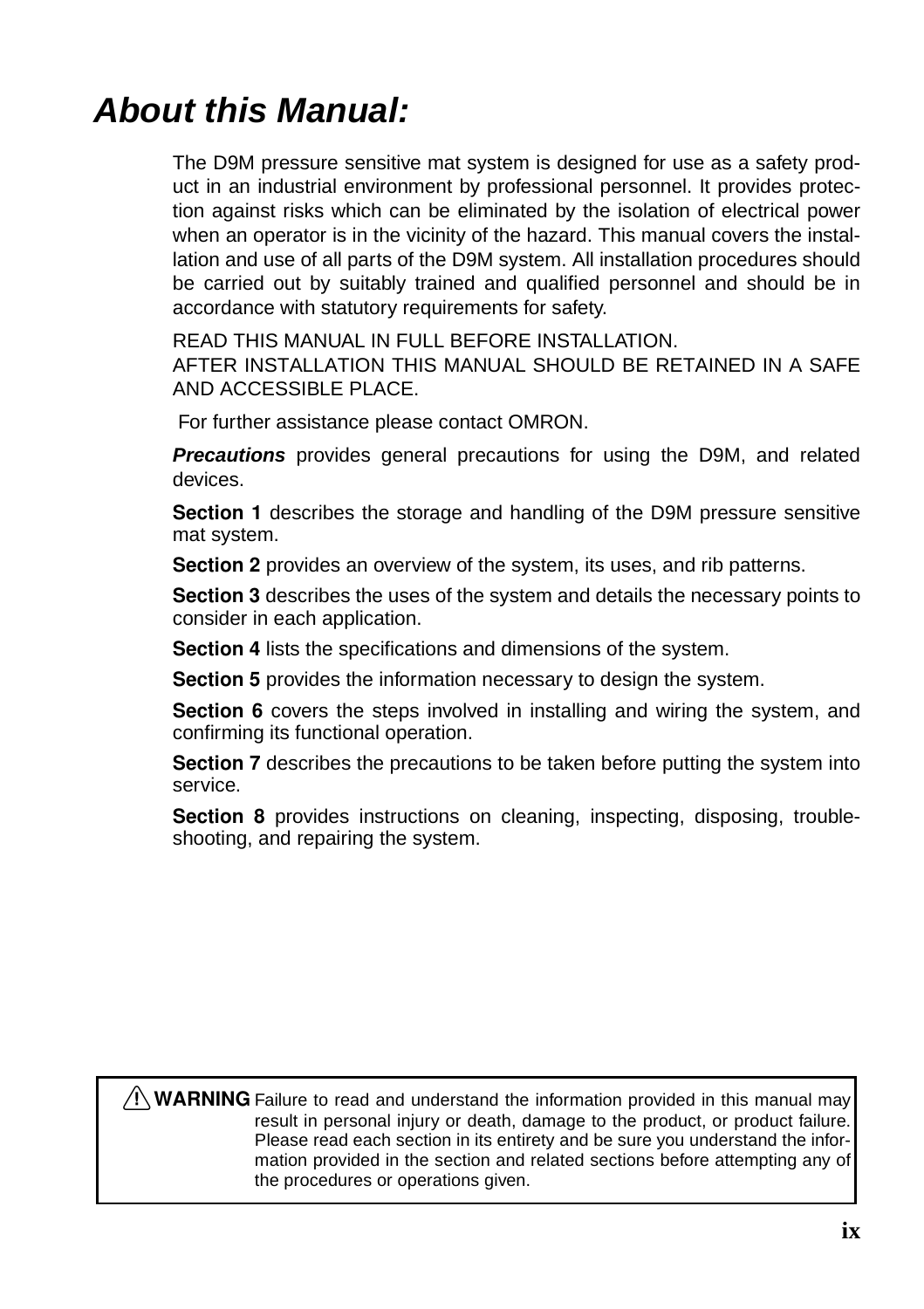# **About this Manual:**

The D9M pressure sensitive mat system is designed for use as a safety product in an industrial environment by professional personnel. It provides protection against risks which can be eliminated by the isolation of electrical power when an operator is in the vicinity of the hazard. This manual covers the installation and use of all parts of the D9M system. All installation procedures should be carried out by suitably trained and qualified personnel and should be in accordance with statutory requirements for safety.

READ THIS MANUAL IN FULL BEFORE INSTALLATION.

AFTER INSTALLATION THIS MANUAL SHOULD BE RETAINED IN A SAFE AND ACCESSIBLE PLACE.

For further assistance please contact OMRON.

**Precautions** provides general precautions for using the D9M, and related devices.

Section 1 describes the storage and handling of the D9M pressure sensitive mat system.

Section 2 provides an overview of the system, its uses, and rib patterns.

Section 3 describes the uses of the system and details the necessary points to consider in each application.

Section 4 lists the specifications and dimensions of the system.

Section 5 provides the information necessary to design the system.

Section 6 covers the steps involved in installing and wiring the system, and confirming its functional operation.

Section 7 describes the precautions to be taken before putting the system into service.

Section 8 provides instructions on cleaning, inspecting, disposing, troubleshooting, and repairing the system.

 $/$ ! WARNING Failure to read and understand the information provided in this manual may result in personal injury or death, damage to the product, or product failure. Please read each section in its entirety and be sure you understand the information provided in the section and related sections before attempting any of the procedures or operations given.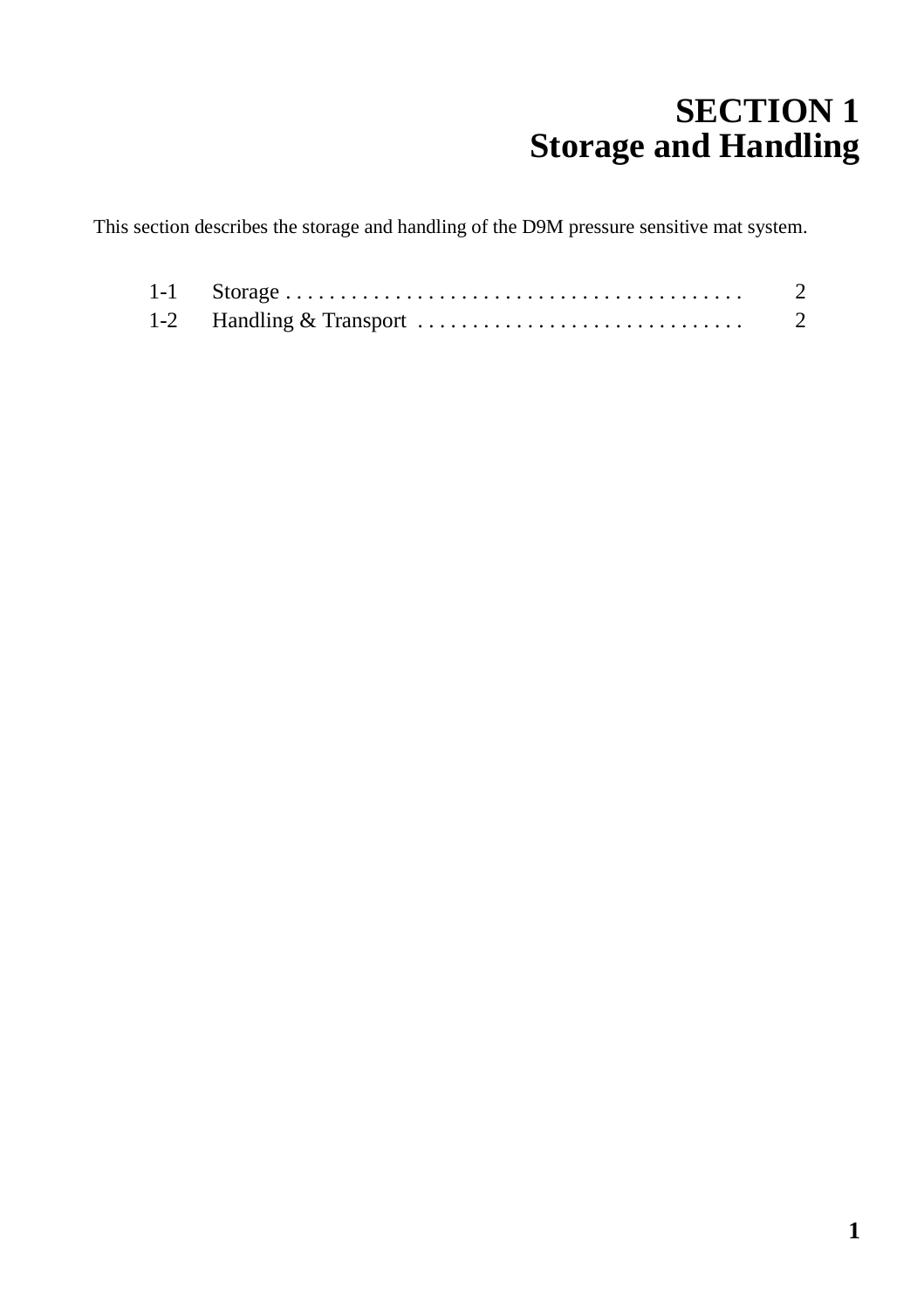# <span id="page-5-1"></span>**SECTION 1 Storage and Handling**

<span id="page-5-0"></span>This section describes the storage and handling of the D9M pressure sensitive mat system.

|  | -2 |
|--|----|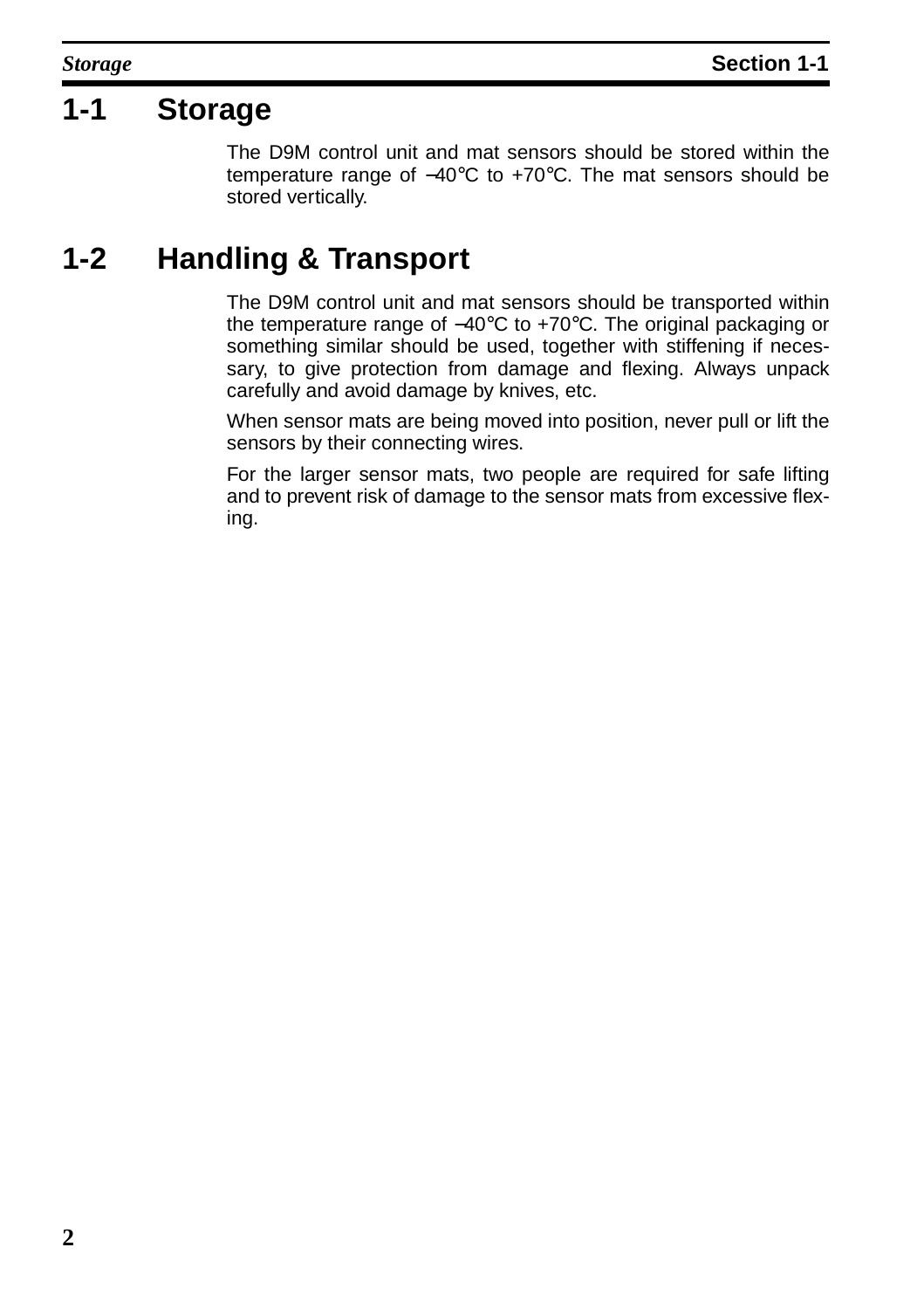### <span id="page-6-0"></span>**1-1 Storage**

The D9M control unit and mat sensors should be stored within the temperature range of −40°C to +70°C. The mat sensors should be stored vertically.

## <span id="page-6-1"></span>**1-2 Handling & Transport**

The D9M control unit and mat sensors should be transported within the temperature range of −40°C to +70°C. The original packaging or something similar should be used, together with stiffening if necessary, to give protection from damage and flexing. Always unpack carefully and avoid damage by knives, etc.

When sensor mats are being moved into position, never pull or lift the sensors by their connecting wires.

For the larger sensor mats, two people are required for safe lifting and to prevent risk of damage to the sensor mats from excessive flexing.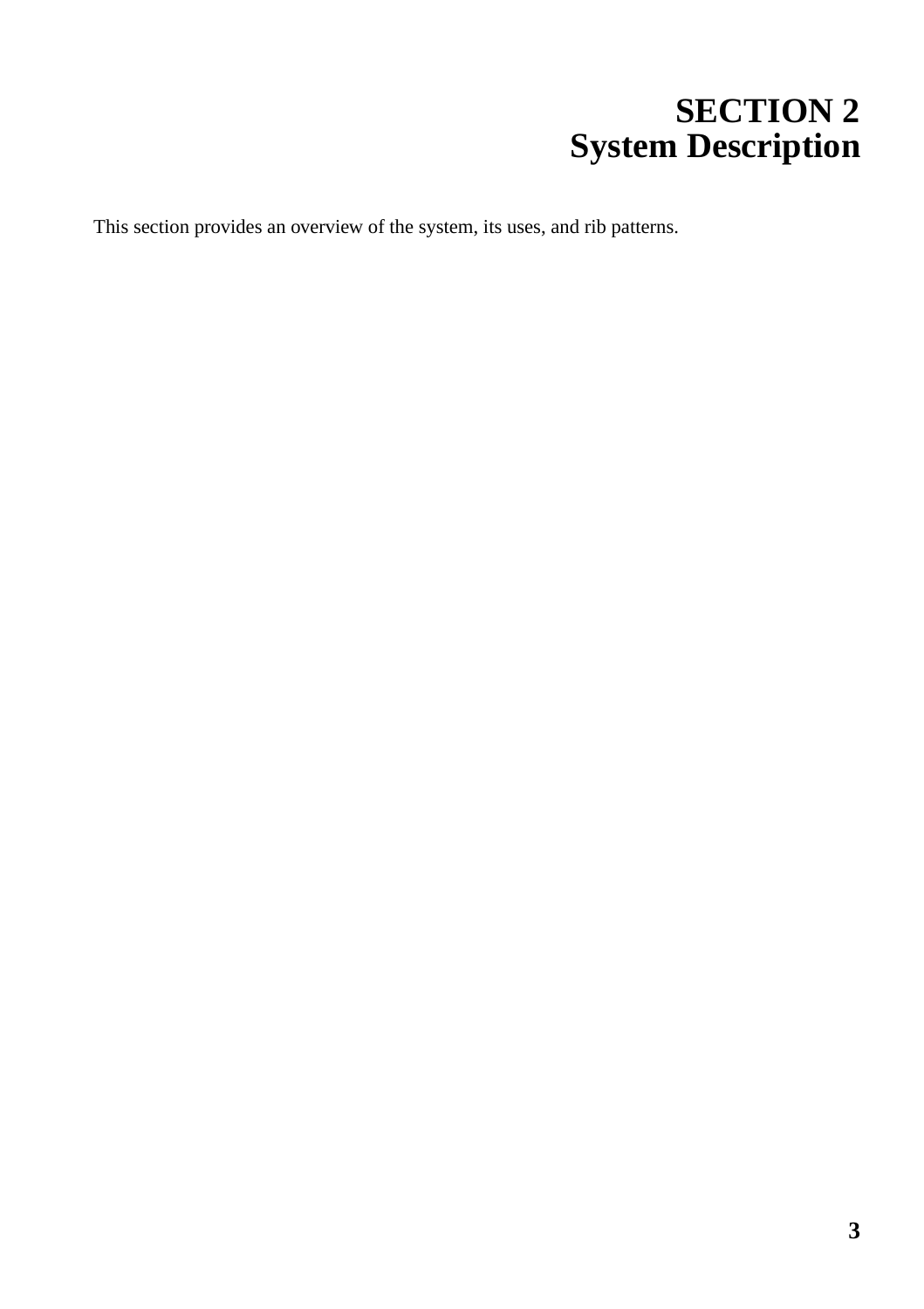# **SECTION 2 System Description**

<span id="page-7-0"></span>This section provides an overview of the system, its uses, and rib patterns.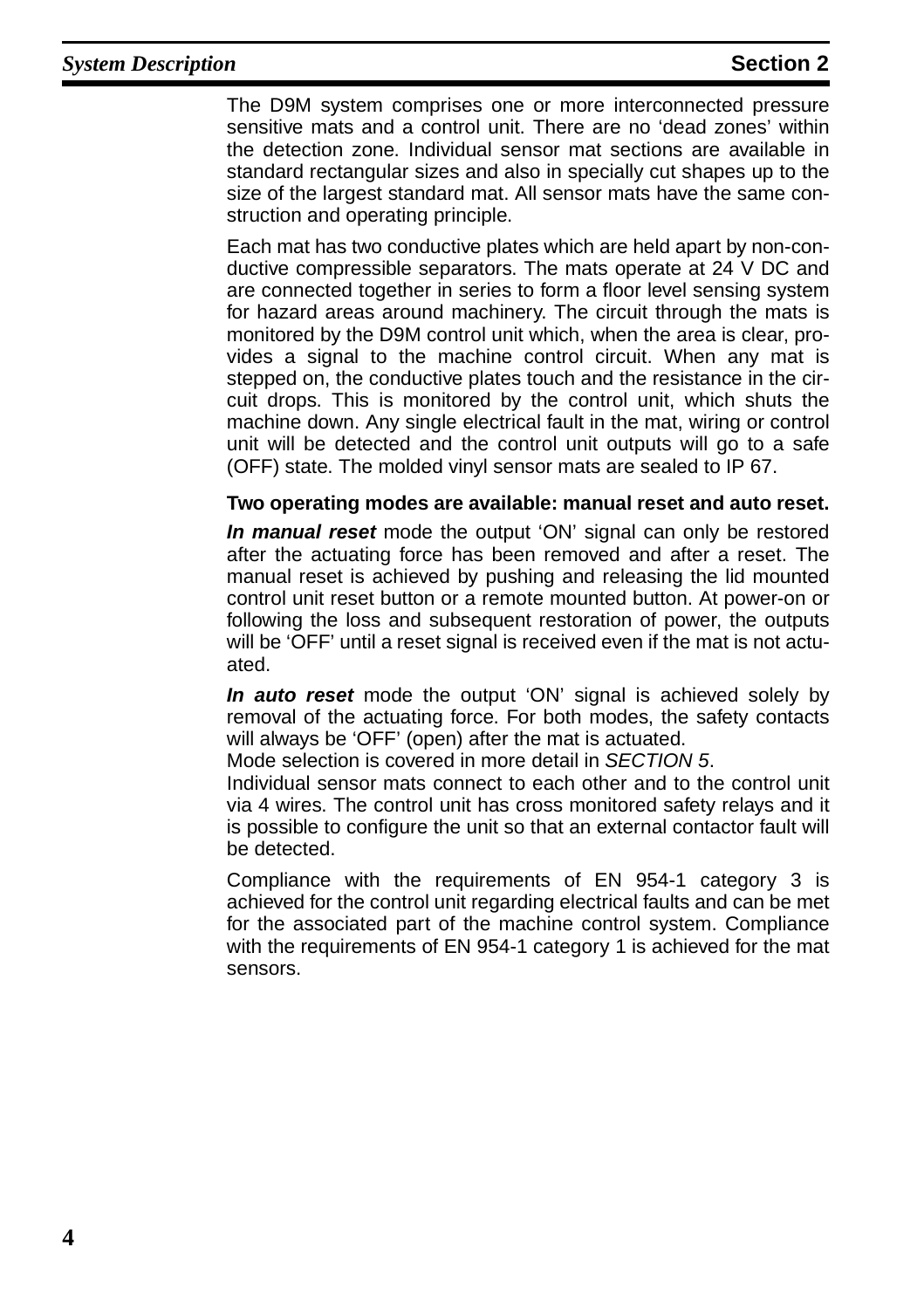The D9M system comprises one or more interconnected pressure sensitive mats and a control unit. There are no 'dead zones' within the detection zone. Individual sensor mat sections are available in standard rectangular sizes and also in specially cut shapes up to the size of the largest standard mat. All sensor mats have the same construction and operating principle.

Each mat has two conductive plates which are held apart by non-conductive compressible separators. The mats operate at 24 V DC and are connected together in series to form a floor level sensing system for hazard areas around machinery. The circuit through the mats is monitored by the D9M control unit which, when the area is clear, provides a signal to the machine control circuit. When any mat is stepped on, the conductive plates touch and the resistance in the circuit drops. This is monitored by the control unit, which shuts the machine down. Any single electrical fault in the mat, wiring or control unit will be detected and the control unit outputs will go to a safe (OFF) state. The molded vinyl sensor mats are sealed to IP 67.

#### **Two operating modes are available: manual reset and auto reset.**

**In manual reset** mode the output 'ON' signal can only be restored after the actuating force has been removed and after a reset. The manual reset is achieved by pushing and releasing the lid mounted control unit reset button or a remote mounted button. At power-on or following the loss and subsequent restoration of power, the outputs will be 'OFF' until a reset signal is received even if the mat is not actuated.

**In auto reset** mode the output 'ON' signal is achieved solely by removal of the actuating force. For both modes, the safety contacts will always be 'OFF' (open) after the mat is actuated.

Mode selection is covered in more detail in [SECTION 5](#page-18-1).

Individual sensor mats connect to each other and to the control unit via 4 wires. The control unit has cross monitored safety relays and it is possible to configure the unit so that an external contactor fault will be detected.

Compliance with the requirements of EN 954-1 category 3 is achieved for the control unit regarding electrical faults and can be met for the associated part of the machine control system. Compliance with the requirements of EN 954-1 category 1 is achieved for the mat sensors.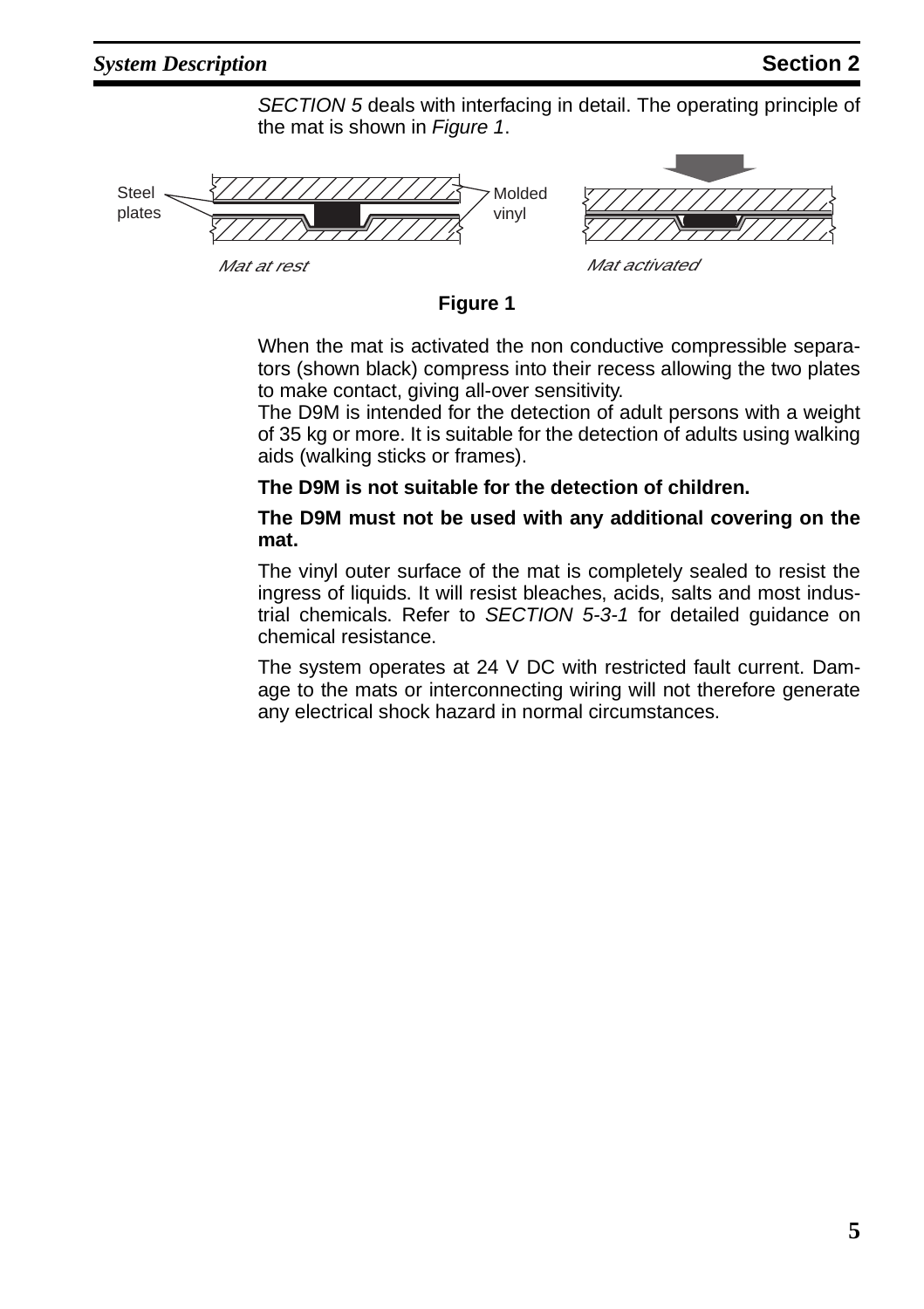[SECTION 5](#page-18-1) deals with interfacing in detail. The operating principle of the mat is shown in [Figure 1](#page-9-0).

> Molded vinyl

Steel plates

<span id="page-9-0"></span>



Mat at rest **Mat activated** 

#### **Figure 1**

When the mat is activated the non conductive compressible separators (shown black) compress into their recess allowing the two plates to make contact, giving all-over sensitivity.

The D9M is intended for the detection of adult persons with a weight of 35 kg or more. It is suitable for the detection of adults using walking aids (walking sticks or frames).

#### **The D9M is not suitable for the detection of children.**

#### **The D9M must not be used with any additional covering on the mat.**

The vinyl outer surface of the mat is completely sealed to resist the ingress of liquids. It will resist bleaches, acids, salts and most industrial chemicals. Refer to SECTION [5-3-1](#page-20-1) for detailed guidance on chemical resistance.

The system operates at 24 V DC with restricted fault current. Damage to the mats or interconnecting wiring will not therefore generate any electrical shock hazard in normal circumstances.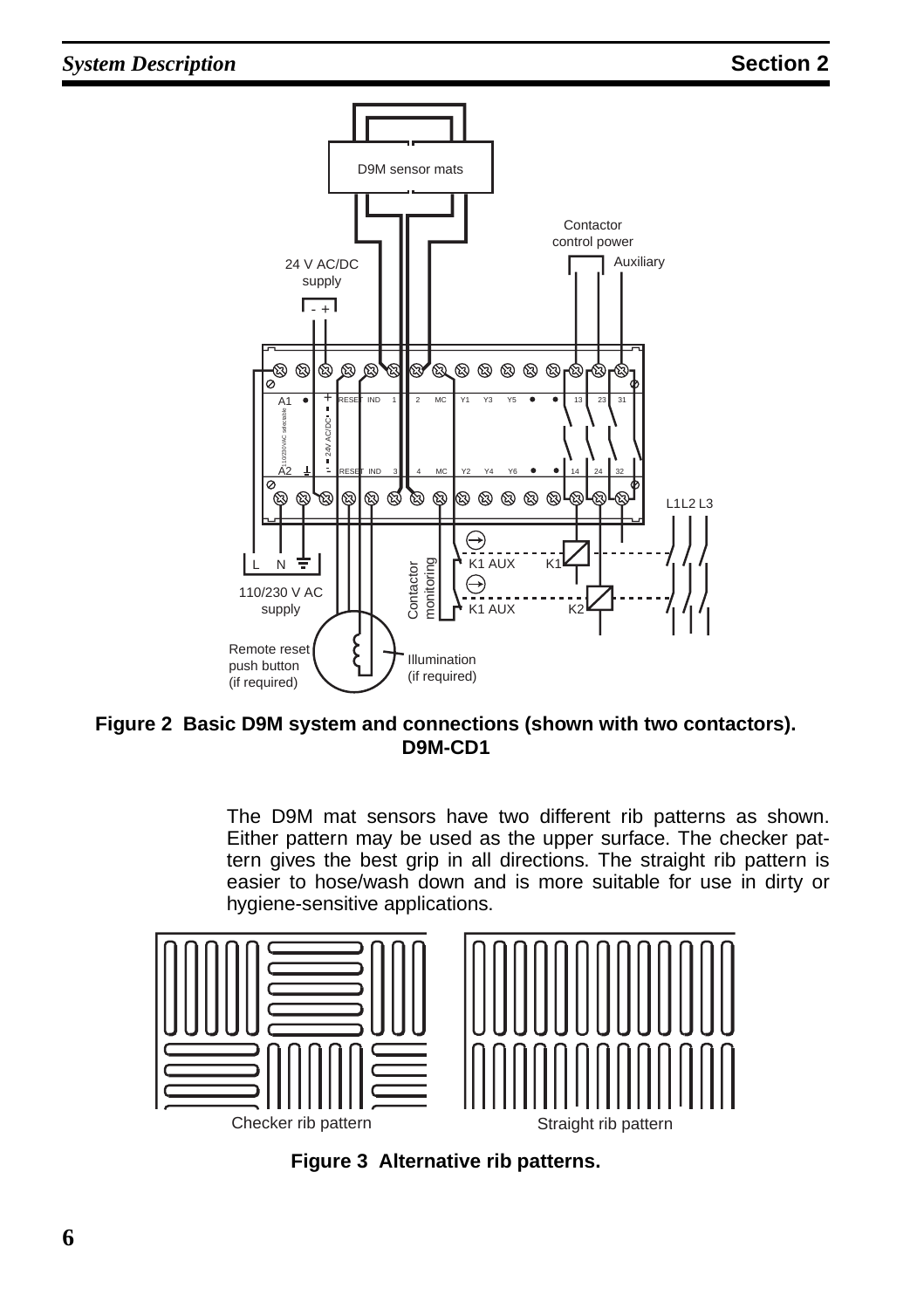

#### **Figure 2 Basic D9M system and connections (shown with two contactors). D9M-CD1**

The D9M mat sensors have two different rib patterns as shown. Either pattern may be used as the upper surface. The checker pattern gives the best grip in all directions. The straight rib pattern is easier to hose/wash down and is more suitable for use in dirty or hygiene-sensitive applications.



**Figure 3 Alternative rib patterns.**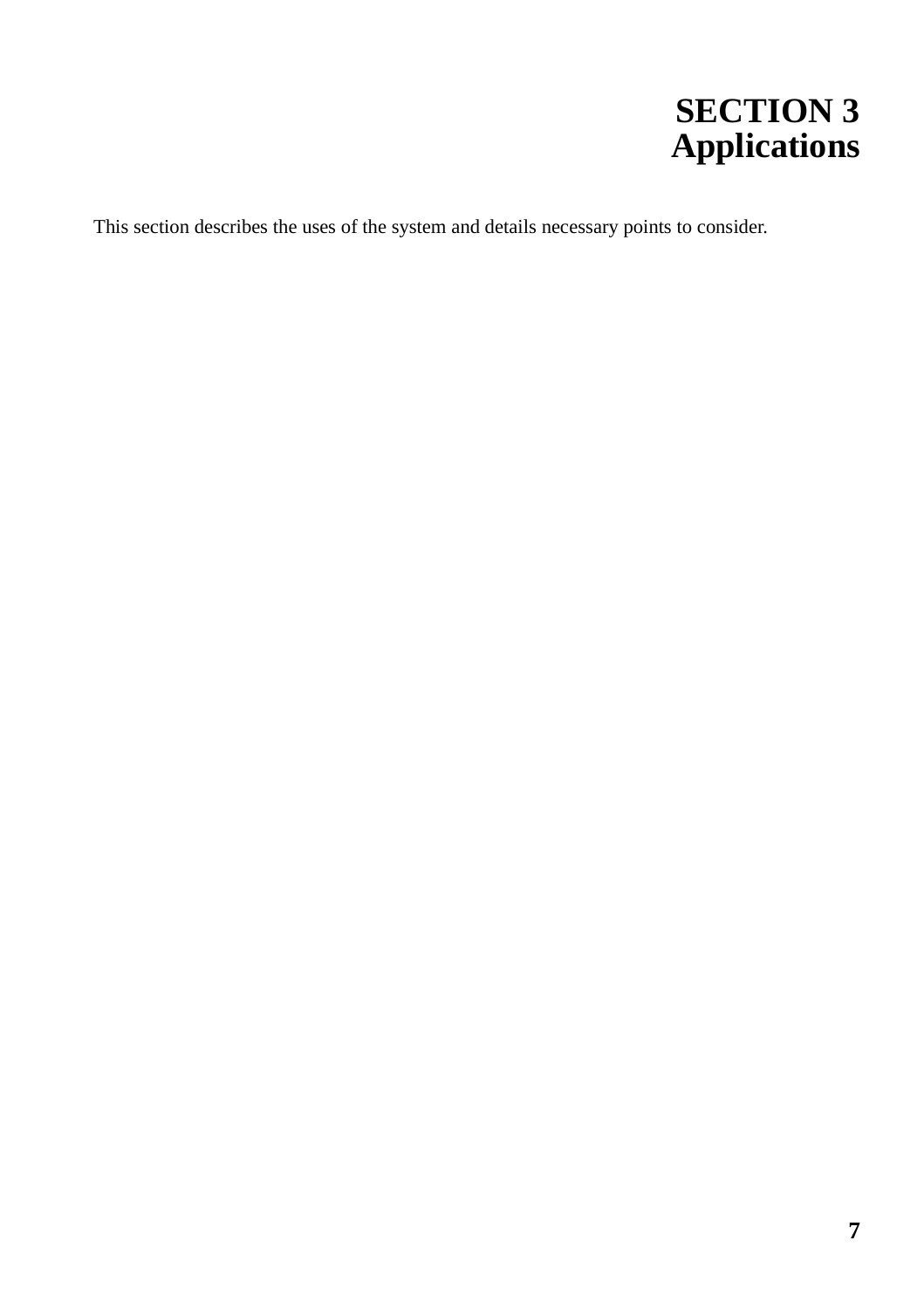# **SECTION 3 Applications**

<span id="page-11-0"></span>This section describes the uses of the system and details necessary points to consider.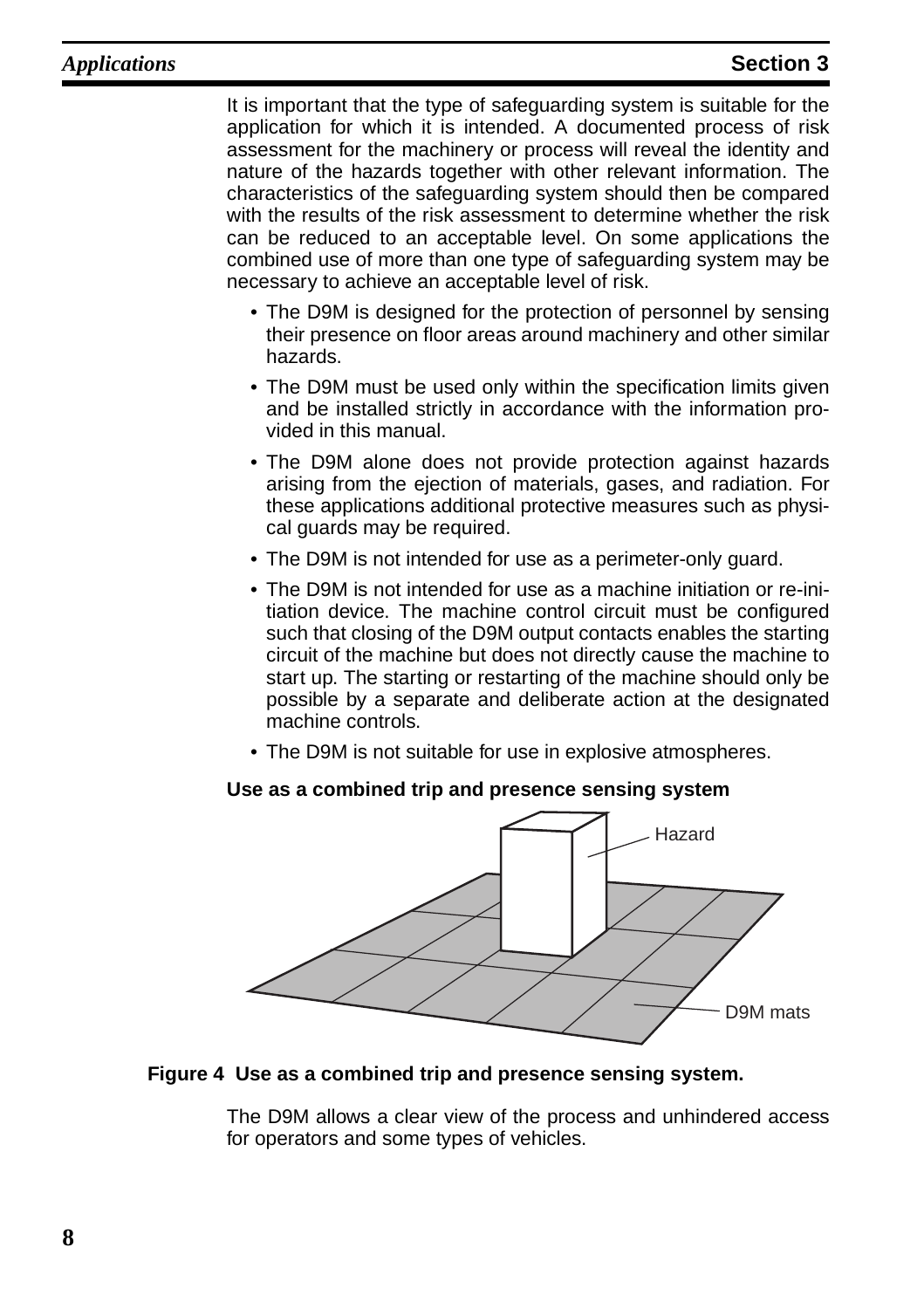It is important that the type of safeguarding system is suitable for the application for which it is intended. A documented process of risk assessment for the machinery or process will reveal the identity and nature of the hazards together with other relevant information. The characteristics of the safeguarding system should then be compared with the results of the risk assessment to determine whether the risk can be reduced to an acceptable level. On some applications the combined use of more than one type of safeguarding system may be necessary to achieve an acceptable level of risk.

- The D9M is designed for the protection of personnel by sensing their presence on floor areas around machinery and other similar hazards.
- The D9M must be used only within the specification limits given and be installed strictly in accordance with the information provided in this manual.
- The D9M alone does not provide protection against hazards arising from the ejection of materials, gases, and radiation. For these applications additional protective measures such as physical guards may be required.
- The D9M is not intended for use as a perimeter-only guard.
- The D9M is not intended for use as a machine initiation or re-initiation device. The machine control circuit must be configured such that closing of the D9M output contacts enables the starting circuit of the machine but does not directly cause the machine to start up. The starting or restarting of the machine should only be possible by a separate and deliberate action at the designated machine controls.
- The D9M is not suitable for use in explosive atmospheres.

#### **Use as a combined trip and presence sensing system**



#### **Figure 4 Use as a combined trip and presence sensing system.**

The D9M allows a clear view of the process and unhindered access for operators and some types of vehicles.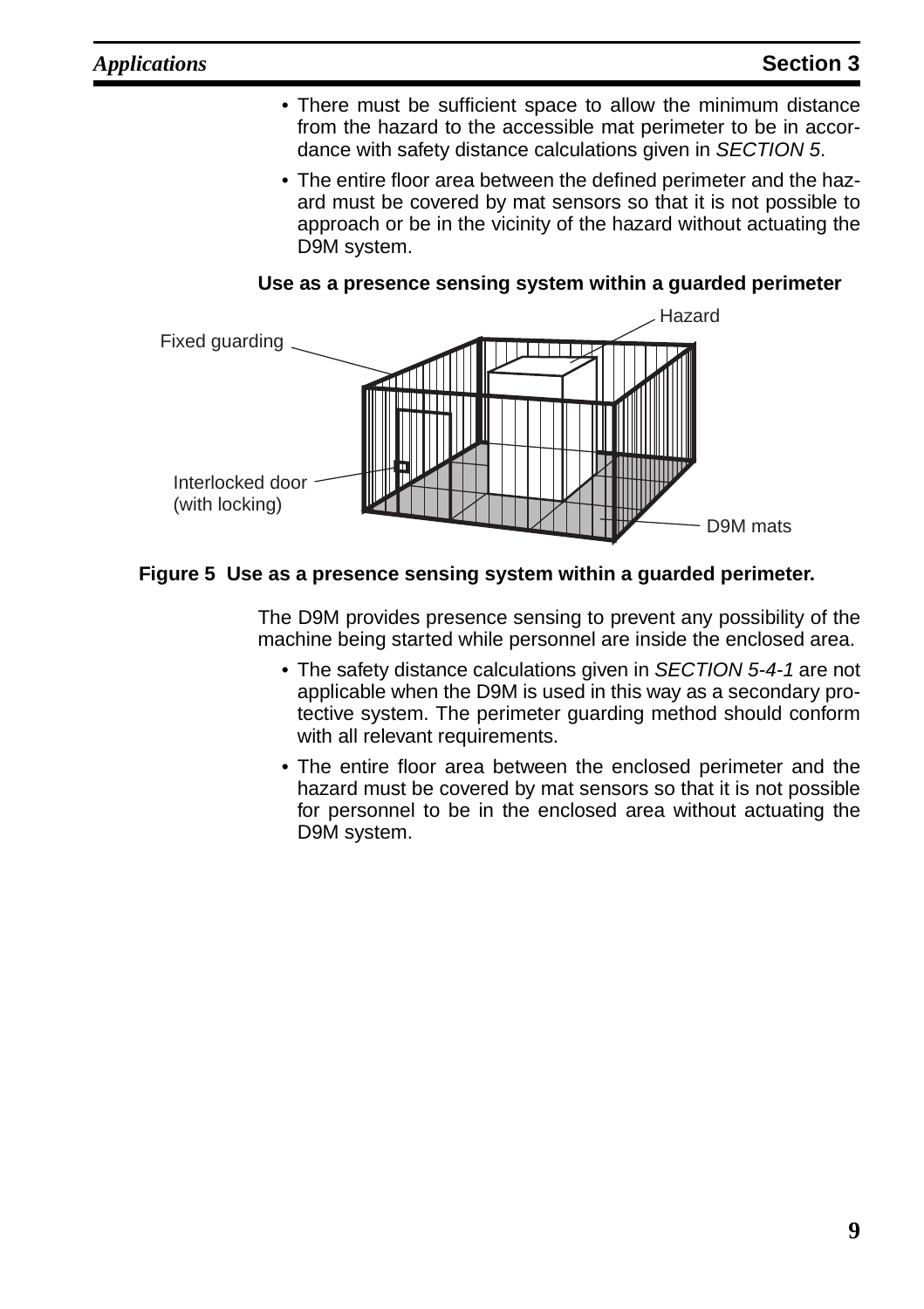- There must be sufficient space to allow the minimum distance from the hazard to the accessible mat perimeter to be in accordance with safety distance calculations given in [SECTION 5](#page-18-1).
- The entire floor area between the defined perimeter and the hazard must be covered by mat sensors so that it is not possible to approach or be in the vicinity of the hazard without actuating the D9M system.



**Use as a presence sensing system within a guarded perimeter**

#### **Figure 5 Use as a presence sensing system within a guarded perimeter.**

The D9M provides presence sensing to prevent any possibility of the machine being started while personnel are inside the enclosed area.

- The safety distance calculations given in SECTION [5-4-1](#page-22-1) are not applicable when the D9M is used in this way as a secondary protective system. The perimeter guarding method should conform with all relevant requirements.
- The entire floor area between the enclosed perimeter and the hazard must be covered by mat sensors so that it is not possible for personnel to be in the enclosed area without actuating the D9M system.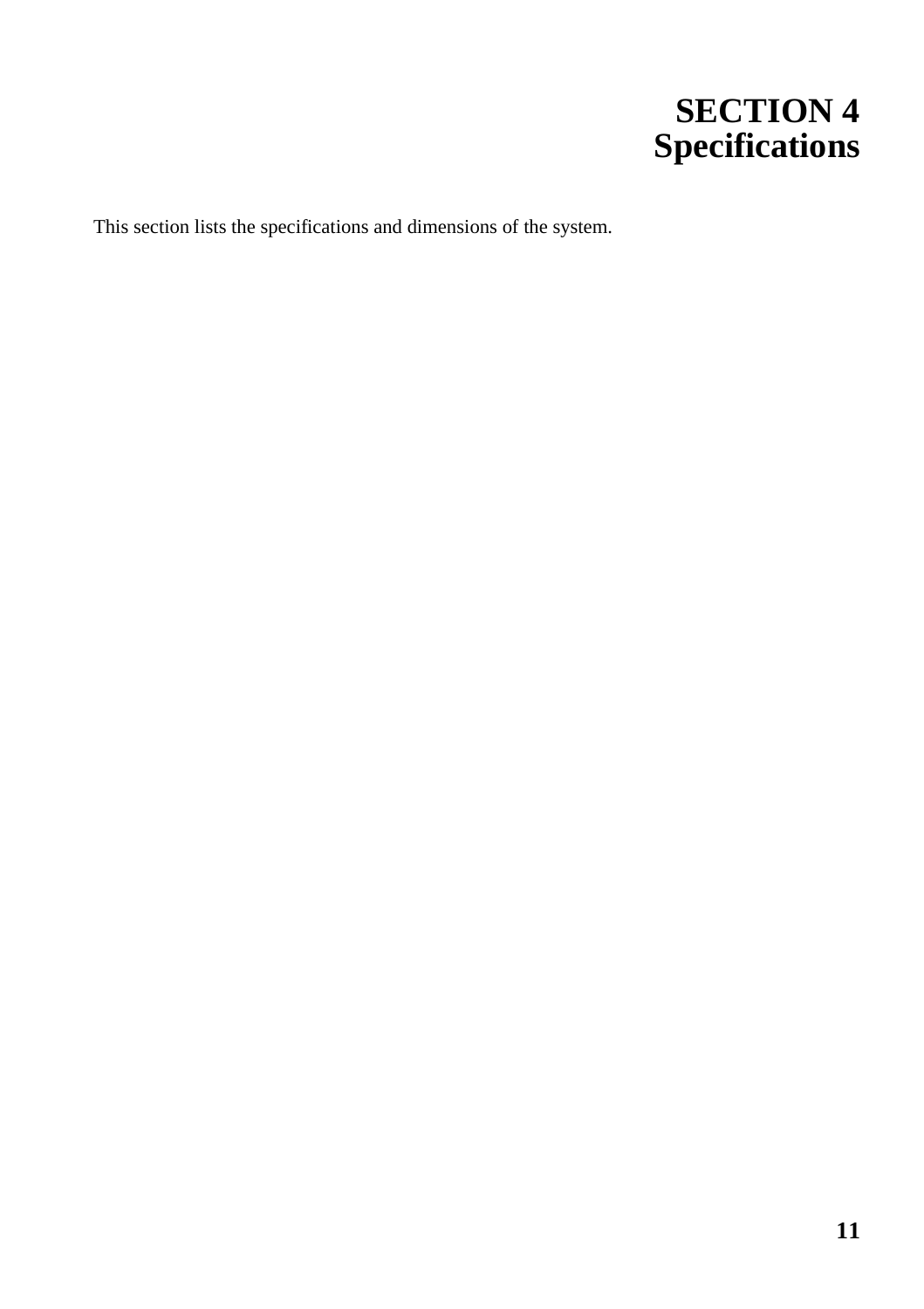# <span id="page-14-1"></span>**SECTION 4 Specifications**

<span id="page-14-0"></span>This section lists the specifications and dimensions of the system.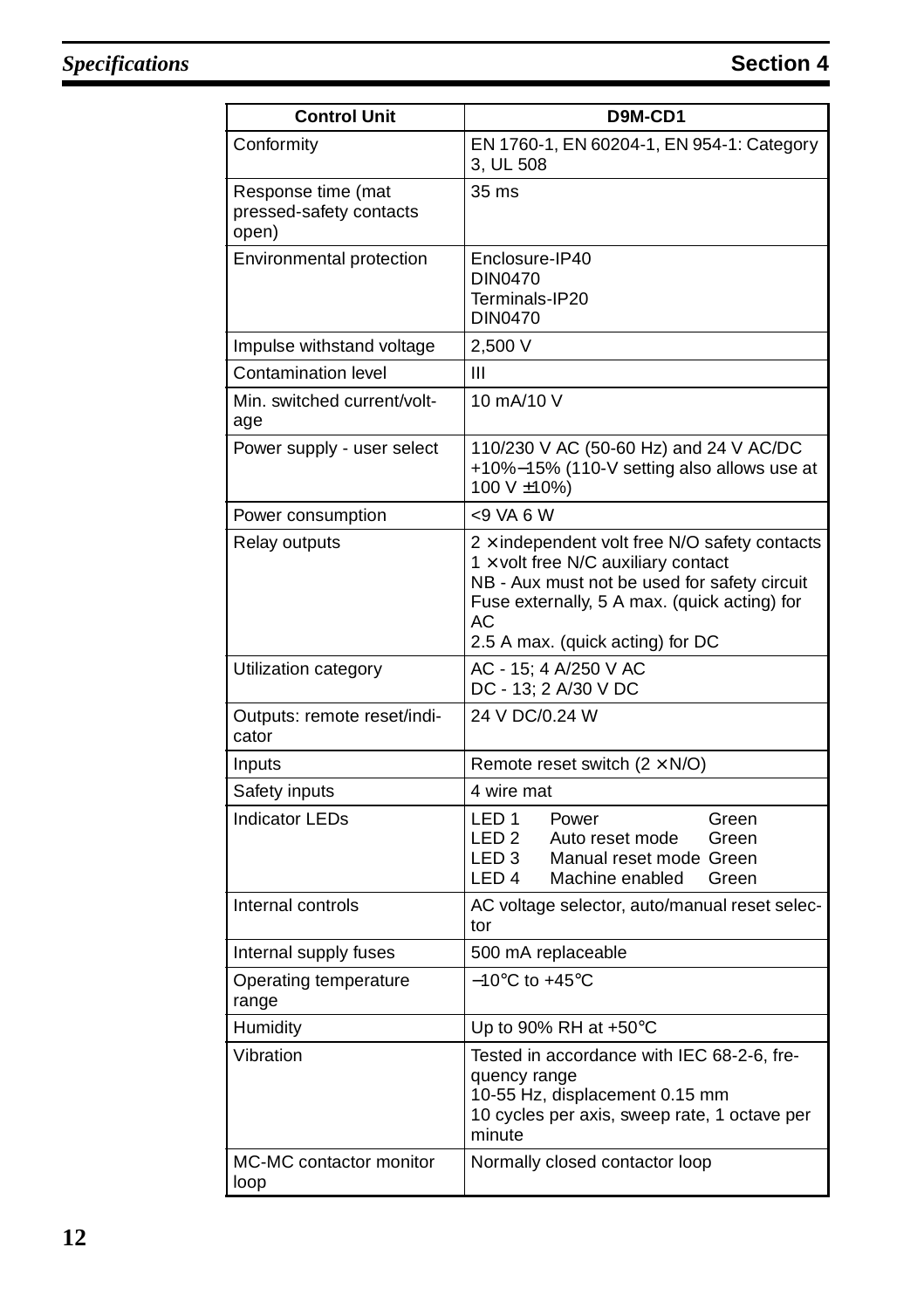### **Specifications Section 4**

| <b>Control Unit</b>                                    | D9M-CD1                                                                                                                                                                                                                                      |  |
|--------------------------------------------------------|----------------------------------------------------------------------------------------------------------------------------------------------------------------------------------------------------------------------------------------------|--|
| Conformity                                             | EN 1760-1, EN 60204-1, EN 954-1: Category<br>3, UL 508                                                                                                                                                                                       |  |
| Response time (mat<br>pressed-safety contacts<br>open) | 35 ms                                                                                                                                                                                                                                        |  |
| Environmental protection                               | Enclosure-IP40<br>DIN0470<br>Terminals-IP20<br>DIN0470                                                                                                                                                                                       |  |
| Impulse withstand voltage                              | 2,500 V                                                                                                                                                                                                                                      |  |
| <b>Contamination level</b>                             | Ш                                                                                                                                                                                                                                            |  |
| Min. switched current/volt-<br>age                     | 10 mA/10 V                                                                                                                                                                                                                                   |  |
| Power supply - user select                             | 110/230 V AC (50-60 Hz) and 24 V AC/DC<br>+10%-15% (110-V setting also allows use at<br>100 V ±10%)                                                                                                                                          |  |
| Power consumption                                      | $< 9$ VA 6 W                                                                                                                                                                                                                                 |  |
| Relay outputs                                          | $2 \times$ independent volt free N/O safety contacts<br>$1 \times$ volt free N/C auxiliary contact<br>NB - Aux must not be used for safety circuit<br>Fuse externally, 5 A max. (quick acting) for<br>АC<br>2.5 A max. (quick acting) for DC |  |
| Utilization category                                   | AC - 15; 4 A/250 V AC<br>DC - 13: 2 A/30 V DC                                                                                                                                                                                                |  |
| Outputs: remote reset/indi-<br>cator                   | 24 V DC/0.24 W                                                                                                                                                                                                                               |  |
| Inputs                                                 | Remote reset switch $(2 \times N/O)$                                                                                                                                                                                                         |  |
| Safety inputs                                          | 4 wire mat                                                                                                                                                                                                                                   |  |
| <b>Indicator LEDs</b>                                  | LED <sub>1</sub><br>Power<br>Green<br>LED <sub>2</sub><br>Auto reset mode<br>Green<br>LED <sub>3</sub><br>Manual reset mode Green<br>LED <sub>4</sub><br>Machine enabled<br>Green                                                            |  |
| Internal controls                                      | AC voltage selector, auto/manual reset selec-<br>tor                                                                                                                                                                                         |  |
| Internal supply fuses                                  | 500 mA replaceable                                                                                                                                                                                                                           |  |
| Operating temperature<br>range                         | $-10^{\circ}$ C to +45 $^{\circ}$ C                                                                                                                                                                                                          |  |
| Humidity                                               | Up to 90% RH at $+50^{\circ}$ C                                                                                                                                                                                                              |  |
| Vibration                                              | Tested in accordance with IEC 68-2-6, fre-<br>quency range<br>10-55 Hz, displacement 0.15 mm<br>10 cycles per axis, sweep rate, 1 octave per<br>minute                                                                                       |  |
| MC-MC contactor monitor<br>loop                        | Normally closed contactor loop                                                                                                                                                                                                               |  |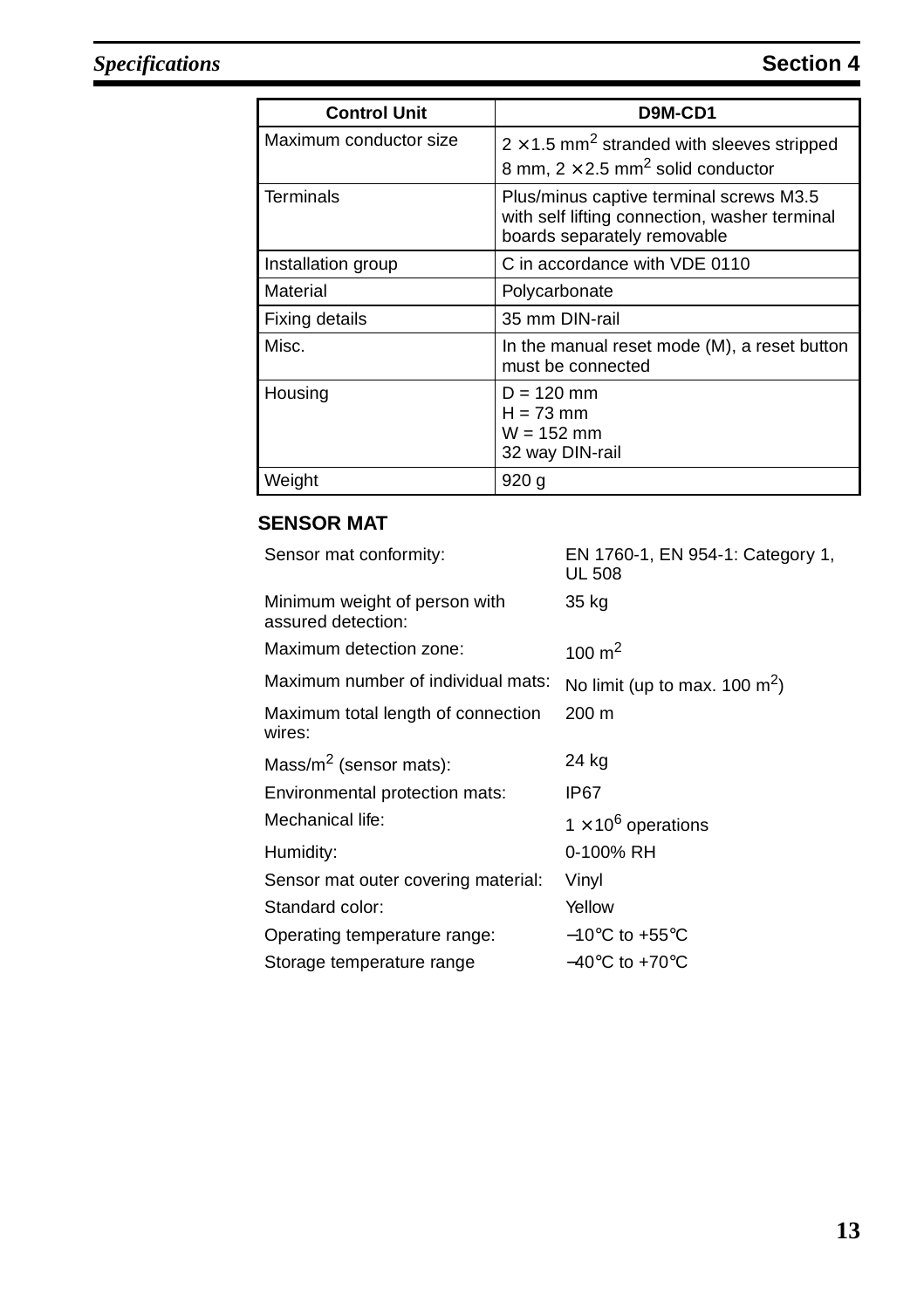| <b>Control Unit</b>    | D9M-CD1                                                                                                                 |  |
|------------------------|-------------------------------------------------------------------------------------------------------------------------|--|
| Maximum conductor size | $2 \times 1.5$ mm <sup>2</sup> stranded with sleeves stripped<br>8 mm, $2 \times 2.5$ mm <sup>2</sup> solid conductor   |  |
| <b>Terminals</b>       | Plus/minus captive terminal screws M3.5<br>with self lifting connection, washer terminal<br>boards separately removable |  |
| Installation group     | C in accordance with VDE 0110                                                                                           |  |
| Material               | Polycarbonate                                                                                                           |  |
| Fixing details         | 35 mm DIN-rail                                                                                                          |  |
| Misc.                  | In the manual reset mode (M), a reset button<br>must be connected                                                       |  |
| Housing                | D = 120 mm<br>$H = 73$ mm<br>$W = 152$ mm<br>32 way DIN-rail                                                            |  |
| Weight                 | 920 g                                                                                                                   |  |

### **SENSOR MAT**

| Sensor mat conformity:                              | EN 1760-1, EN 954-1: Category 1,<br>UL 508 |
|-----------------------------------------------------|--------------------------------------------|
| Minimum weight of person with<br>assured detection: | 35 kg                                      |
| Maximum detection zone:                             | 100 $m2$                                   |
| Maximum number of individual mats:                  | No limit (up to max. 100 $m^2$ )           |
| Maximum total length of connection<br>wires:        | 200 m                                      |
| Mass/ $m^2$ (sensor mats):                          | 24 kg                                      |
| Environmental protection mats:                      | IP67                                       |
| Mechanical life:                                    | $1 \times 10^6$ operations                 |
| Humidity:                                           | 0-100% RH                                  |
| Sensor mat outer covering material:                 | Vinyl                                      |
| Standard color:                                     | Yellow                                     |
| Operating temperature range:                        | $-10^{\circ}$ C to +55 $^{\circ}$ C        |
| Storage temperature range                           | $-40^{\circ}$ C to $+70^{\circ}$ C         |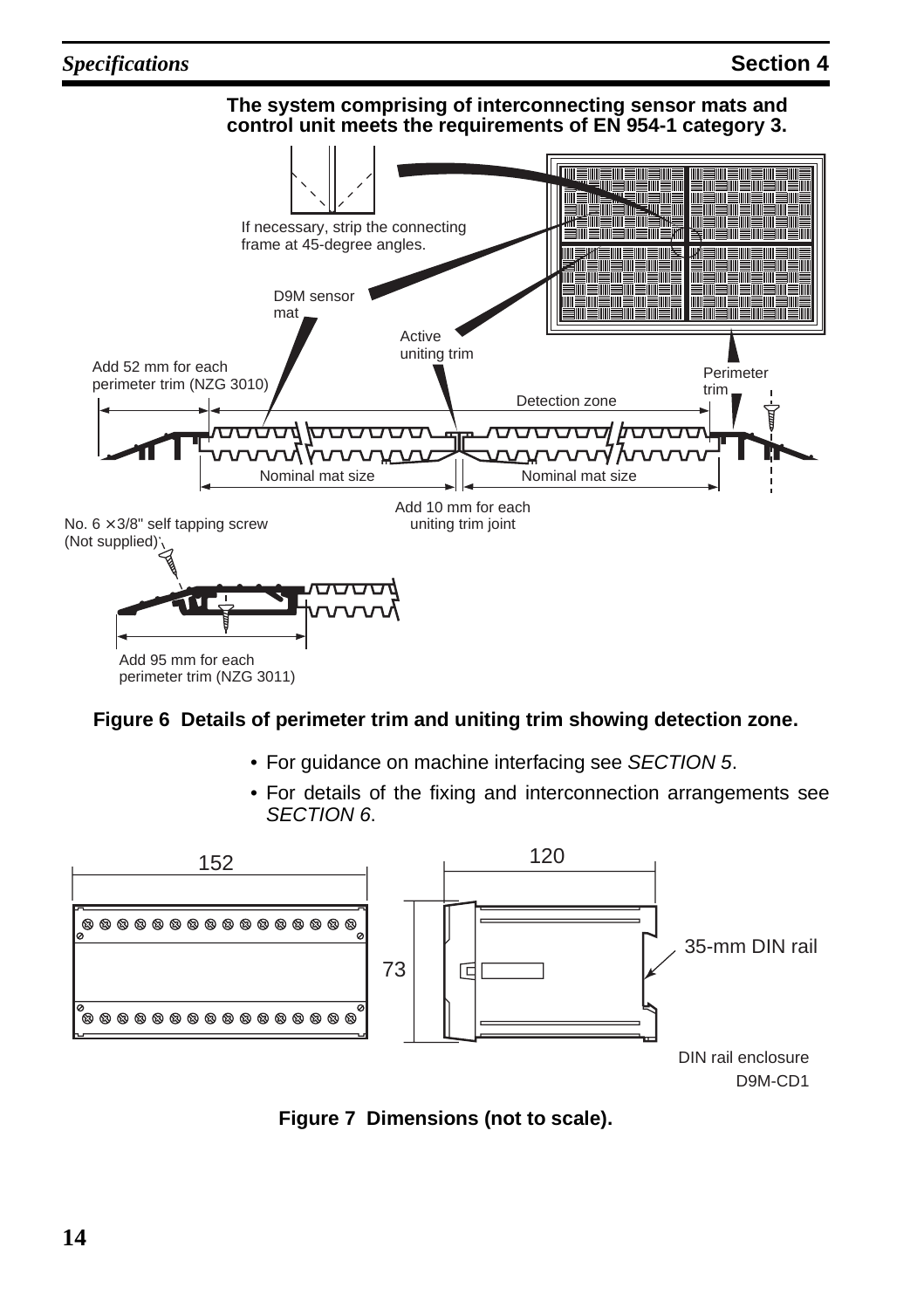#### *Specifications* **Section 4**



#### <span id="page-17-1"></span>**Figure 6 Details of perimeter trim and uniting trim showing detection zone.**

- For guidance on machine interfacing see [SECTION 5](#page-18-1).
- For details of the fixing and interconnection arrangements see [SECTION 6](#page-32-1).



<span id="page-17-0"></span>**Figure 7 Dimensions (not to scale).**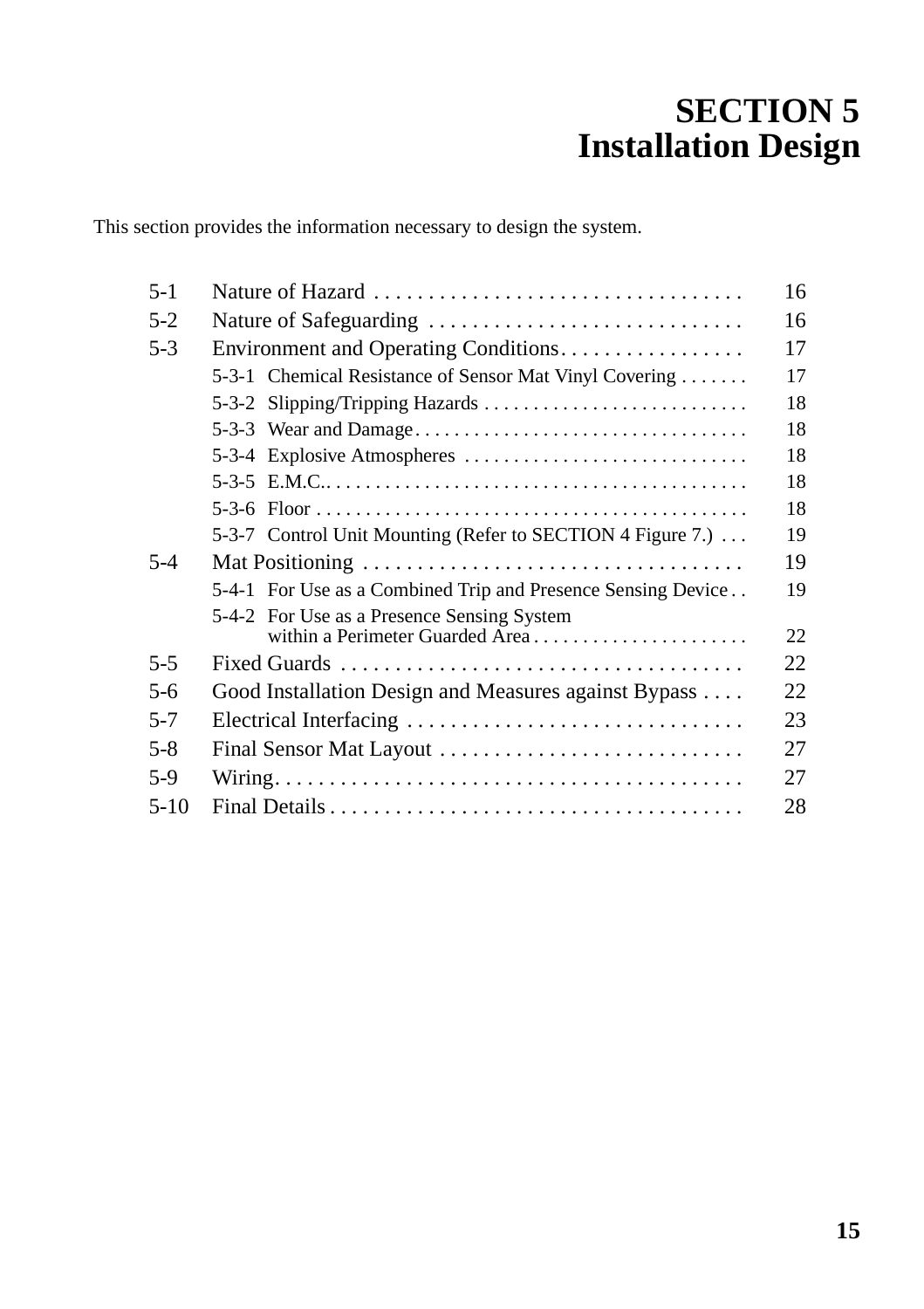# <span id="page-18-1"></span>**SECTION 5 Installation Design**

<span id="page-18-0"></span>This section provides the information necessary to design the system.

| $5 - 1$ |                                                              | 16 |
|---------|--------------------------------------------------------------|----|
| $5-2$   | Nature of Safeguarding                                       | 16 |
| $5-3$   | Environment and Operating Conditions                         | 17 |
|         | 5-3-1 Chemical Resistance of Sensor Mat Vinyl Covering       | 17 |
|         | 5-3-2 Slipping/Tripping Hazards                              | 18 |
|         |                                                              | 18 |
|         |                                                              | 18 |
|         |                                                              | 18 |
|         |                                                              | 18 |
|         | 5-3-7 Control Unit Mounting (Refer to SECTION 4 Figure 7.)   | 19 |
| $5-4$   |                                                              | 19 |
|         | 5-4-1 For Use as a Combined Trip and Presence Sensing Device | 19 |
|         | 5-4-2 For Use as a Presence Sensing System                   |    |
|         | within a Perimeter Guarded Area                              | 22 |
| $5 - 5$ |                                                              | 22 |
| $5 - 6$ | Good Installation Design and Measures against Bypass         | 22 |
| $5 - 7$ | Electrical Interfacing                                       | 23 |
| $5 - 8$ | Final Sensor Mat Layout                                      | 27 |
| $5-9$   |                                                              | 27 |
| $5-10$  |                                                              | 28 |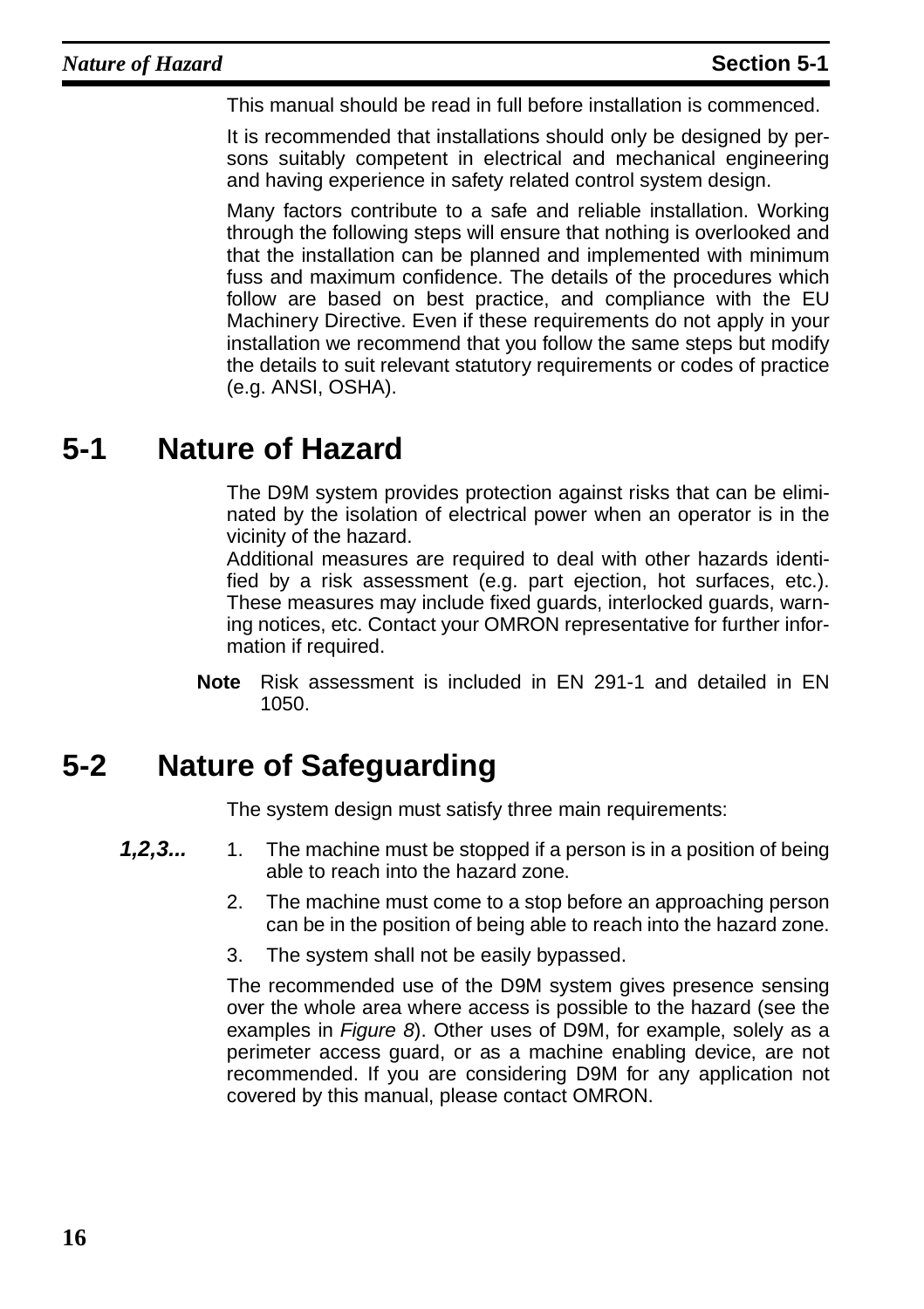This manual should be read in full before installation is commenced.

It is recommended that installations should only be designed by persons suitably competent in electrical and mechanical engineering and having experience in safety related control system design.

Many factors contribute to a safe and reliable installation. Working through the following steps will ensure that nothing is overlooked and that the installation can be planned and implemented with minimum fuss and maximum confidence. The details of the procedures which follow are based on best practice, and compliance with the EU Machinery Directive. Even if these requirements do not apply in your installation we recommend that you follow the same steps but modify the details to suit relevant statutory requirements or codes of practice (e.g. ANSI, OSHA).

## <span id="page-19-0"></span>**5-1 Nature of Hazard**

The D9M system provides protection against risks that can be eliminated by the isolation of electrical power when an operator is in the vicinity of the hazard.

Additional measures are required to deal with other hazards identified by a risk assessment (e.g. part ejection, hot surfaces, etc.). These measures may include fixed guards, interlocked guards, warning notices, etc. Contact your OMRON representative for further information if required.

**Note** Risk assessment is included in EN 291-1 and detailed in EN 1050.

## <span id="page-19-1"></span>**5-2 Nature of Safeguarding**

The system design must satisfy three main requirements:

- **1,2,3...** 1. The machine must be stopped if a person is in a position of being able to reach into the hazard zone.
	- 2. The machine must come to a stop before an approaching person can be in the position of being able to reach into the hazard zone.
	- 3. The system shall not be easily bypassed.

The recommended use of the D9M system gives presence sensing over the whole area where access is possible to the hazard (see the examples in [Figure 8](#page-20-3)). Other uses of D9M, for example, solely as a perimeter access guard, or as a machine enabling device, are not recommended. If you are considering D9M for any application not covered by this manual, please contact OMRON.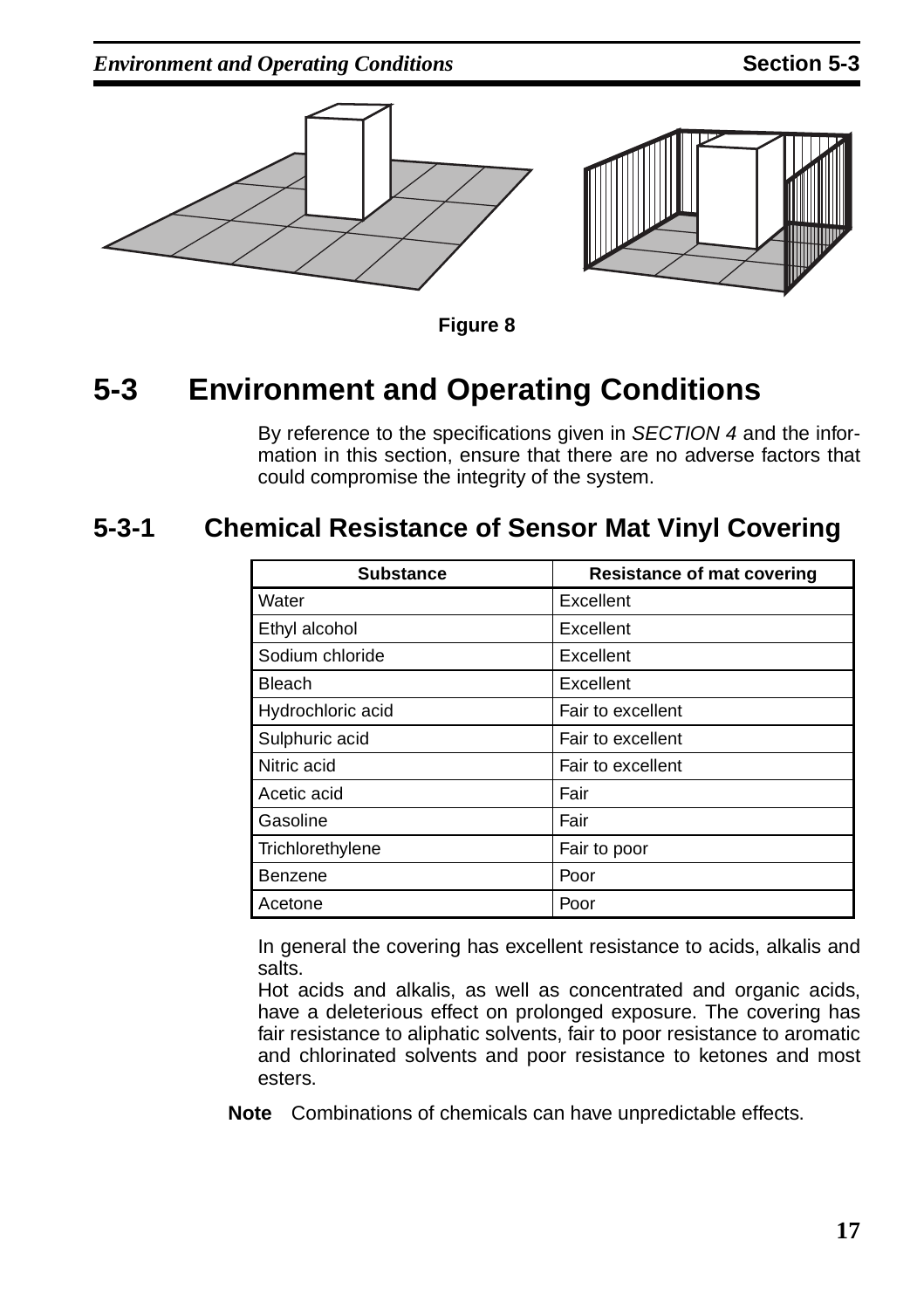*Environment and Operating Conditions* **Section 5-3** 



**Figure 8** 

## <span id="page-20-3"></span><span id="page-20-0"></span>**5-3 Environment and Operating Conditions**

By reference to the specifications given in [SECTION 4](#page-14-1) and the information in this section, ensure that there are no adverse factors that could compromise the integrity of the system.

### <span id="page-20-2"></span>**5-3-1 Chemical Resistance of Sensor Mat Vinyl Covering**

<span id="page-20-1"></span>

| <b>Substance</b>  | <b>Resistance of mat covering</b> |  |
|-------------------|-----------------------------------|--|
| Water             | Excellent                         |  |
| Ethyl alcohol     | Excellent                         |  |
| Sodium chloride   | Excellent                         |  |
| Bleach            | Excellent                         |  |
| Hydrochloric acid | Fair to excellent                 |  |
| Sulphuric acid    | Fair to excellent                 |  |
| Nitric acid       | Fair to excellent                 |  |
| Acetic acid       | Fair                              |  |
| Gasoline          | Fair                              |  |
| Trichlorethylene  | Fair to poor                      |  |
| Benzene           | Poor                              |  |
| Acetone           | Poor                              |  |

In general the covering has excellent resistance to acids, alkalis and salts.

Hot acids and alkalis, as well as concentrated and organic acids, have a deleterious effect on prolonged exposure. The covering has fair resistance to aliphatic solvents, fair to poor resistance to aromatic and chlorinated solvents and poor resistance to ketones and most esters.

**Note** Combinations of chemicals can have unpredictable effects.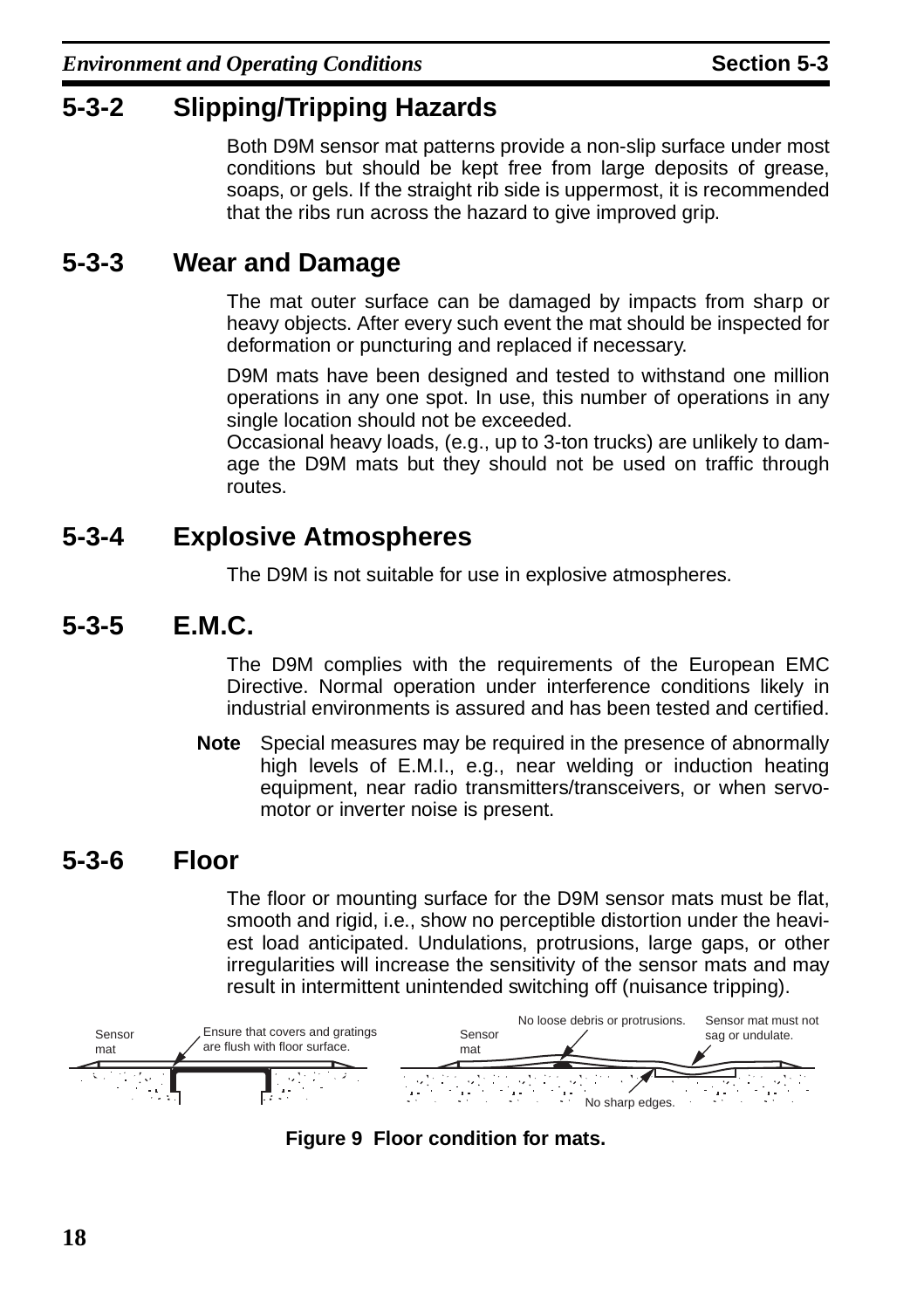### <span id="page-21-0"></span>**5-3-2 Slipping/Tripping Hazards**

Both D9M sensor mat patterns provide a non-slip surface under most conditions but should be kept free from large deposits of grease, soaps, or gels. If the straight rib side is uppermost, it is recommended that the ribs run across the hazard to give improved grip.

### <span id="page-21-1"></span>**5-3-3 Wear and Damage**

The mat outer surface can be damaged by impacts from sharp or heavy objects. After every such event the mat should be inspected for deformation or puncturing and replaced if necessary.

D9M mats have been designed and tested to withstand one million operations in any one spot. In use, this number of operations in any single location should not be exceeded.

Occasional heavy loads, (e.g., up to 3-ton trucks) are unlikely to damage the D9M mats but they should not be used on traffic through routes.

### <span id="page-21-2"></span>**5-3-4 Explosive Atmospheres**

The D9M is not suitable for use in explosive atmospheres.

### <span id="page-21-3"></span>**5-3-5 E.M.C.**

The D9M complies with the requirements of the European EMC Directive. Normal operation under interference conditions likely in industrial environments is assured and has been tested and certified.

**Note** Special measures may be required in the presence of abnormally high levels of E.M.I., e.g., near welding or induction heating equipment, near radio transmitters/transceivers, or when servomotor or inverter noise is present.

### <span id="page-21-4"></span>**5-3-6 Floor**

The floor or mounting surface for the D9M sensor mats must be flat, smooth and rigid, i.e., show no perceptible distortion under the heaviest load anticipated. Undulations, protrusions, large gaps, or other irregularities will increase the sensitivity of the sensor mats and may result in intermittent unintended switching off (nuisance tripping).



**Figure 9 Floor condition for mats.**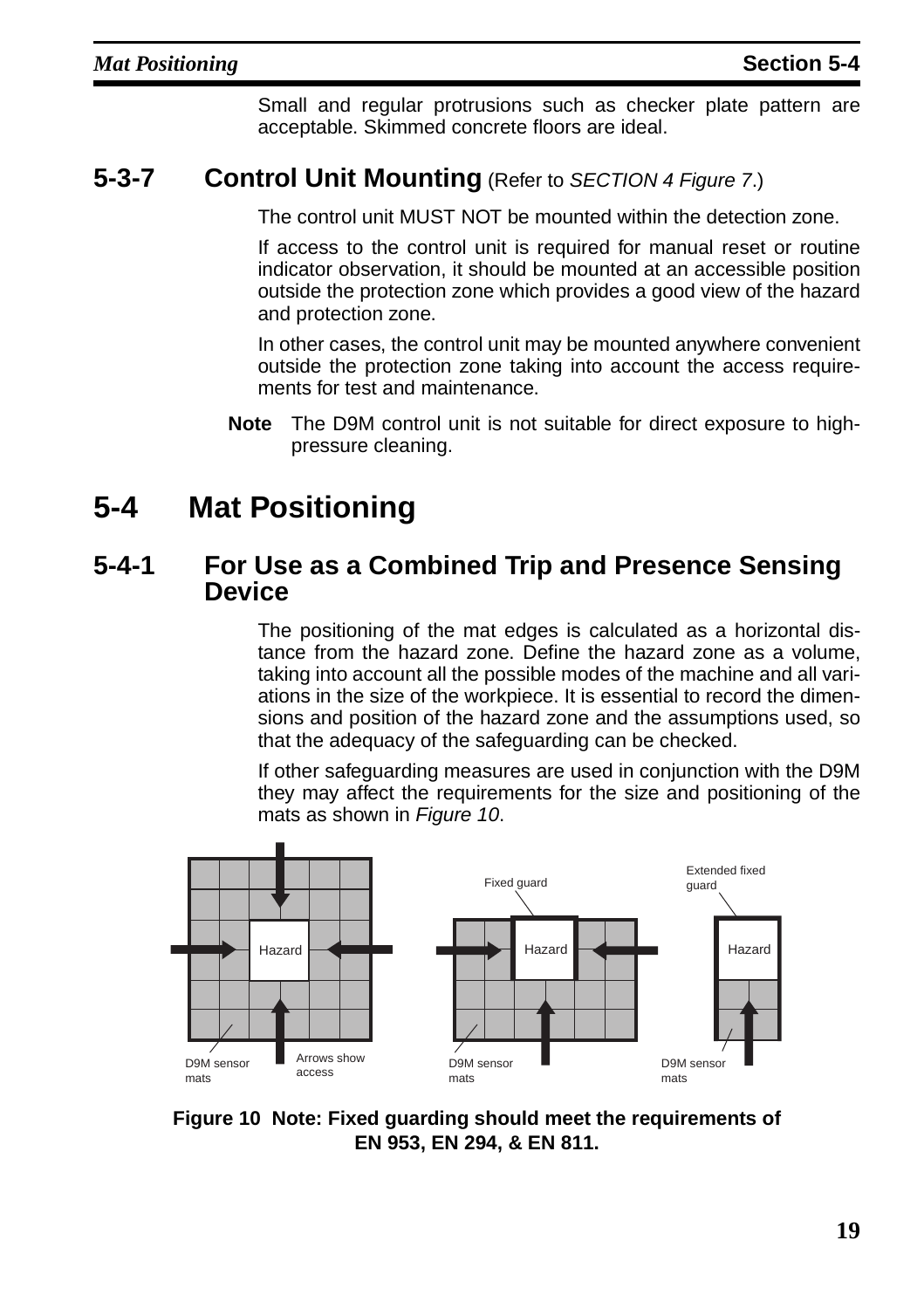<span id="page-22-5"></span>Small and regular protrusions such as checker plate pattern are acceptable. Skimmed concrete floors are ideal.

### <span id="page-22-2"></span>**5-3-7 Control Unit Mounting** (Refer to [SECTION 4](#page-14-1) [Figure 7](#page-17-0).)

The control unit MUST NOT be mounted within the detection zone.

If access to the control unit is required for manual reset or routine indicator observation, it should be mounted at an accessible position outside the protection zone which provides a good view of the hazard and protection zone.

In other cases, the control unit may be mounted anywhere convenient outside the protection zone taking into account the access requirements for test and maintenance.

**Note** The D9M control unit is not suitable for direct exposure to highpressure cleaning.

## <span id="page-22-0"></span>**5-4 Mat Positioning**

### <span id="page-22-3"></span>**5-4-1 For Use as a Combined Trip and Presence Sensing Device**

<span id="page-22-1"></span>The positioning of the mat edges is calculated as a horizontal distance from the hazard zone. Define the hazard zone as a volume, taking into account all the possible modes of the machine and all variations in the size of the workpiece. It is essential to record the dimensions and position of the hazard zone and the assumptions used, so that the adequacy of the safeguarding can be checked.

If other safeguarding measures are used in conjunction with the D9M they may affect the requirements for the size and positioning of the mats as shown in [Figure 10](#page-22-4).



<span id="page-22-4"></span>**Figure 10 Note: Fixed guarding should meet the requirements of EN 953, EN 294, & EN 811.**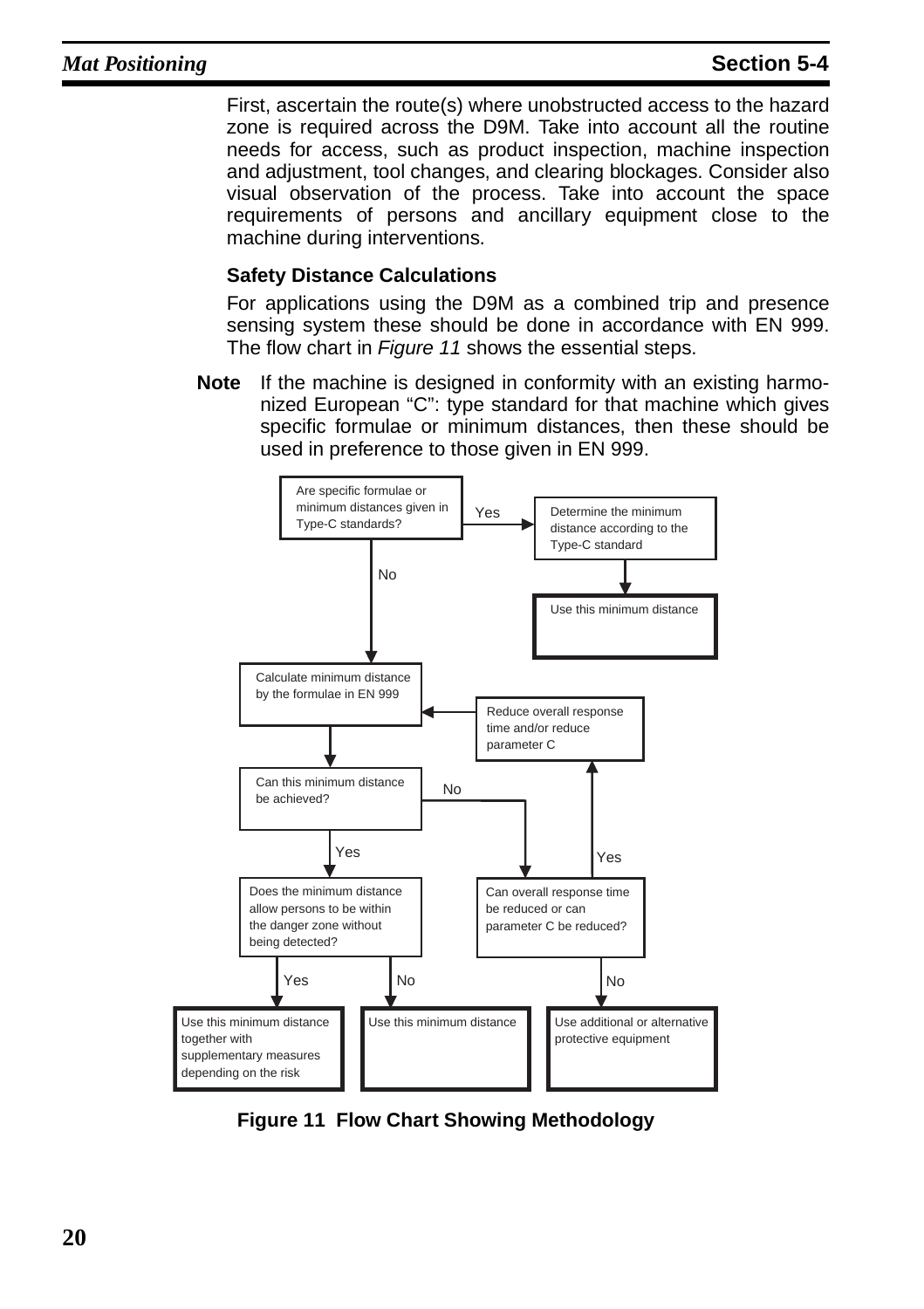First, ascertain the route(s) where unobstructed access to the hazard zone is required across the D9M. Take into account all the routine needs for access, such as product inspection, machine inspection and adjustment, tool changes, and clearing blockages. Consider also visual observation of the process. Take into account the space requirements of persons and ancillary equipment close to the machine during interventions.

#### **Safety Distance Calculations**

For applications using the D9M as a combined trip and presence sensing system these should be done in accordance with EN 999. The flow chart in *[Figure 11](#page-23-0)* shows the essential steps.

**Note** If the machine is designed in conformity with an existing harmonized European "C": type standard for that machine which gives specific formulae or minimum distances, then these should be used in preference to those given in EN 999.



<span id="page-23-0"></span>**Figure 11 Flow Chart Showing Methodology**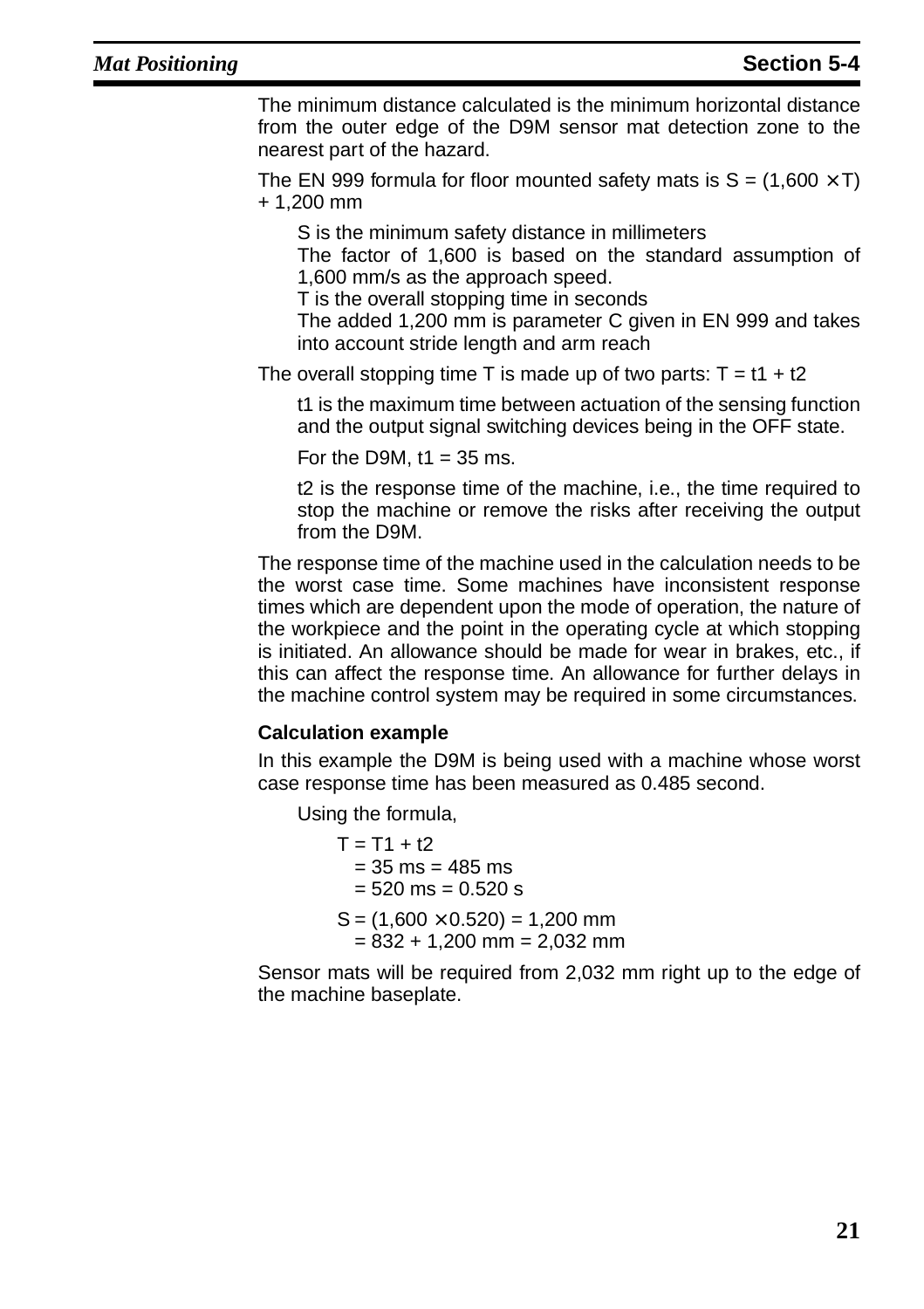The minimum distance calculated is the minimum horizontal distance from the outer edge of the D9M sensor mat detection zone to the nearest part of the hazard.

The EN 999 formula for floor mounted safety mats is  $S = (1.600 \times T)$ + 1,200 mm

S is the minimum safety distance in millimeters

The factor of 1,600 is based on the standard assumption of 1,600 mm/s as the approach speed.

T is the overall stopping time in seconds

The added 1,200 mm is parameter C given in EN 999 and takes into account stride length and arm reach

The overall stopping time T is made up of two parts:  $T = t1 + t2$ 

t1 is the maximum time between actuation of the sensing function and the output signal switching devices being in the OFF state.

For the D9M,  $t1 = 35$  ms.

t2 is the response time of the machine, i.e., the time required to stop the machine or remove the risks after receiving the output from the D9M.

The response time of the machine used in the calculation needs to be the worst case time. Some machines have inconsistent response times which are dependent upon the mode of operation, the nature of the workpiece and the point in the operating cycle at which stopping is initiated. An allowance should be made for wear in brakes, etc., if this can affect the response time. An allowance for further delays in the machine control system may be required in some circumstances.

#### **Calculation example**

In this example the D9M is being used with a machine whose worst case response time has been measured as 0.485 second.

Using the formula,

 $T = T1 + t2$  $= 35$  ms  $= 485$  ms  $= 520$  ms  $= 0.520$  s  $S = (1,600 \times 0.520) = 1,200$  mm  $= 832 + 1,200$  mm  $= 2,032$  mm

Sensor mats will be required from 2,032 mm right up to the edge of the machine baseplate.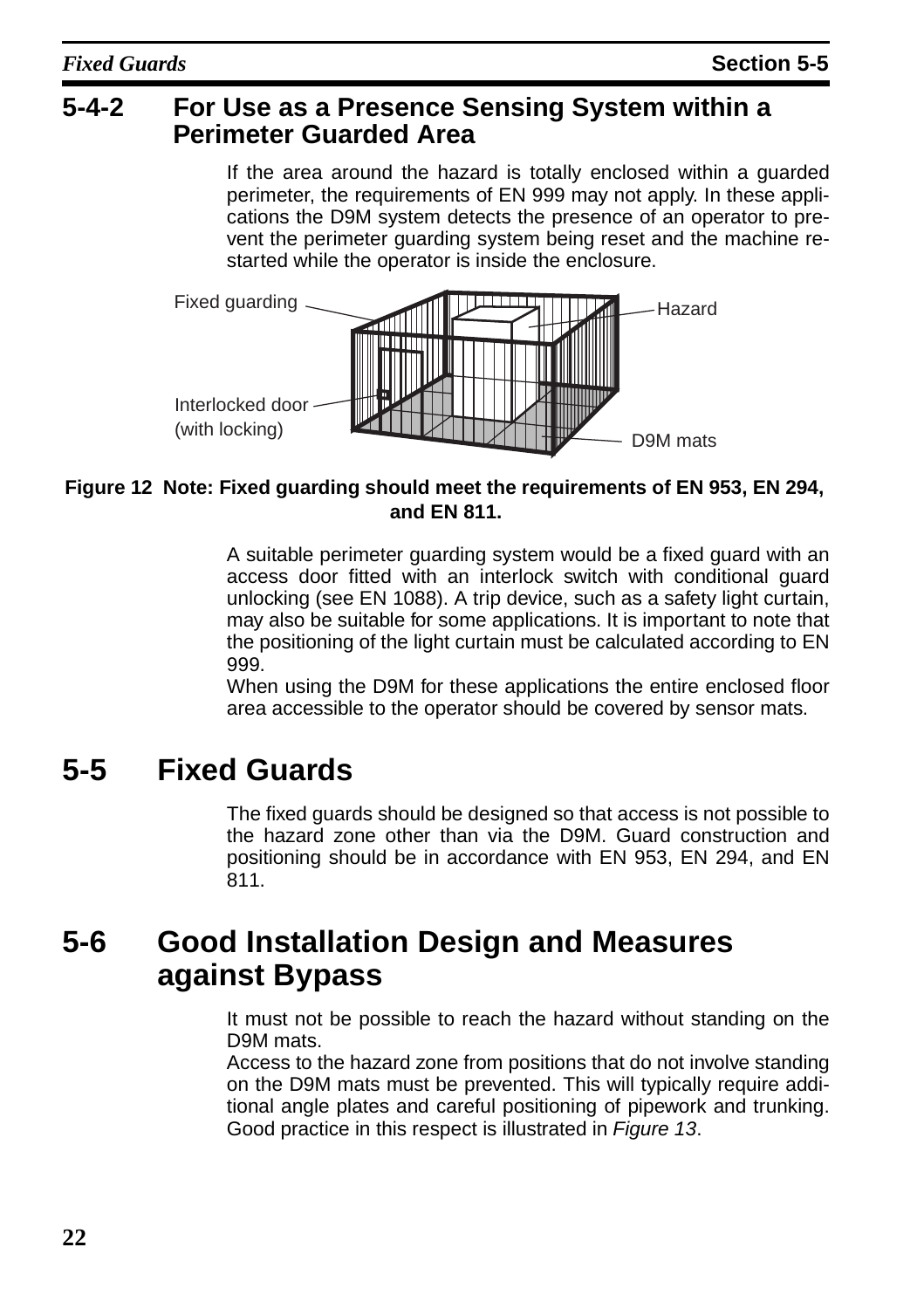### <span id="page-25-2"></span>**5-4-2 For Use as a Presence Sensing System within a Perimeter Guarded Area**

If the area around the hazard is totally enclosed within a guarded perimeter, the requirements of EN 999 may not apply. In these applications the D9M system detects the presence of an operator to prevent the perimeter guarding system being reset and the machine restarted while the operator is inside the enclosure.



#### **Figure 12 Note: Fixed guarding should meet the requirements of EN 953, EN 294, and EN 811.**

A suitable perimeter guarding system would be a fixed guard with an access door fitted with an interlock switch with conditional guard unlocking (see EN 1088). A trip device, such as a safety light curtain, may also be suitable for some applications. It is important to note that the positioning of the light curtain must be calculated according to EN 999.

When using the D9M for these applications the entire enclosed floor area accessible to the operator should be covered by sensor mats.

## <span id="page-25-0"></span>**5-5 Fixed Guards**

The fixed guards should be designed so that access is not possible to the hazard zone other than via the D9M. Guard construction and positioning should be in accordance with EN 953, EN 294, and EN 811.

## <span id="page-25-1"></span>**5-6 Good Installation Design and Measures against Bypass**

It must not be possible to reach the hazard without standing on the D9M mats.

Access to the hazard zone from positions that do not involve standing on the D9M mats must be prevented. This will typically require additional angle plates and careful positioning of pipework and trunking. Good practice in this respect is illustrated in [Figure 13](#page-26-1).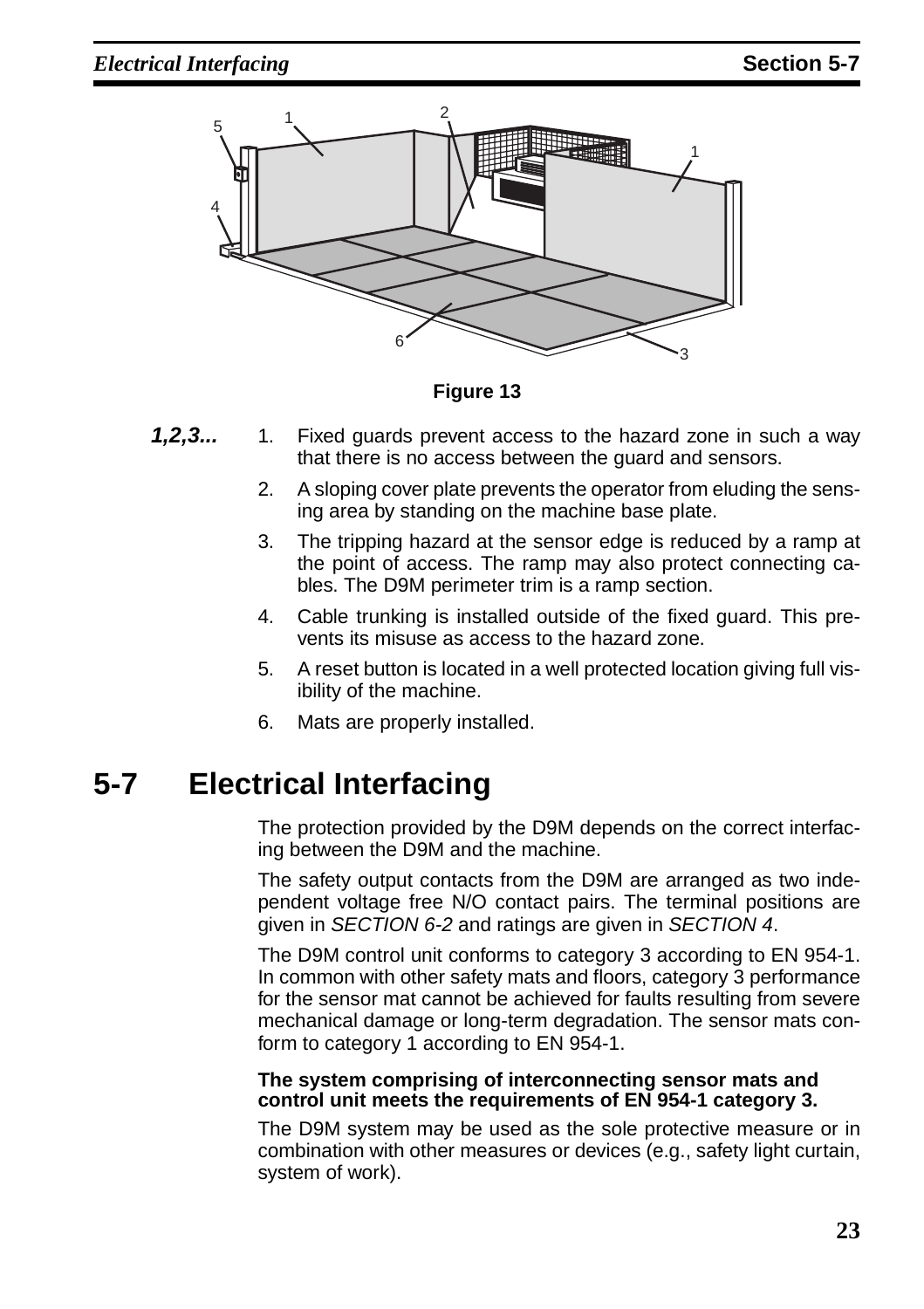

**Figure 13** 

- <span id="page-26-1"></span>**1,2,3...** 1. Fixed guards prevent access to the hazard zone in such a way that there is no access between the guard and sensors.
	- 2. A sloping cover plate prevents the operator from eluding the sensing area by standing on the machine base plate.
	- 3. The tripping hazard at the sensor edge is reduced by a ramp at the point of access. The ramp may also protect connecting cables. The D9M perimeter trim is a ramp section.
	- 4. Cable trunking is installed outside of the fixed guard. This prevents its misuse as access to the hazard zone.
	- 5. A reset button is located in a well protected location giving full visibility of the machine.
	- 6. Mats are properly installed.

## <span id="page-26-2"></span><span id="page-26-0"></span>**5-7 Electrical Interfacing**

The protection provided by the D9M depends on the correct interfacing between the D9M and the machine.

The safety output contacts from the D9M are arranged as two independent voltage free N/O contact pairs. The terminal positions are given in SECTION [6-2](#page-36-1) and ratings are given in [SECTION 4](#page-14-1).

The D9M control unit conforms to category 3 according to EN 954-1. In common with other safety mats and floors, category 3 performance for the sensor mat cannot be achieved for faults resulting from severe mechanical damage or long-term degradation. The sensor mats conform to category 1 according to EN 954-1.

#### **The system comprising of interconnecting sensor mats and control unit meets the requirements of EN 954-1 category 3.**

The D9M system may be used as the sole protective measure or in combination with other measures or devices (e.g., safety light curtain, system of work).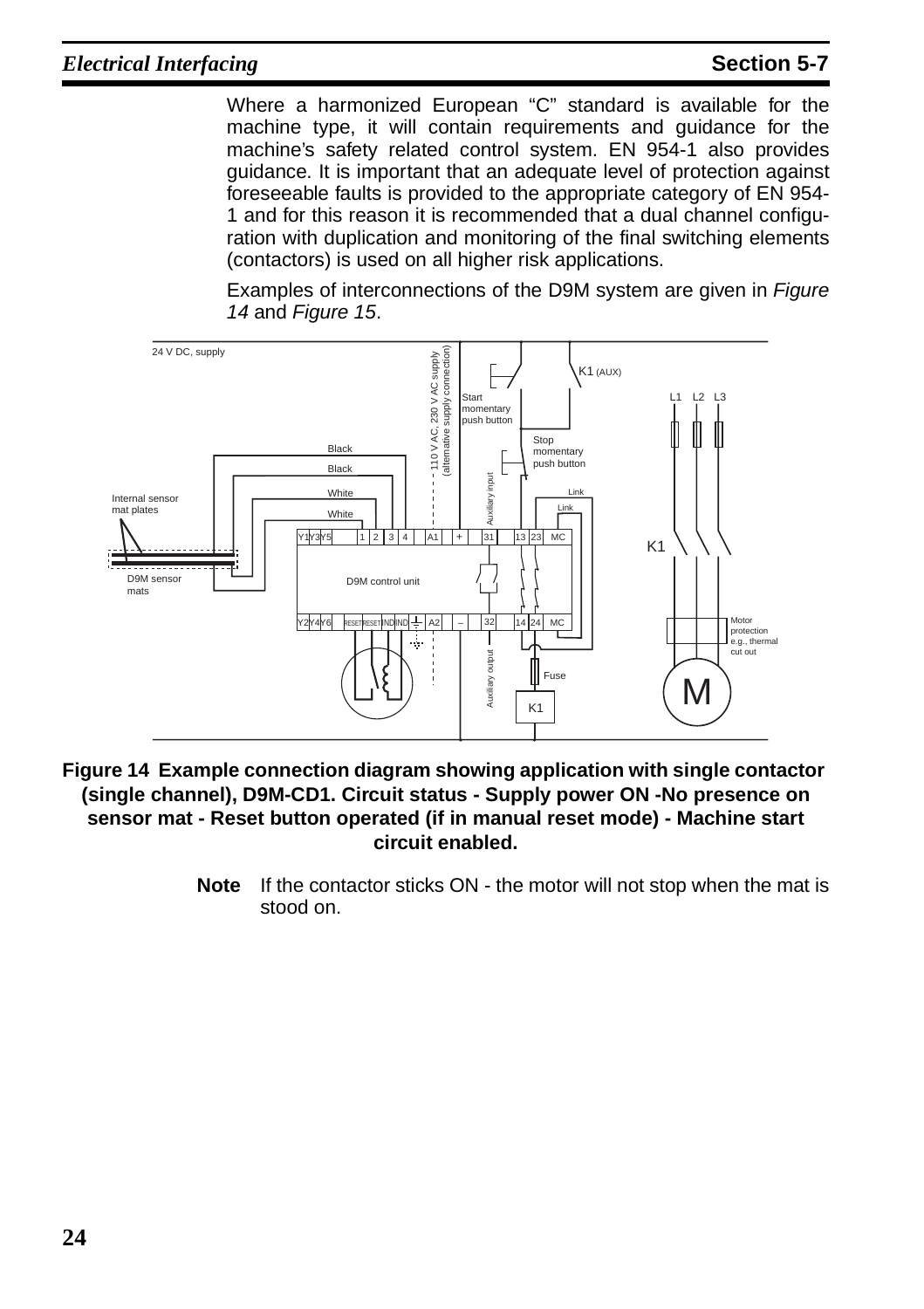Where a harmonized European "C" standard is available for the machine type, it will contain requirements and guidance for the machine's safety related control system. EN 954-1 also provides guidance. It is important that an adequate level of protection against foreseeable faults is provided to the appropriate category of EN 954- 1 and for this reason it is recommended that a dual channel configuration with duplication and monitoring of the final switching elements (contactors) is used on all higher risk applications.

Examples of interconnections of the D9M system are given in [Figure](#page-27-0) [14](#page-27-0) and [Figure 15](#page-28-0).



<span id="page-27-1"></span><span id="page-27-0"></span>**Figure 14 Example connection diagram showing application with single contactor (single channel), D9M-CD1. Circuit status - Supply power ON -No presence on sensor mat - Reset button operated (if in manual reset mode) - Machine start circuit enabled.**

**Note** If the contactor sticks ON - the motor will not stop when the mat is stood on.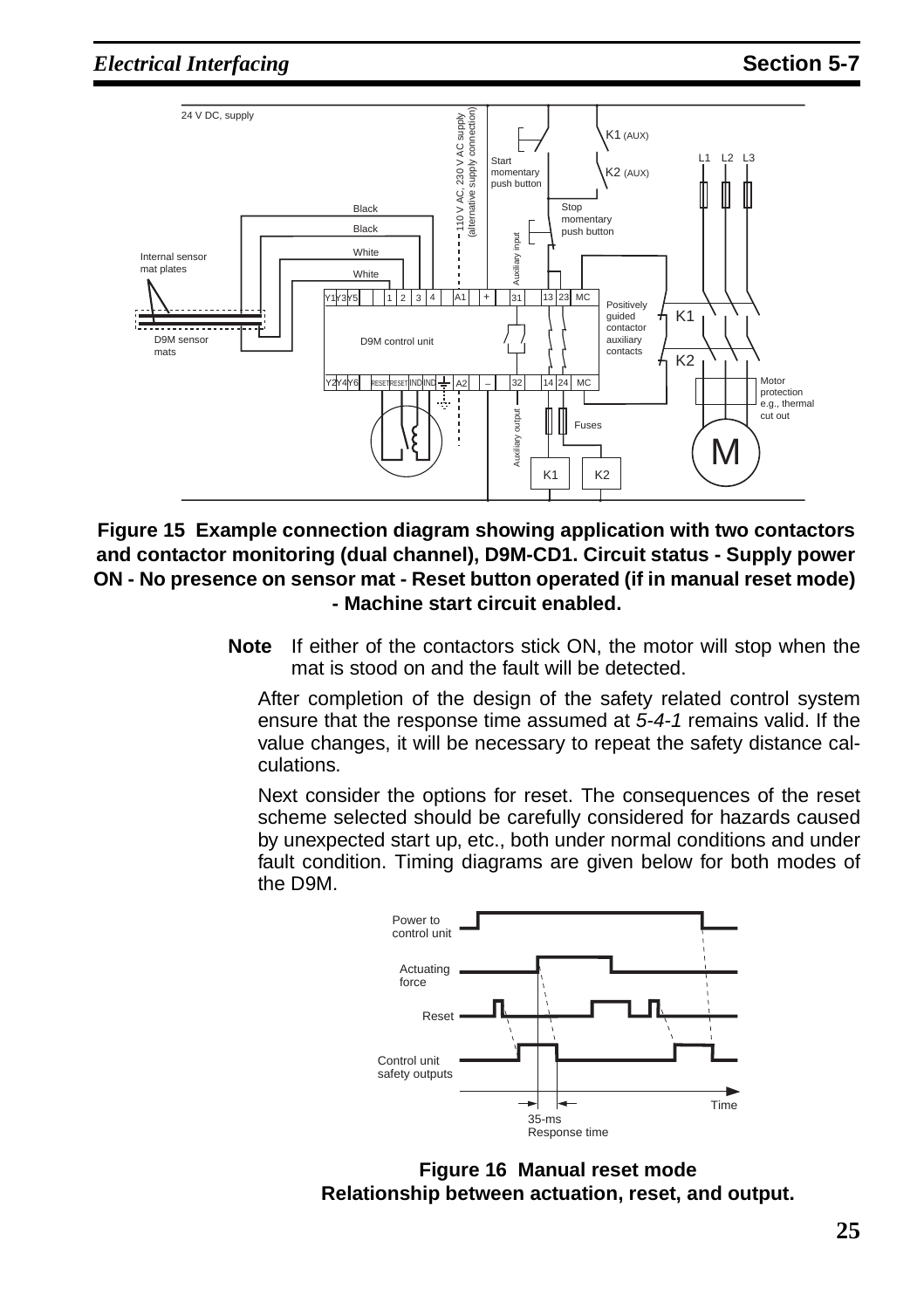

<span id="page-28-1"></span><span id="page-28-0"></span>**Figure 15 Example connection diagram showing application with two contactors and contactor monitoring (dual channel), D9M-CD1. Circuit status - Supply power ON - No presence on sensor mat - Reset button operated (if in manual reset mode) - Machine start circuit enabled.**

**Note** If either of the contactors stick ON, the motor will stop when the mat is stood on and the fault will be detected.

After completion of the design of the safety related control system ensure that the response time assumed at [5-4-1](#page-22-3) remains valid. If the value changes, it will be necessary to repeat the safety distance calculations.

Next consider the options for reset. The consequences of the reset scheme selected should be carefully considered for hazards caused by unexpected start up, etc., both under normal conditions and under fault condition. Timing diagrams are given below for both modes of the D9M.



**Figure 16 Manual reset mode Relationship between actuation, reset, and output.**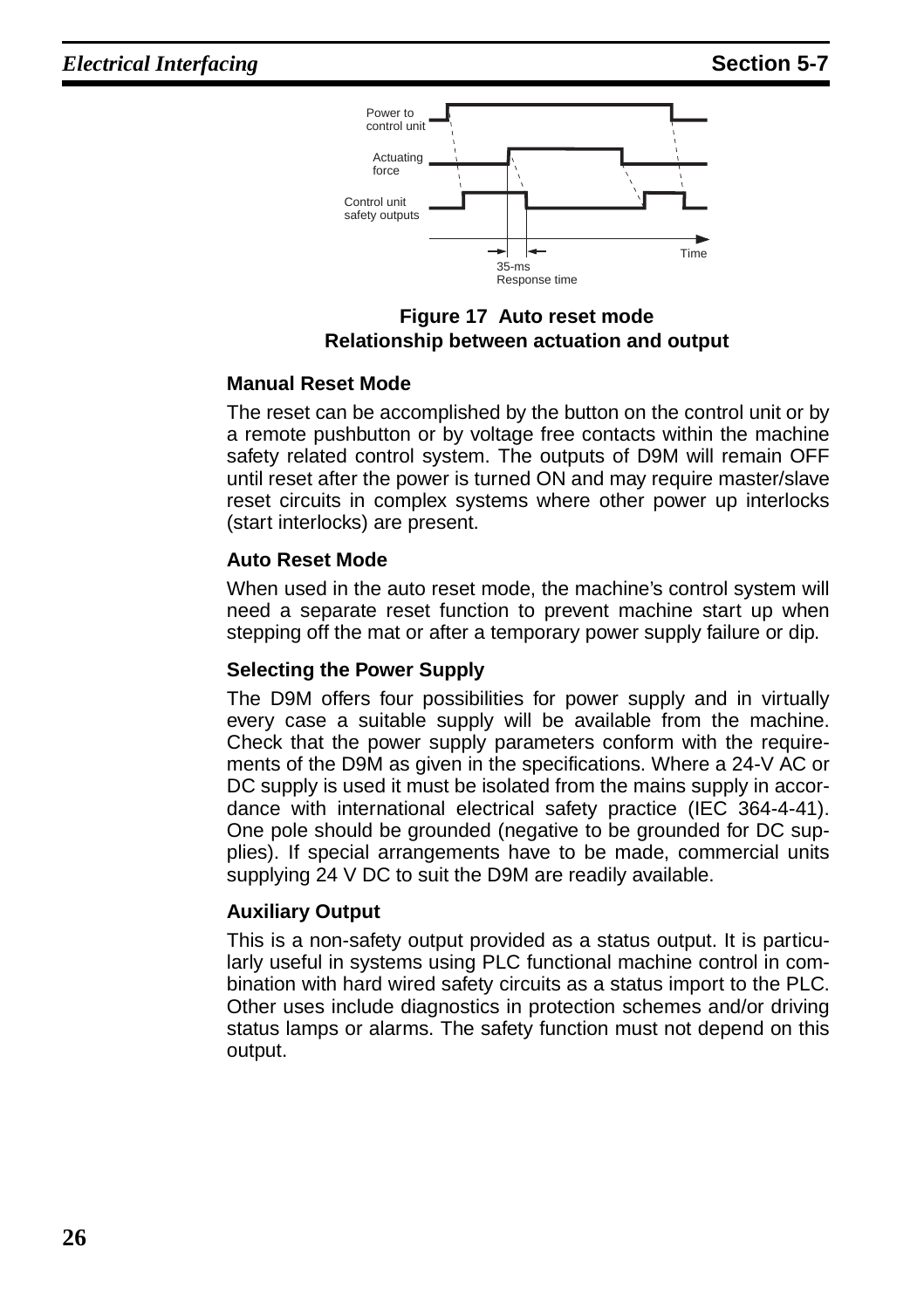

**Figure 17 Auto reset mode Relationship between actuation and output**

#### **Manual Reset Mode**

The reset can be accomplished by the button on the control unit or by a remote pushbutton or by voltage free contacts within the machine safety related control system. The outputs of D9M will remain OFF until reset after the power is turned ON and may require master/slave reset circuits in complex systems where other power up interlocks (start interlocks) are present.

#### **Auto Reset Mode**

When used in the auto reset mode, the machine's control system will need a separate reset function to prevent machine start up when stepping off the mat or after a temporary power supply failure or dip.

#### **Selecting the Power Supply**

The D9M offers four possibilities for power supply and in virtually every case a suitable supply will be available from the machine. Check that the power supply parameters conform with the requirements of the D9M as given in the specifications. Where a 24-V AC or DC supply is used it must be isolated from the mains supply in accordance with international electrical safety practice (IEC 364-4-41). One pole should be grounded (negative to be grounded for DC supplies). If special arrangements have to be made, commercial units supplying 24 V DC to suit the D9M are readily available.

#### **Auxiliary Output**

This is a non-safety output provided as a status output. It is particularly useful in systems using PLC functional machine control in combination with hard wired safety circuits as a status import to the PLC. Other uses include diagnostics in protection schemes and/or driving status lamps or alarms. The safety function must not depend on this output.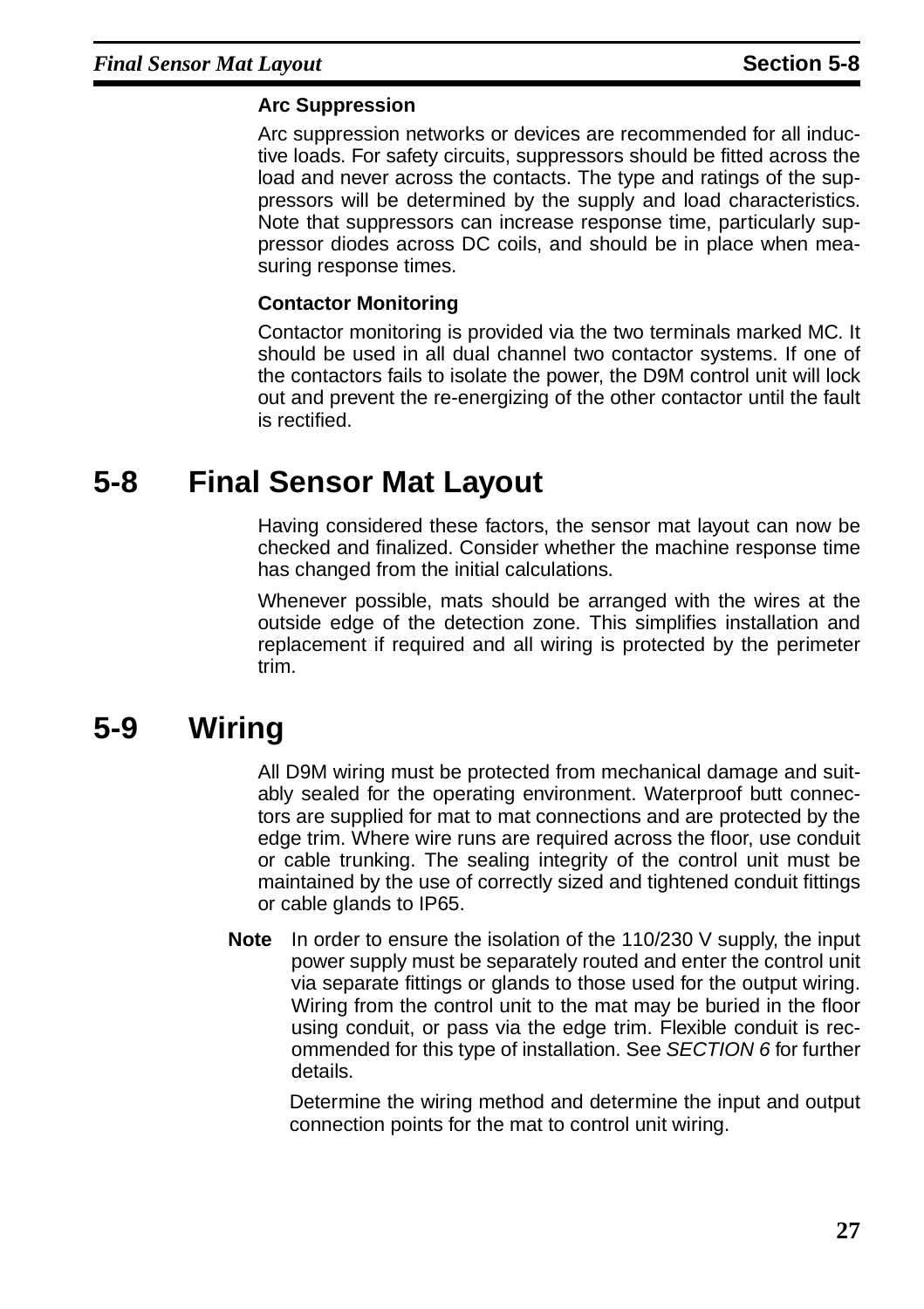#### **Arc Suppression**

Arc suppression networks or devices are recommended for all inductive loads. For safety circuits, suppressors should be fitted across the load and never across the contacts. The type and ratings of the suppressors will be determined by the supply and load characteristics. Note that suppressors can increase response time, particularly suppressor diodes across DC coils, and should be in place when measuring response times.

#### **Contactor Monitoring**

Contactor monitoring is provided via the two terminals marked MC. It should be used in all dual channel two contactor systems. If one of the contactors fails to isolate the power, the D9M control unit will lock out and prevent the re-energizing of the other contactor until the fault is rectified.

### <span id="page-30-0"></span>**5-8 Final Sensor Mat Layout**

Having considered these factors, the sensor mat layout can now be checked and finalized. Consider whether the machine response time has changed from the initial calculations.

Whenever possible, mats should be arranged with the wires at the outside edge of the detection zone. This simplifies installation and replacement if required and all wiring is protected by the perimeter trim.

## <span id="page-30-1"></span>**5-9 Wiring**

All D9M wiring must be protected from mechanical damage and suitably sealed for the operating environment. Waterproof butt connectors are supplied for mat to mat connections and are protected by the edge trim. Where wire runs are required across the floor, use conduit or cable trunking. The sealing integrity of the control unit must be maintained by the use of correctly sized and tightened conduit fittings or cable glands to IP65.

**Note** In order to ensure the isolation of the 110/230 V supply, the input power supply must be separately routed and enter the control unit via separate fittings or glands to those used for the output wiring. Wiring from the control unit to the mat may be buried in the floor using conduit, or pass via the edge trim. Flexible conduit is recommended for this type of installation. See [SECTION 6](#page-32-1) for further details.

Determine the wiring method and determine the input and output connection points for the mat to control unit wiring.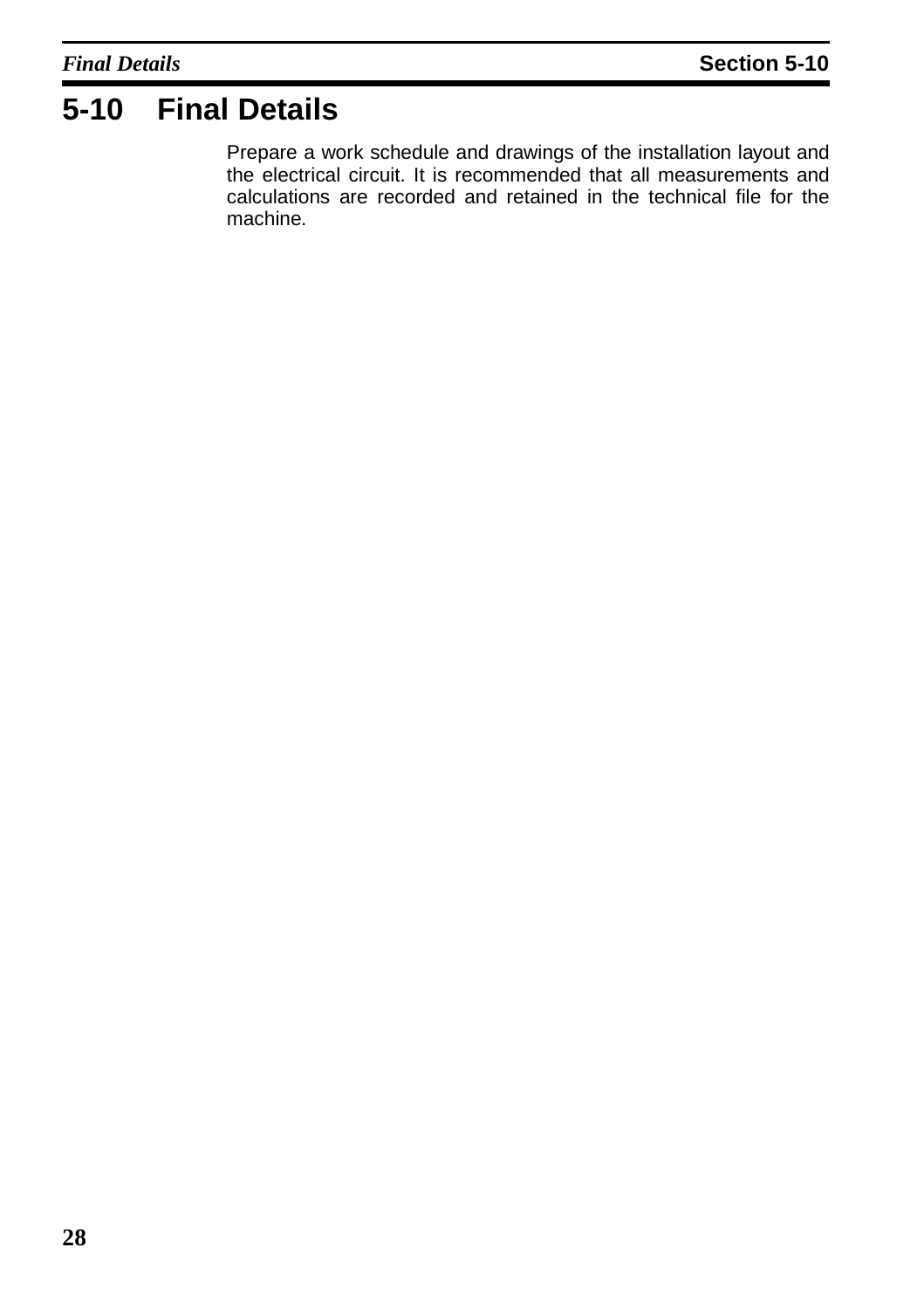## <span id="page-31-0"></span>**5-10 Final Details**

Prepare a work schedule and drawings of the installation layout and the electrical circuit. It is recommended that all measurements and calculations are recorded and retained in the technical file for the machine.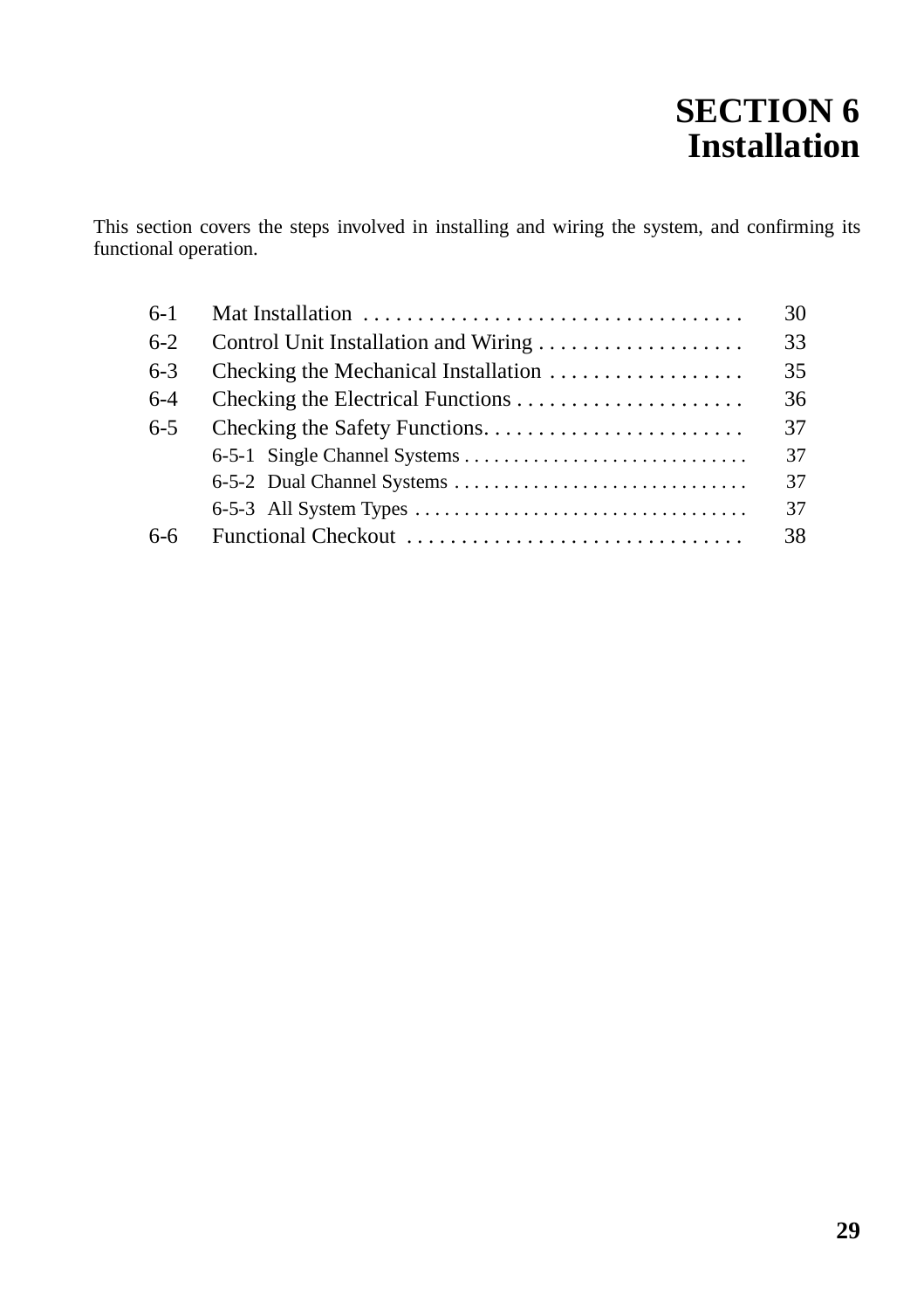# <span id="page-32-1"></span>**SECTION 6 Installation**

<span id="page-32-0"></span>This section covers the steps involved in installing and wiring the system, and confirming its functional operation.

| $6-1$   |                                      | 30 |
|---------|--------------------------------------|----|
| $6-2$   |                                      | 33 |
| $6 - 3$ | Checking the Mechanical Installation |    |
| $6-4$   |                                      |    |
| $6 - 5$ |                                      | 37 |
|         |                                      | 37 |
|         |                                      | 37 |
|         |                                      | 37 |
| $6-6$   | Functional Checkout                  | 38 |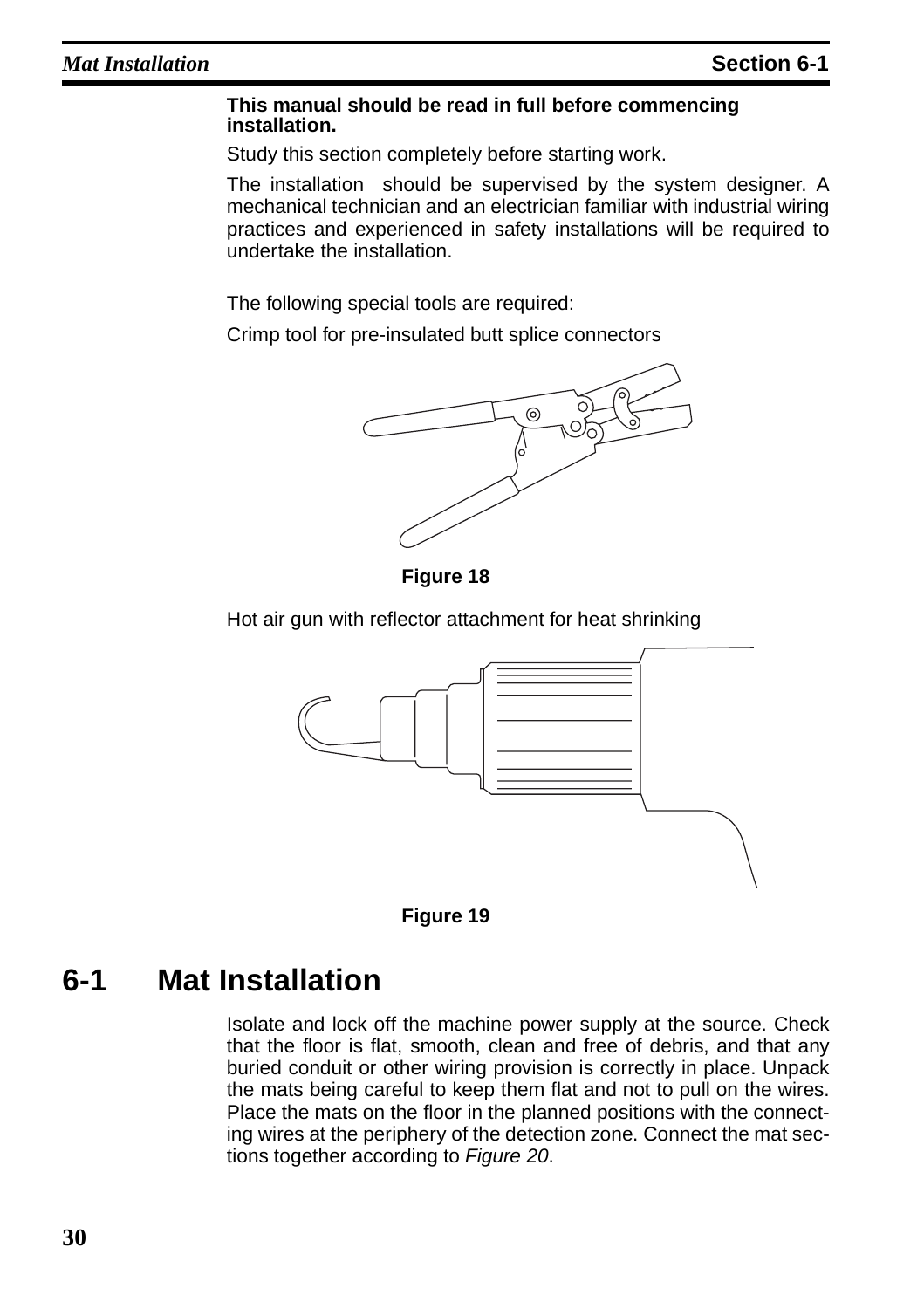#### **This manual should be read in full before commencing installation.**

Study this section completely before starting work.

The installation should be supervised by the system designer. A mechanical technician and an electrician familiar with industrial wiring practices and experienced in safety installations will be required to undertake the installation.

The following special tools are required:

Crimp tool for pre-insulated butt splice connectors



**Figure 18** 

Hot air gun with reflector attachment for heat shrinking





## <span id="page-33-0"></span>**6-1 Mat Installation**

Isolate and lock off the machine power supply at the source. Check that the floor is flat, smooth, clean and free of debris, and that any buried conduit or other wiring provision is correctly in place. Unpack the mats being careful to keep them flat and not to pull on the wires. Place the mats on the floor in the planned positions with the connecting wires at the periphery of the detection zone. Connect the mat sections together according to [Figure 20](#page-34-0).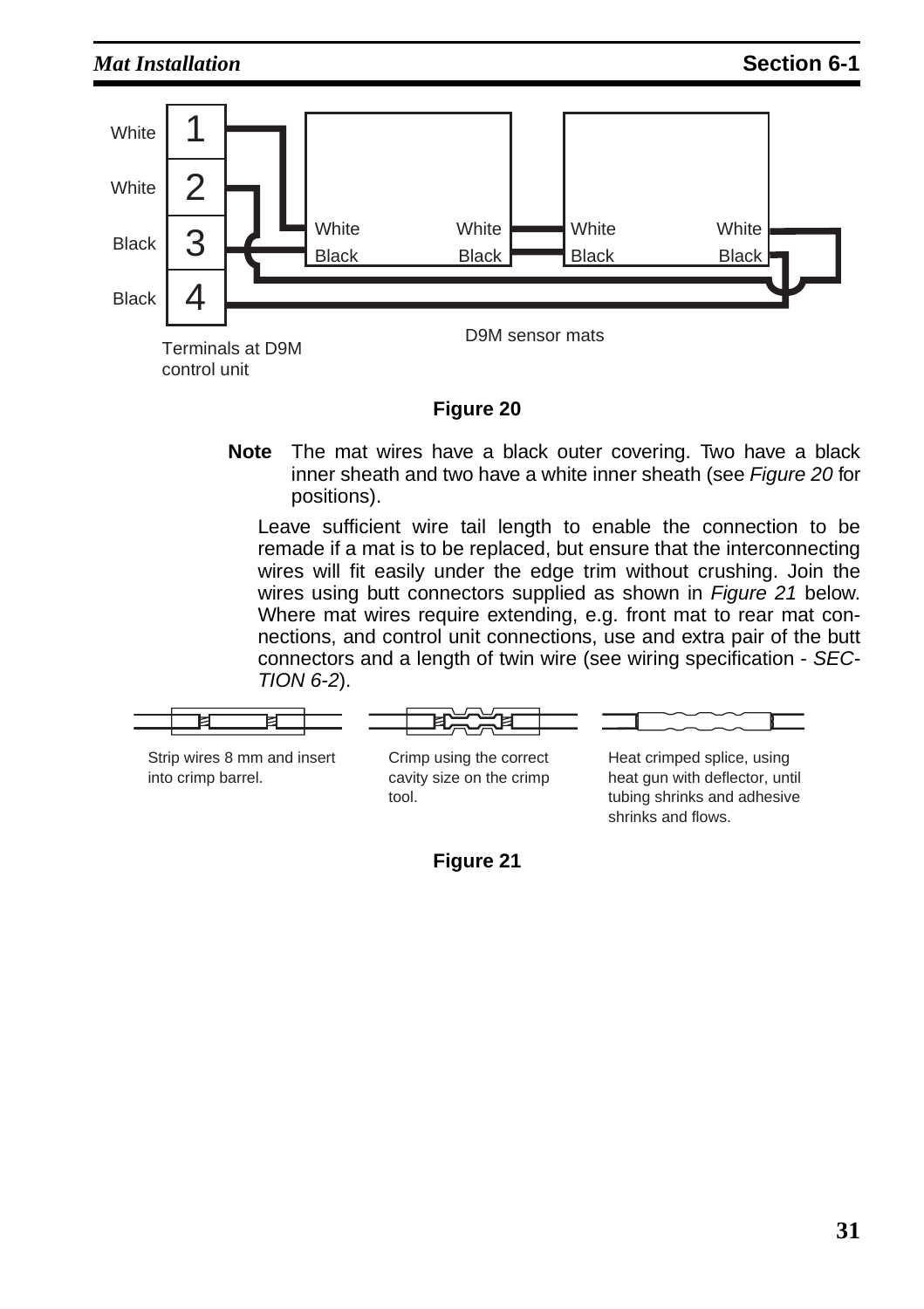

#### **Figure 20**

<span id="page-34-0"></span>**Note** The mat wires have a black outer covering. Two have a black inner sheath and two have a white inner sheath (see [Figure 20](#page-34-0) for positions).

Leave sufficient wire tail length to enable the connection to be remade if a mat is to be replaced, but ensure that the interconnecting wires will fit easily under the edge trim without crushing. Join the wires using butt connectors supplied as shown in *Figure* 21 below. Where mat wires require extending, e.g. front mat to rear mat connections, and control unit connections, use and extra pair of the butt connectors and a length of twin wire (see wiring specification - SEC-TION [6-2](#page-36-0)).



<span id="page-34-1"></span>Strip wires 8 mm and insert into crimp barrel.

Crimp using the correct cavity size on the crimp tool.

Heat crimped splice, using heat gun with deflector, until tubing shrinks and adhesive shrinks and flows.

**Figure 21**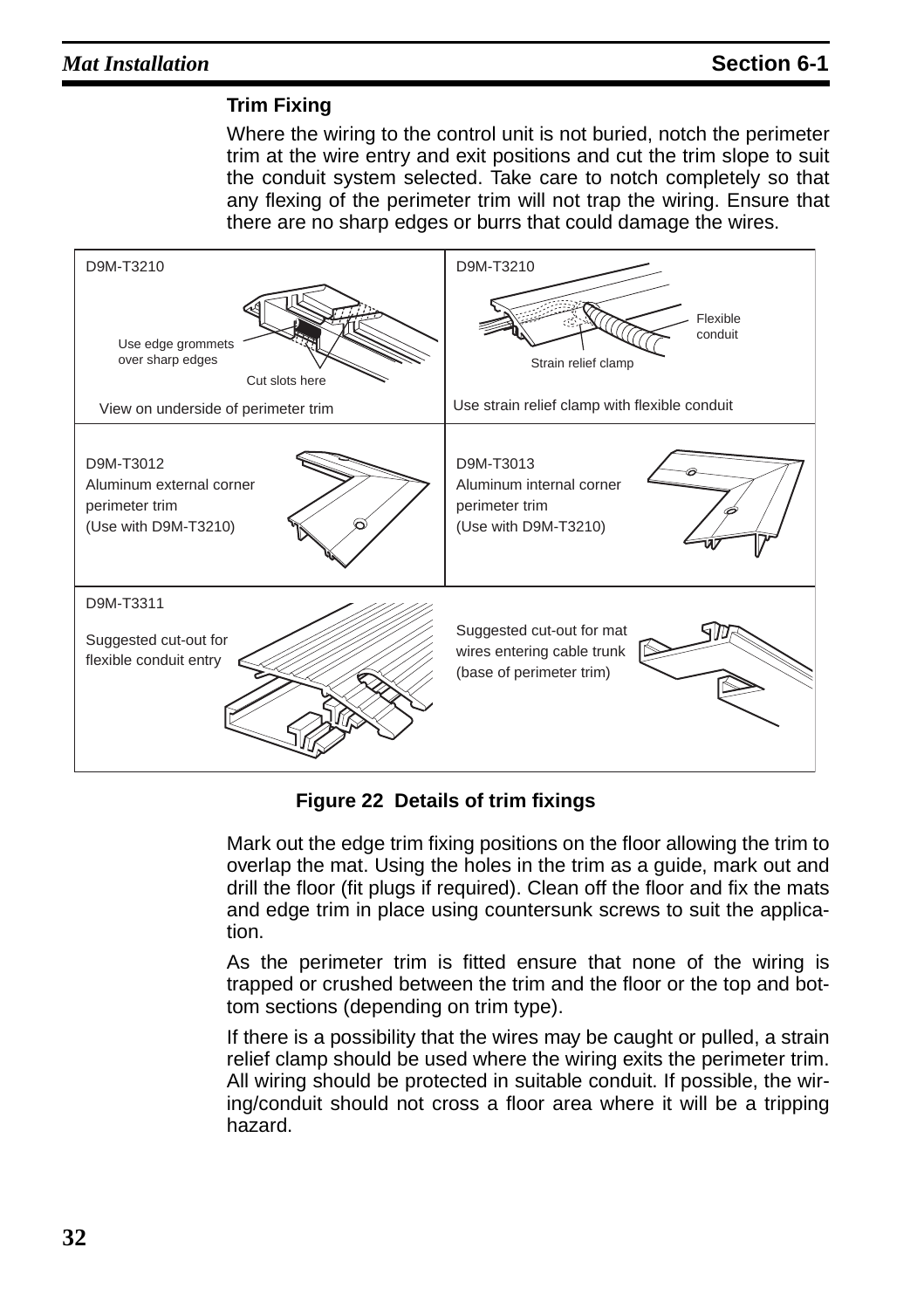#### **Trim Fixing**

Where the wiring to the control unit is not buried, notch the perimeter trim at the wire entry and exit positions and cut the trim slope to suit the conduit system selected. Take care to notch completely so that any flexing of the perimeter trim will not trap the wiring. Ensure that there are no sharp edges or burrs that could damage the wires.



**Figure 22 Details of trim fixings**

Mark out the edge trim fixing positions on the floor allowing the trim to overlap the mat. Using the holes in the trim as a guide, mark out and drill the floor (fit plugs if required). Clean off the floor and fix the mats and edge trim in place using countersunk screws to suit the application.

As the perimeter trim is fitted ensure that none of the wiring is trapped or crushed between the trim and the floor or the top and bottom sections (depending on trim type).

If there is a possibility that the wires may be caught or pulled, a strain relief clamp should be used where the wiring exits the perimeter trim. All wiring should be protected in suitable conduit. If possible, the wiring/conduit should not cross a floor area where it will be a tripping hazard.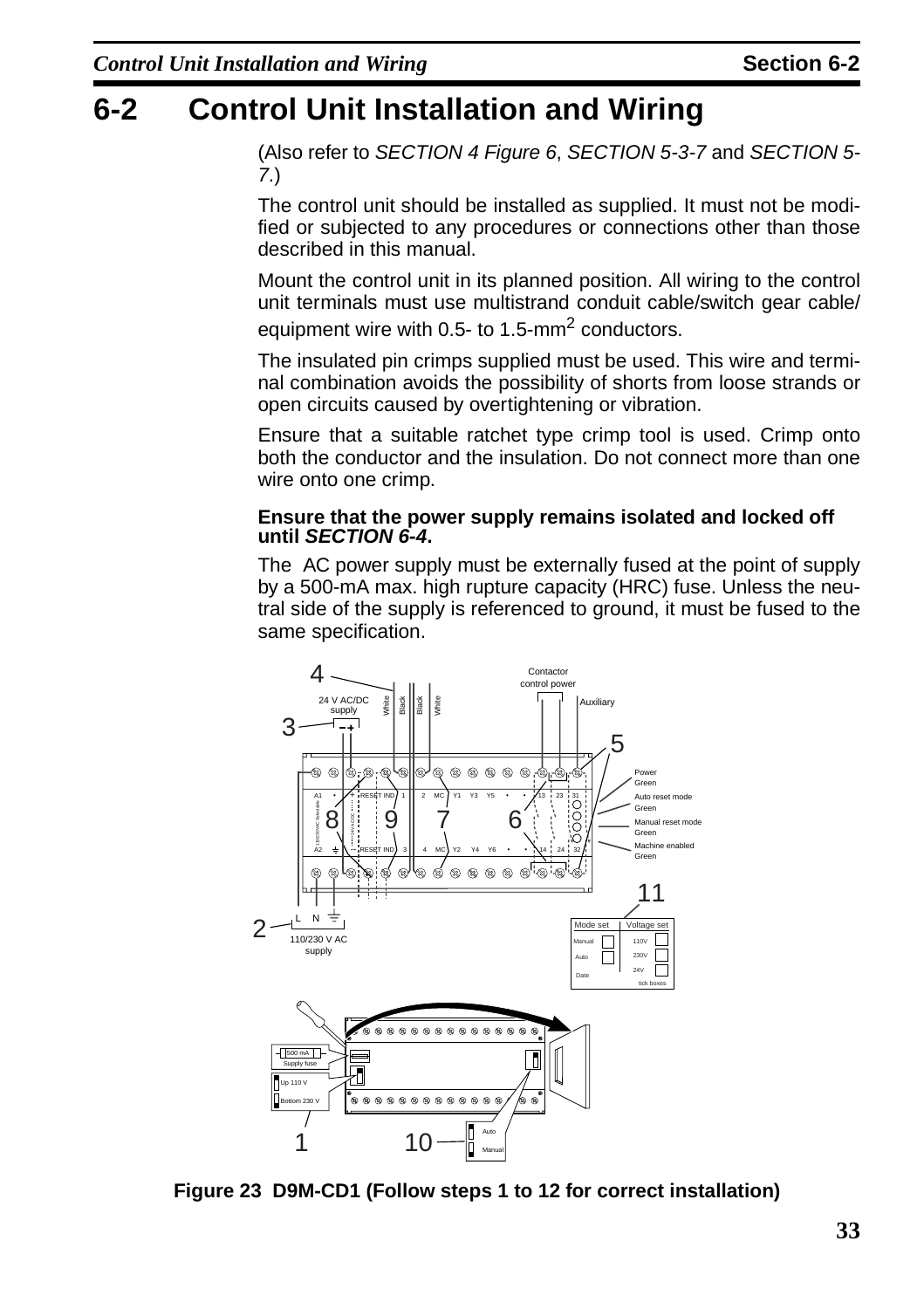## <span id="page-36-1"></span><span id="page-36-0"></span>**6-2 Control Unit Installation and Wiring**

(Also refer to [SECTION 4](#page-14-1) [Figure 6](#page-17-1), SECTION [5-3-7](#page-22-5) and SECTION [5-](#page-26-2) [7](#page-26-2).)

The control unit should be installed as supplied. It must not be modified or subjected to any procedures or connections other than those described in this manual.

Mount the control unit in its planned position. All wiring to the control unit terminals must use multistrand conduit cable/switch gear cable/ equipment wire with 0.5- to 1.5-mm<sup>2</sup> conductors.

The insulated pin crimps supplied must be used. This wire and terminal combination avoids the possibility of shorts from loose strands or open circuits caused by overtightening or vibration.

Ensure that a suitable ratchet type crimp tool is used. Crimp onto both the conductor and the insulation. Do not connect more than one wire onto one crimp.

#### **Ensure that the power supply remains isolated and locked off until SECTION [6-4](#page-39-0).**

The AC power supply must be externally fused at the point of supply by a 500-mA max. high rupture capacity (HRC) fuse. Unless the neutral side of the supply is referenced to ground, it must be fused to the same specification.



<span id="page-36-2"></span>**Figure 23 D9M-CD1 (Follow steps 1 to 12 for correct installation)**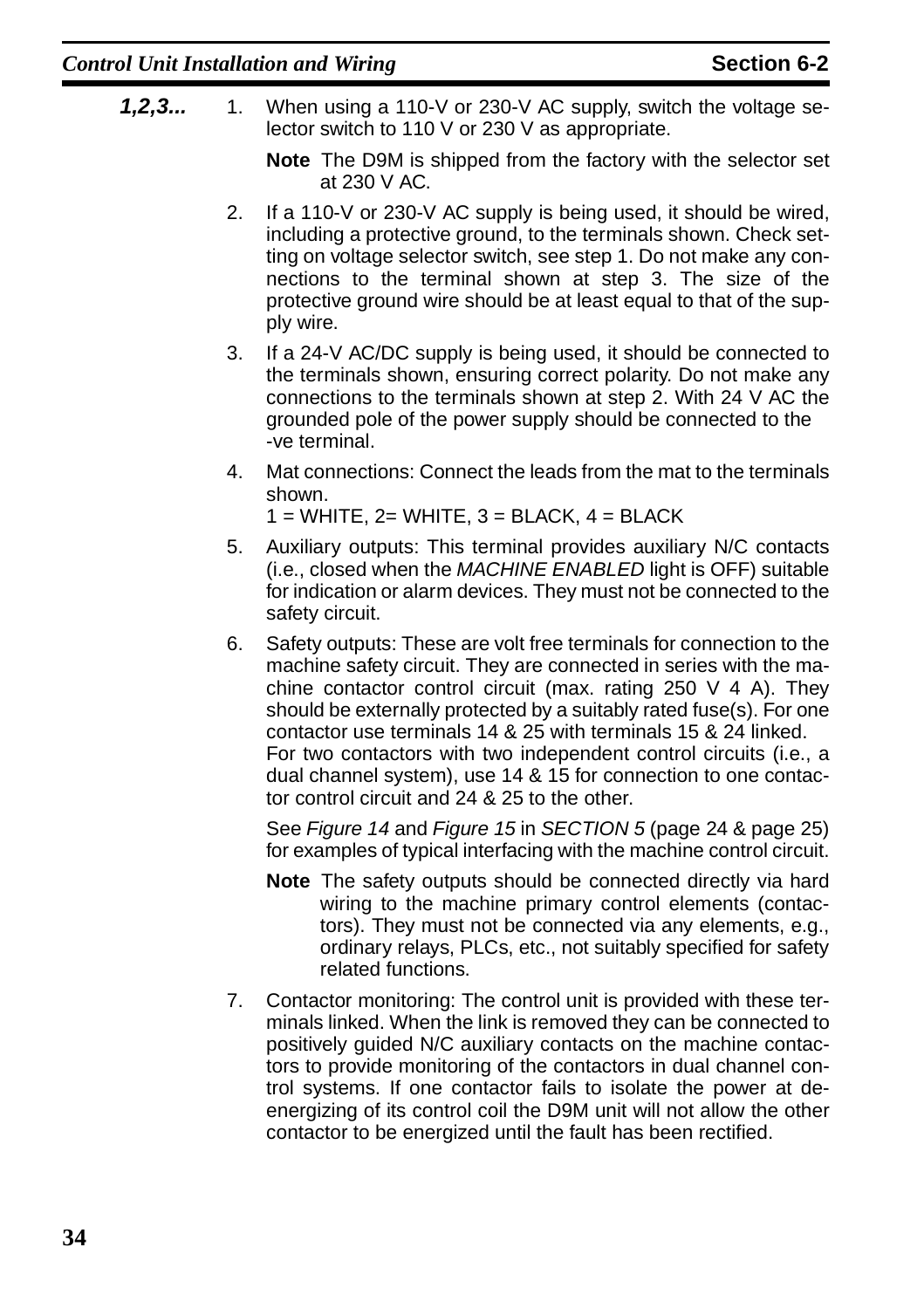- **1,2,3...** 1. When using a 110-V or 230-V AC supply, switch the voltage selector switch to 110 V or 230 V as appropriate.
	- **Note** The D9M is shipped from the factory with the selector set at 230 V AC.
	- 2. If a 110-V or 230-V AC supply is being used, it should be wired, including a protective ground, to the terminals shown. Check setting on voltage selector switch, see step 1. Do not make any connections to the terminal shown at step 3. The size of the protective ground wire should be at least equal to that of the supply wire.
	- 3. If a 24-V AC/DC supply is being used, it should be connected to the terminals shown, ensuring correct polarity. Do not make any connections to the terminals shown at step 2. With 24 V AC the grounded pole of the power supply should be connected to the -ve terminal.
	- 4. Mat connections: Connect the leads from the mat to the terminals shown.

 $1 =$  WHITE,  $2 =$  WHITE,  $3 =$  BLACK,  $4 =$  BLACK

- 5. Auxiliary outputs: This terminal provides auxiliary N/C contacts (i.e., closed when the MACHINE ENABLED light is OFF) suitable for indication or alarm devices. They must not be connected to the safety circuit.
- 6. Safety outputs: These are volt free terminals for connection to the machine safety circuit. They are connected in series with the machine contactor control circuit (max. rating 250 V 4 A). They should be externally protected by a suitably rated fuse(s). For one contactor use terminals 14 & 25 with terminals 15 & 24 linked. For two contactors with two independent control circuits (i.e., a dual channel system), use 14 & 15 for connection to one contactor control circuit and 24 & 25 to the other.

See [Figure 14](#page-27-1) and [Figure 15](#page-28-1) in [SECTION 5](#page-18-1) [\(page 24](#page-27-1) & [page 25](#page-28-1)) for examples of typical interfacing with the machine control circuit.

- **Note** The safety outputs should be connected directly via hard wiring to the machine primary control elements (contactors). They must not be connected via any elements, e.g., ordinary relays, PLCs, etc., not suitably specified for safety related functions.
- 7. Contactor monitoring: The control unit is provided with these terminals linked. When the link is removed they can be connected to positively guided N/C auxiliary contacts on the machine contactors to provide monitoring of the contactors in dual channel control systems. If one contactor fails to isolate the power at deenergizing of its control coil the D9M unit will not allow the other contactor to be energized until the fault has been rectified.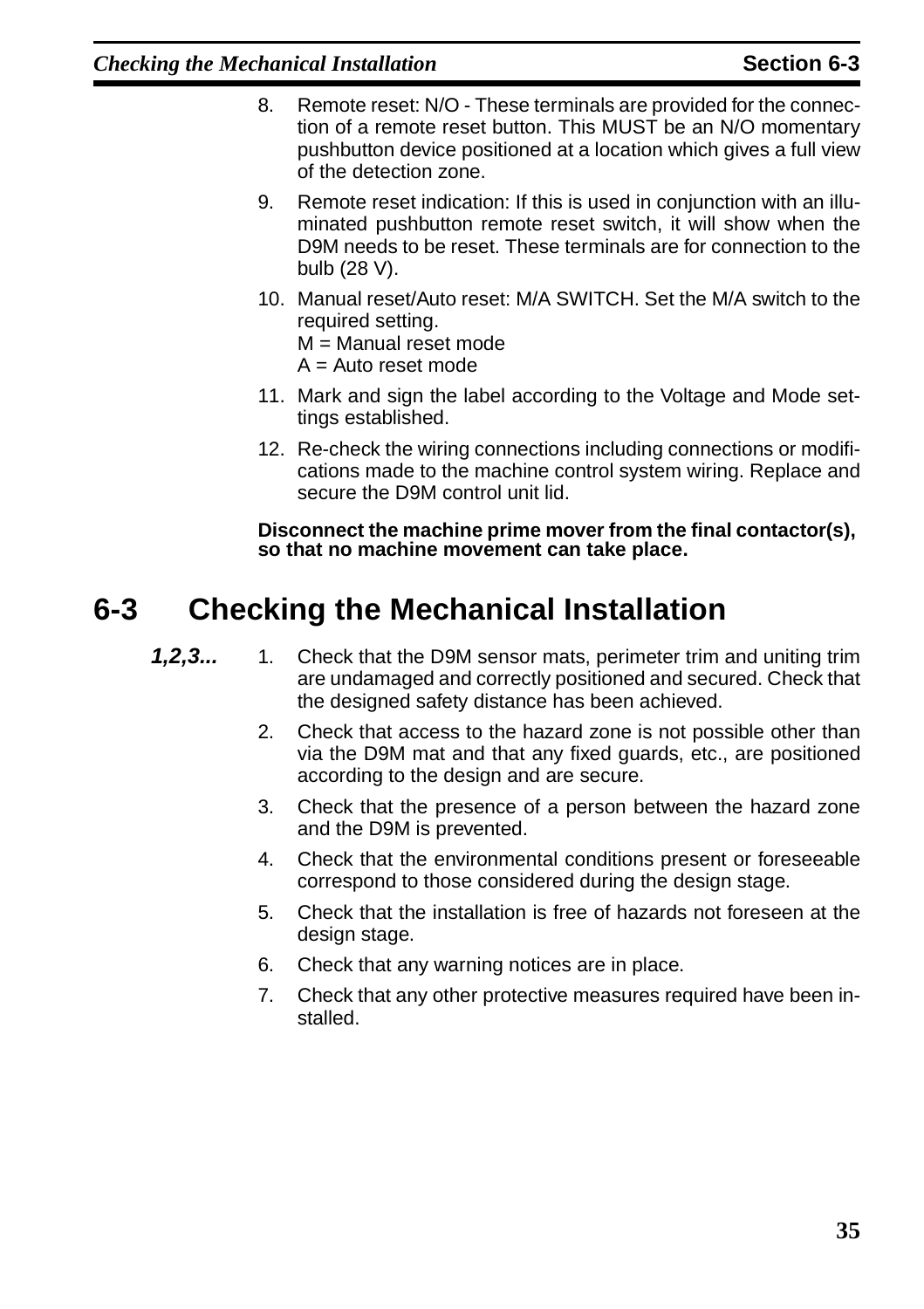- 8. Remote reset: N/O These terminals are provided for the connection of a remote reset button. This MUST be an N/O momentary pushbutton device positioned at a location which gives a full view of the detection zone.
- 9. Remote reset indication: If this is used in conjunction with an illuminated pushbutton remote reset switch, it will show when the D9M needs to be reset. These terminals are for connection to the bulb (28 V).
- 10. Manual reset/Auto reset: M/A SWITCH. Set the M/A switch to the required setting.

M = Manual reset mode

 $A =$  Auto reset mode

- 11. Mark and sign the label according to the Voltage and Mode settings established.
- 12. Re-check the wiring connections including connections or modifications made to the machine control system wiring. Replace and secure the D9M control unit lid.

**Disconnect the machine prime mover from the final contactor(s), so that no machine movement can take place.**

## <span id="page-38-0"></span>**6-3 Checking the Mechanical Installation**

- **1,2,3...** 1. Check that the D9M sensor mats, perimeter trim and uniting trim are undamaged and correctly positioned and secured. Check that the designed safety distance has been achieved.
	- 2. Check that access to the hazard zone is not possible other than via the D9M mat and that any fixed guards, etc., are positioned according to the design and are secure.
	- 3. Check that the presence of a person between the hazard zone and the D9M is prevented.
	- 4. Check that the environmental conditions present or foreseeable correspond to those considered during the design stage.
	- 5. Check that the installation is free of hazards not foreseen at the design stage.
	- 6. Check that any warning notices are in place.
	- 7. Check that any other protective measures required have been installed.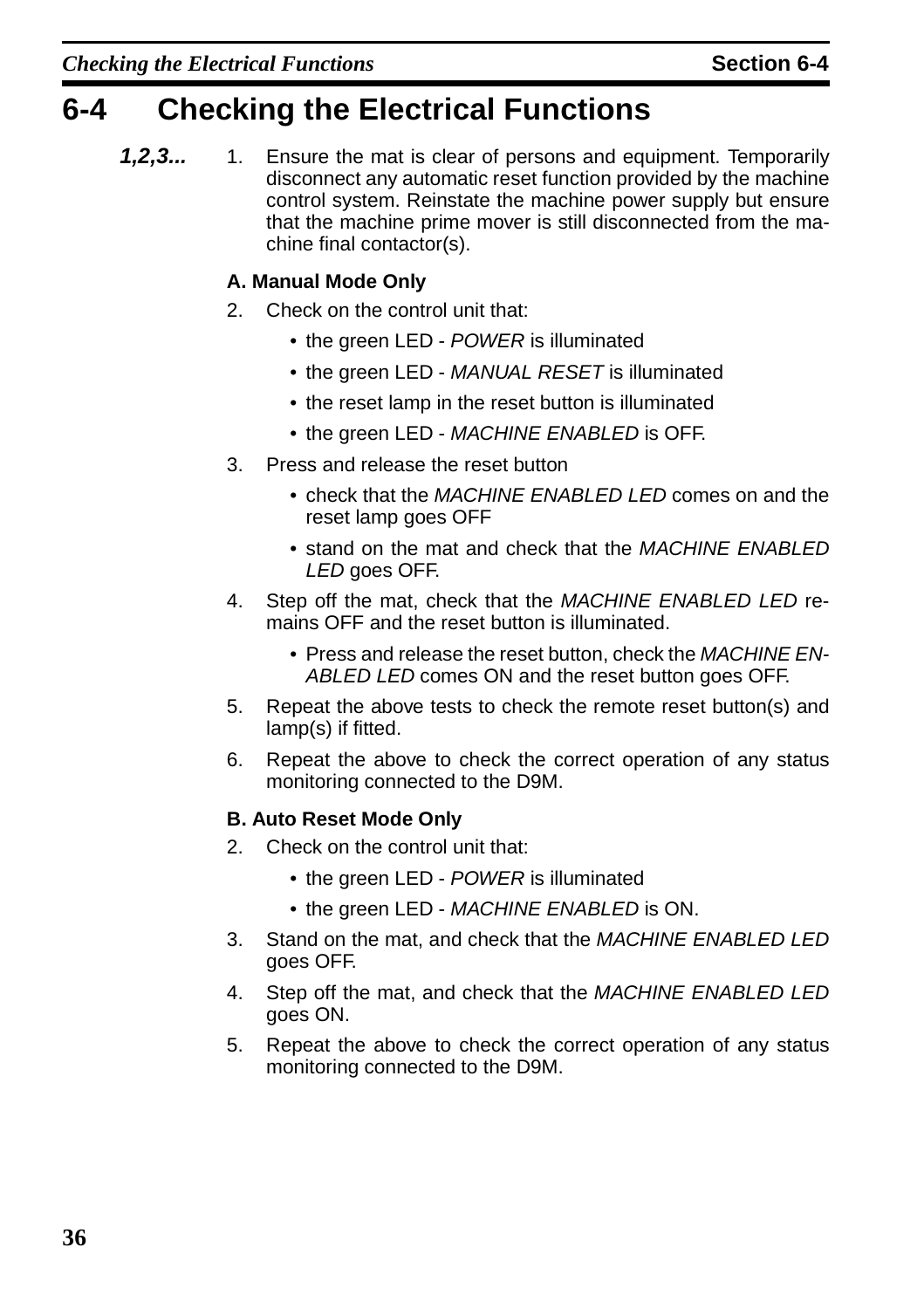## <span id="page-39-0"></span>**6-4 Checking the Electrical Functions**

**1,2,3...** 1. Ensure the mat is clear of persons and equipment. Temporarily disconnect any automatic reset function provided by the machine control system. Reinstate the machine power supply but ensure that the machine prime mover is still disconnected from the machine final contactor(s).

#### **A. Manual Mode Only**

- 2. Check on the control unit that:
	- the green LED POWER is illuminated
	- the green LED MANUAL RESET is illuminated
	- the reset lamp in the reset button is illuminated
	- the green LED MACHINE ENABLED is OFF.
- 3. Press and release the reset button
	- check that the MACHINE ENABLED LED comes on and the reset lamp goes OFF
	- stand on the mat and check that the MACHINE ENABLED LED goes OFF.
- 4. Step off the mat, check that the MACHINE ENABLED LED remains OFF and the reset button is illuminated.
	- Press and release the reset button, check the MACHINE EN-ABLED LED comes ON and the reset button goes OFF.
- 5. Repeat the above tests to check the remote reset button(s) and lamp(s) if fitted.
- 6. Repeat the above to check the correct operation of any status monitoring connected to the D9M.

#### **B. Auto Reset Mode Only**

- 2. Check on the control unit that:
	- the green LED POWER is illuminated
	- the green LED MACHINE ENABLED is ON.
- 3. Stand on the mat, and check that the MACHINE ENABLED LED goes OFF.
- 4. Step off the mat, and check that the MACHINE ENABLED LED goes ON.
- 5. Repeat the above to check the correct operation of any status monitoring connected to the D9M.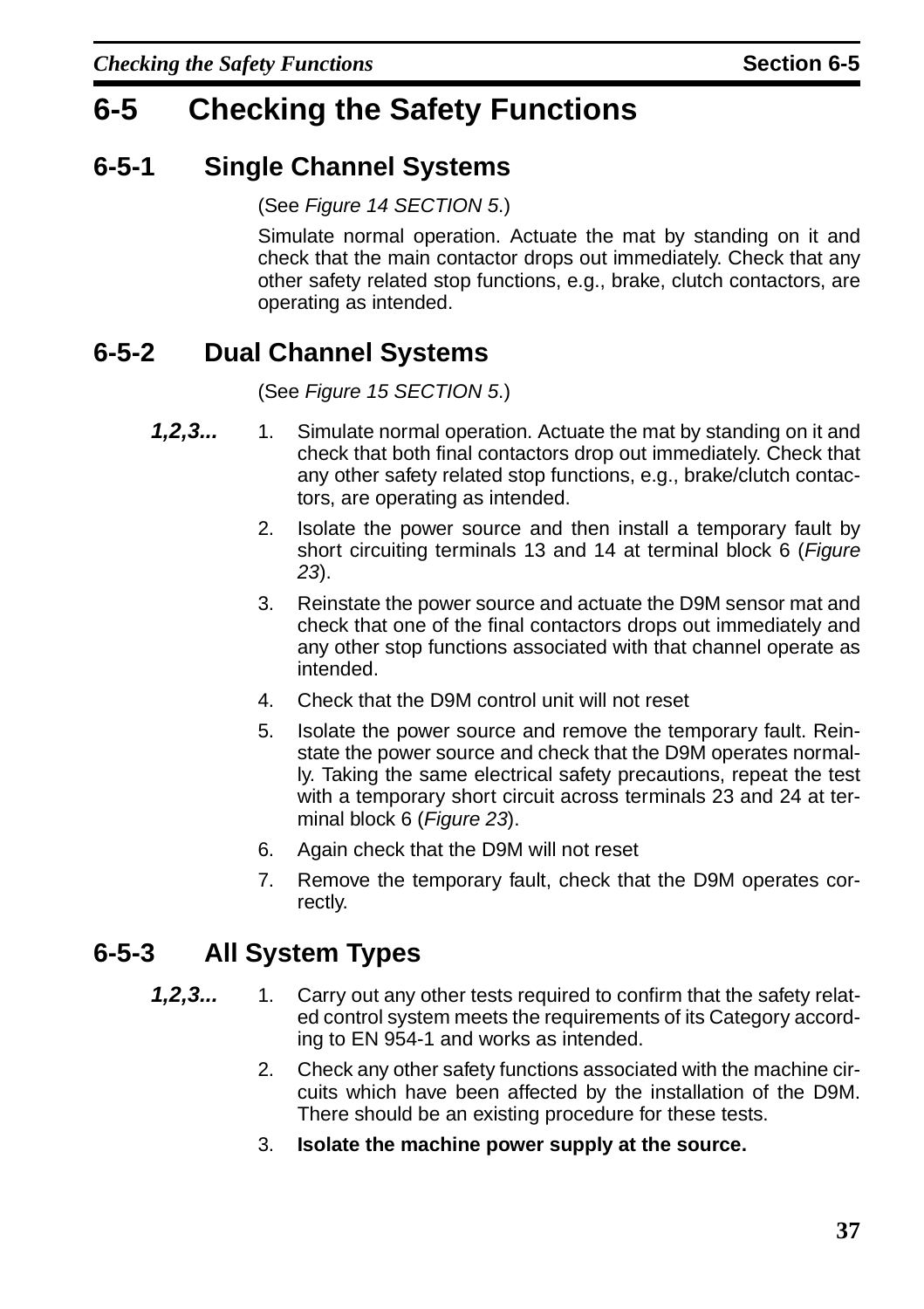## <span id="page-40-0"></span>**6-5 Checking the Safety Functions**

### <span id="page-40-1"></span>**6-5-1 Single Channel Systems**

(See [Figure 14](#page-27-1) [SECTION 5](#page-18-1).)

Simulate normal operation. Actuate the mat by standing on it and check that the main contactor drops out immediately. Check that any other safety related stop functions, e.g., brake, clutch contactors, are operating as intended.

### <span id="page-40-2"></span>**6-5-2 Dual Channel Systems**

(See [Figure 15](#page-28-1) [SECTION 5](#page-18-1).)

- **1,2,3...** 1. Simulate normal operation. Actuate the mat by standing on it and check that both final contactors drop out immediately. Check that any other safety related stop functions, e.g., brake/clutch contactors, are operating as intended.
	- 2. Isolate the power source and then install a temporary fault by short circuiting terminals 13 and 14 at terminal block 6 ([Figure](#page-36-2) [23](#page-36-2)).
	- 3. Reinstate the power source and actuate the D9M sensor mat and check that one of the final contactors drops out immediately and any other stop functions associated with that channel operate as intended.
	- 4. Check that the D9M control unit will not reset
	- 5. Isolate the power source and remove the temporary fault. Reinstate the power source and check that the D9M operates normally. Taking the same electrical safety precautions, repeat the test with a temporary short circuit across terminals 23 and 24 at ter-minal block 6 ([Figure 23](#page-36-2)).
	- 6. Again check that the D9M will not reset
	- 7. Remove the temporary fault, check that the D9M operates correctly.

### <span id="page-40-3"></span>**6-5-3 All System Types**

- **1,2,3...** 1. Carry out any other tests required to confirm that the safety related control system meets the requirements of its Category according to EN 954-1 and works as intended.
	- 2. Check any other safety functions associated with the machine circuits which have been affected by the installation of the D9M. There should be an existing procedure for these tests.
	- 3. **Isolate the machine power supply at the source.**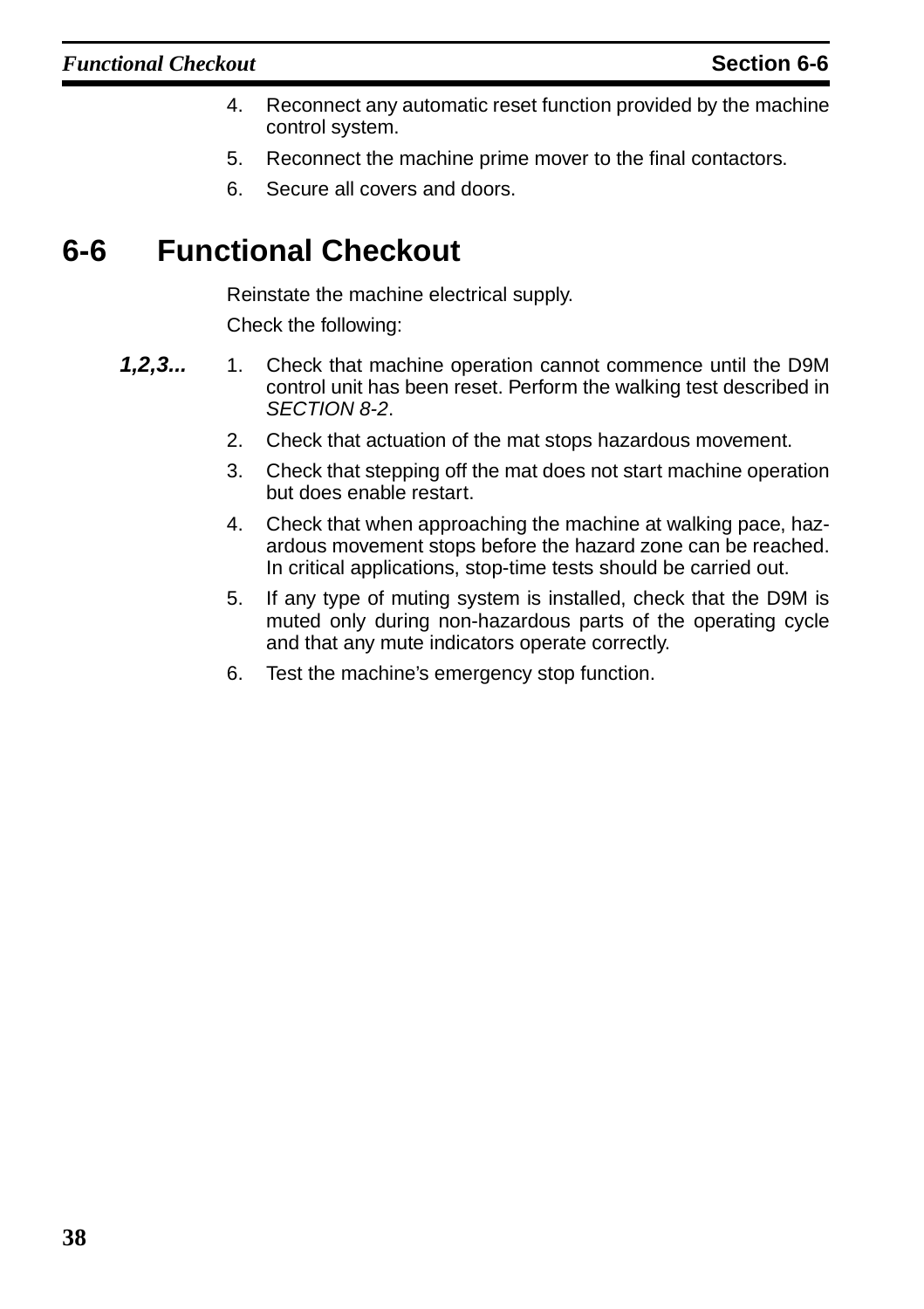- 4. Reconnect any automatic reset function provided by the machine control system.
- 5. Reconnect the machine prime mover to the final contactors.
- 6. Secure all covers and doors.

## <span id="page-41-0"></span>**6-6 Functional Checkout**

Reinstate the machine electrical supply.

Check the following:

- **1,2,3...** 1. Check that machine operation cannot commence until the D9M control unit has been reset. Perform the walking test described in SECTION [8-2](#page-45-2).
	- 2. Check that actuation of the mat stops hazardous movement.
	- 3. Check that stepping off the mat does not start machine operation but does enable restart.
	- 4. Check that when approaching the machine at walking pace, hazardous movement stops before the hazard zone can be reached. In critical applications, stop-time tests should be carried out.
	- 5. If any type of muting system is installed, check that the D9M is muted only during non-hazardous parts of the operating cycle and that any mute indicators operate correctly.
	- 6. Test the machine's emergency stop function.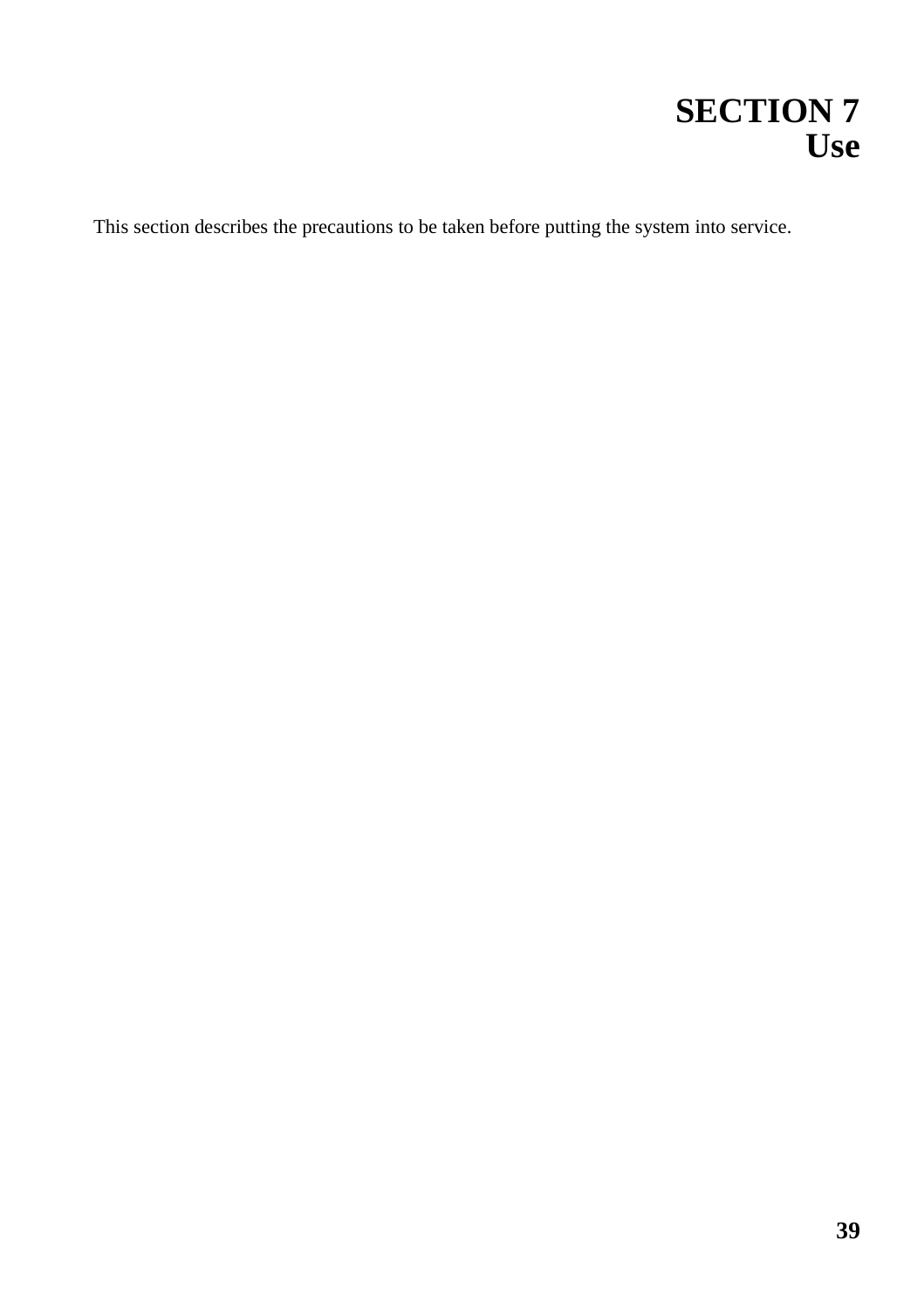# **SECTION 7 Use**

<span id="page-42-0"></span>This section describes the precautions to be taken before putting the system into service.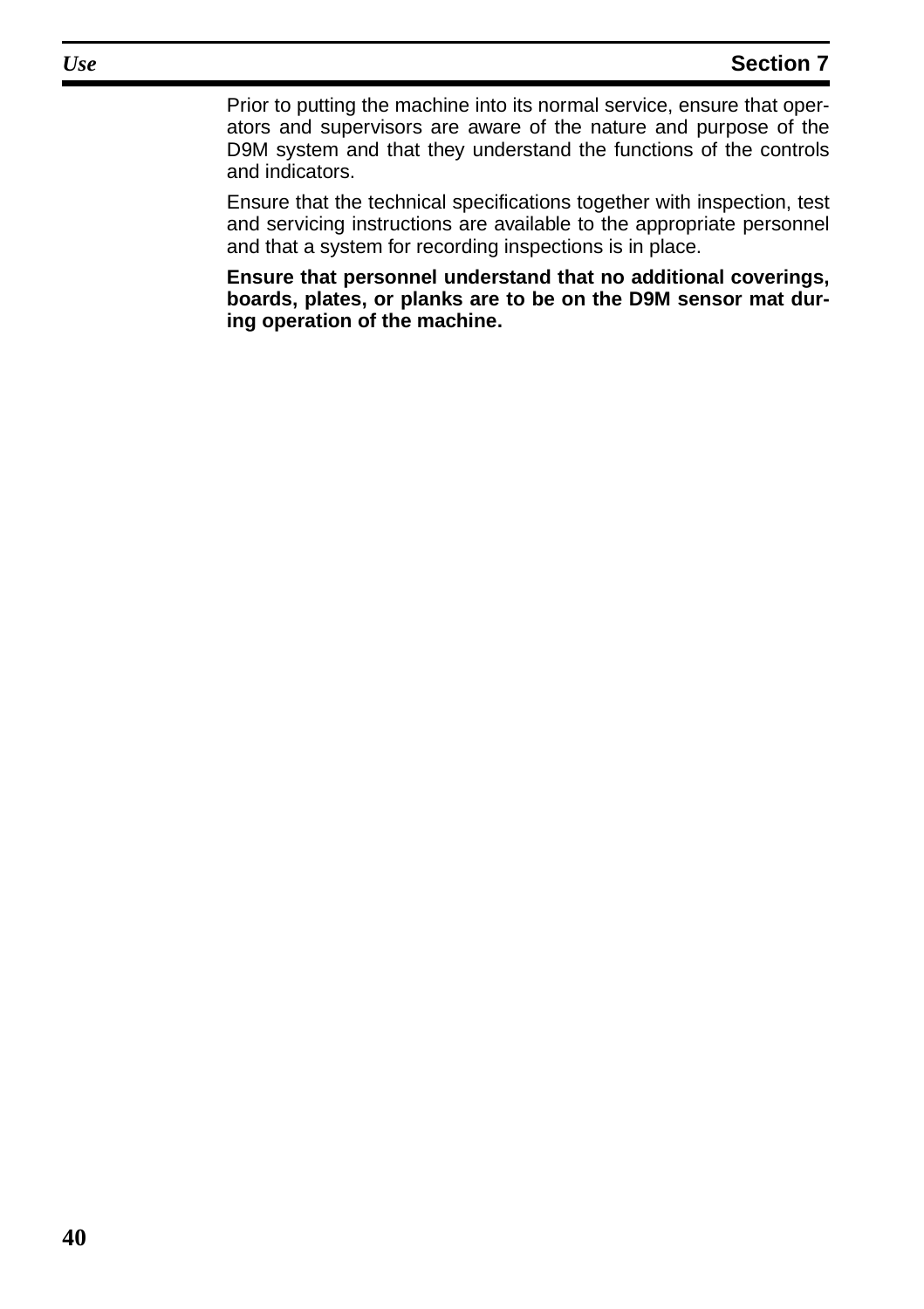Prior to putting the machine into its normal service, ensure that operators and supervisors are aware of the nature and purpose of the D9M system and that they understand the functions of the controls and indicators.

Ensure that the technical specifications together with inspection, test and servicing instructions are available to the appropriate personnel and that a system for recording inspections is in place.

**Ensure that personnel understand that no additional coverings, boards, plates, or planks are to be on the D9M sensor mat during operation of the machine.**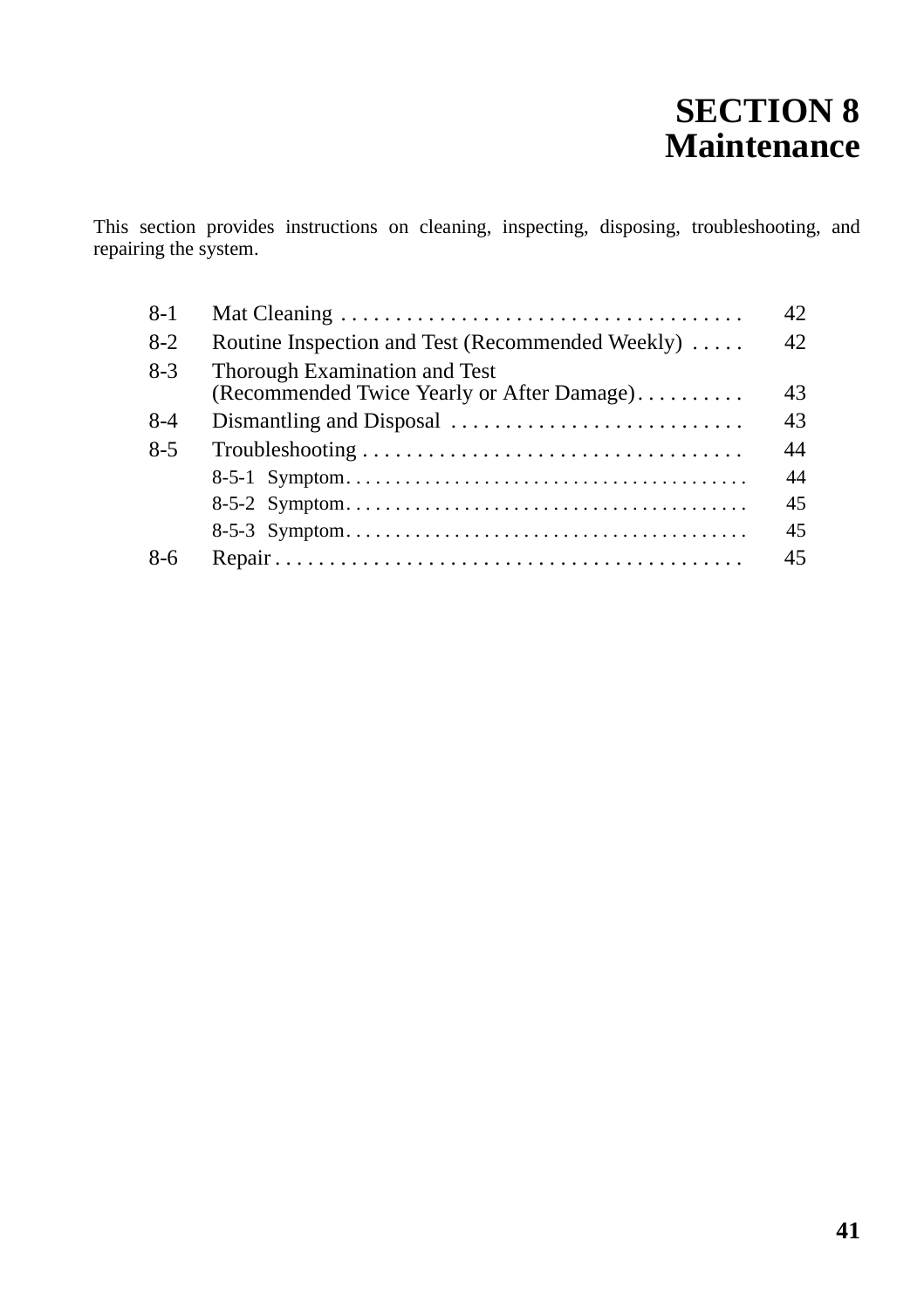# **SECTION 8 Maintenance**

<span id="page-44-0"></span>This section provides instructions on cleaning, inspecting, disposing, troubleshooting, and repairing the system.

| $8-1$   |                                                                             | 42 |
|---------|-----------------------------------------------------------------------------|----|
| $8-2$   | Routine Inspection and Test (Recommended Weekly)                            | 42 |
| $8-3$   | Thorough Examination and Test<br>(Recommended Twice Yearly or After Damage) | 43 |
| $8-4$   |                                                                             | 43 |
| $8 - 5$ |                                                                             | 44 |
|         |                                                                             | 44 |
|         |                                                                             | 45 |
|         |                                                                             | 45 |
| $8-6$   |                                                                             | 45 |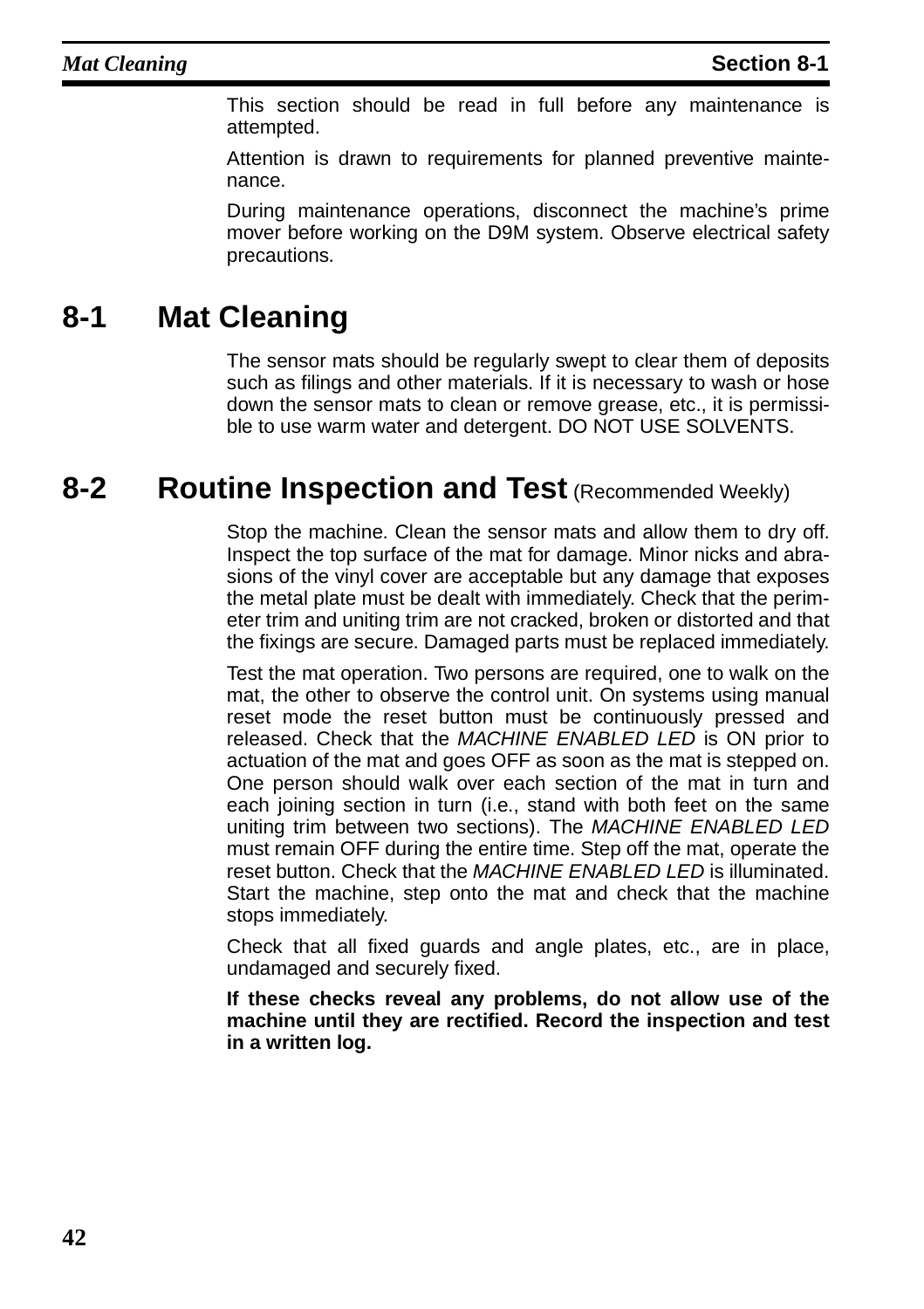This section should be read in full before any maintenance is attempted.

Attention is drawn to requirements for planned preventive maintenance.

During maintenance operations, disconnect the machine's prime mover before working on the D9M system. Observe electrical safety precautions.

## <span id="page-45-0"></span>**8-1 Mat Cleaning**

The sensor mats should be regularly swept to clear them of deposits such as filings and other materials. If it is necessary to wash or hose down the sensor mats to clean or remove grease, etc., it is permissible to use warm water and detergent. DO NOT USE SOLVENTS.

### <span id="page-45-2"></span><span id="page-45-1"></span>**8-2** Routine Inspection and Test (Recommended Weekly)

Stop the machine. Clean the sensor mats and allow them to dry off. Inspect the top surface of the mat for damage. Minor nicks and abrasions of the vinyl cover are acceptable but any damage that exposes the metal plate must be dealt with immediately. Check that the perimeter trim and uniting trim are not cracked, broken or distorted and that the fixings are secure. Damaged parts must be replaced immediately.

Test the mat operation. Two persons are required, one to walk on the mat, the other to observe the control unit. On systems using manual reset mode the reset button must be continuously pressed and released. Check that the MACHINE ENABLED LED is ON prior to actuation of the mat and goes OFF as soon as the mat is stepped on. One person should walk over each section of the mat in turn and each joining section in turn (i.e., stand with both feet on the same uniting trim between two sections). The MACHINE ENABLED LED must remain OFF during the entire time. Step off the mat, operate the reset button. Check that the MACHINE ENABLED LED is illuminated. Start the machine, step onto the mat and check that the machine stops immediately.

Check that all fixed guards and angle plates, etc., are in place, undamaged and securely fixed.

**If these checks reveal any problems, do not allow use of the machine until they are rectified. Record the inspection and test in a written log.**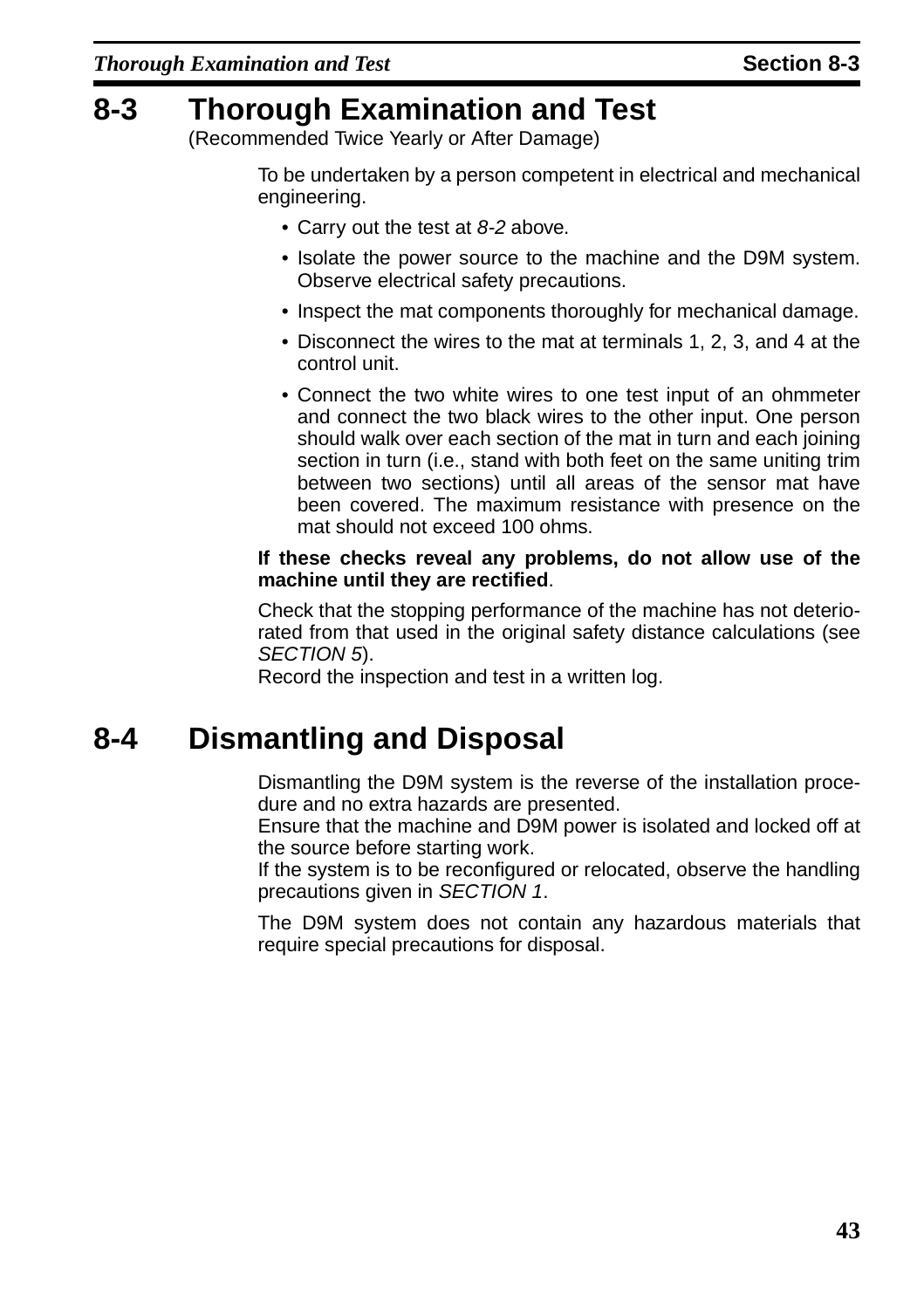## <span id="page-46-3"></span><span id="page-46-2"></span><span id="page-46-1"></span>**8-3 Thorough Examination and Test**

(Recommended Twice Yearly or After Damage)

To be undertaken by a person competent in electrical and mechanical engineering.

- Carry out the test at [8-2](#page-45-1) above.
- Isolate the power source to the machine and the D9M system. Observe electrical safety precautions.
- Inspect the mat components thoroughly for mechanical damage.
- Disconnect the wires to the mat at terminals 1, 2, 3, and 4 at the control unit.
- Connect the two white wires to one test input of an ohmmeter and connect the two black wires to the other input. One person should walk over each section of the mat in turn and each joining section in turn (i.e., stand with both feet on the same uniting trim between two sections) until all areas of the sensor mat have been covered. The maximum resistance with presence on the mat should not exceed 100 ohms.

#### **If these checks reveal any problems, do not allow use of the machine until they are rectified**.

Check that the stopping performance of the machine has not deteriorated from that used in the original safety distance calculations (see [SECTION 5](#page-18-1)).

Record the inspection and test in a written log.

## <span id="page-46-0"></span>**8-4 Dismantling and Disposal**

Dismantling the D9M system is the reverse of the installation procedure and no extra hazards are presented.

Ensure that the machine and D9M power is isolated and locked off at the source before starting work.

If the system is to be reconfigured or relocated, observe the handling precautions given in [SECTION 1](#page-5-1).

The D9M system does not contain any hazardous materials that require special precautions for disposal.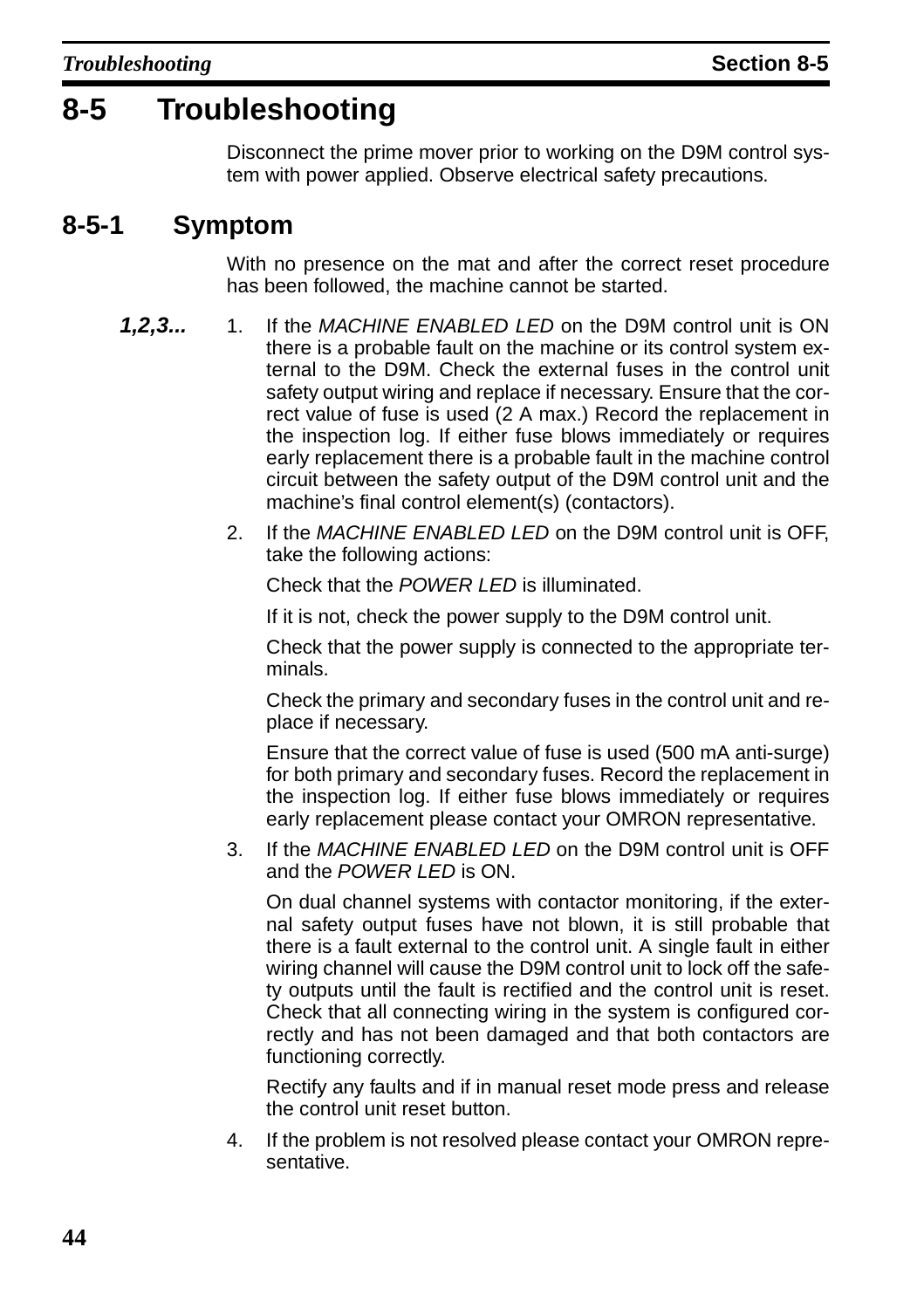## <span id="page-47-0"></span>**8-5 Troubleshooting**

Disconnect the prime mover prior to working on the D9M control system with power applied. Observe electrical safety precautions.

### <span id="page-47-1"></span>**8-5-1 Symptom**

With no presence on the mat and after the correct reset procedure has been followed, the machine cannot be started.

- 1,2,3... 1. If the MACHINE ENABLED LED on the D9M control unit is ON there is a probable fault on the machine or its control system external to the D9M. Check the external fuses in the control unit safety output wiring and replace if necessary. Ensure that the correct value of fuse is used (2 A max.) Record the replacement in the inspection log. If either fuse blows immediately or requires early replacement there is a probable fault in the machine control circuit between the safety output of the D9M control unit and the machine's final control element(s) (contactors).
	- 2. If the MACHINE ENABLED LED on the D9M control unit is OFF, take the following actions:

Check that the POWER LED is illuminated.

If it is not, check the power supply to the D9M control unit.

Check that the power supply is connected to the appropriate terminals.

Check the primary and secondary fuses in the control unit and replace if necessary.

Ensure that the correct value of fuse is used (500 mA anti-surge) for both primary and secondary fuses. Record the replacement in the inspection log. If either fuse blows immediately or requires early replacement please contact your OMRON representative.

3. If the MACHINE ENABLED LED on the D9M control unit is OFF and the POWER LED is ON.

On dual channel systems with contactor monitoring, if the external safety output fuses have not blown, it is still probable that there is a fault external to the control unit. A single fault in either wiring channel will cause the D9M control unit to lock off the safety outputs until the fault is rectified and the control unit is reset. Check that all connecting wiring in the system is configured correctly and has not been damaged and that both contactors are functioning correctly.

Rectify any faults and if in manual reset mode press and release the control unit reset button.

4. If the problem is not resolved please contact your OMRON representative.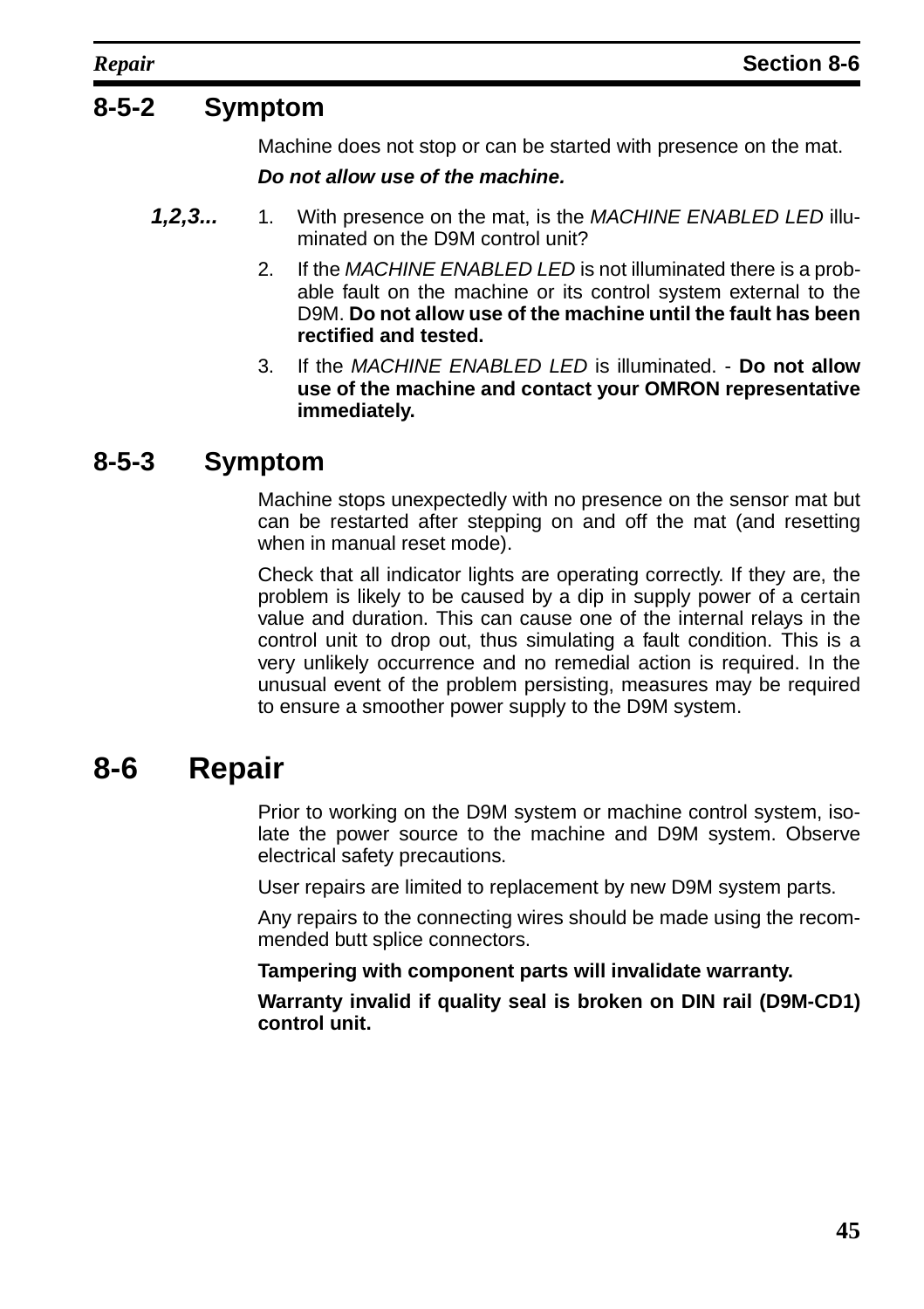### <span id="page-48-1"></span>**8-5-2 Symptom**

Machine does not stop or can be started with presence on the mat.

#### **Do not allow use of the machine.**

- **1,2,3...** 1. With presence on the mat, is the MACHINE ENABLED LED illuminated on the D9M control unit?
	- 2. If the MACHINE ENABLED LED is not illuminated there is a probable fault on the machine or its control system external to the D9M. **Do not allow use of the machine until the fault has been rectified and tested.**
	- 3. If the MACHINE ENABLED LED is illuminated. **Do not allow use of the machine and contact your OMRON representative immediately.**

### <span id="page-48-2"></span>**8-5-3 Symptom**

Machine stops unexpectedly with no presence on the sensor mat but can be restarted after stepping on and off the mat (and resetting when in manual reset mode).

Check that all indicator lights are operating correctly. If they are, the problem is likely to be caused by a dip in supply power of a certain value and duration. This can cause one of the internal relays in the control unit to drop out, thus simulating a fault condition. This is a very unlikely occurrence and no remedial action is required. In the unusual event of the problem persisting, measures may be required to ensure a smoother power supply to the D9M system.

## <span id="page-48-0"></span>**8-6 Repair**

Prior to working on the D9M system or machine control system, isolate the power source to the machine and D9M system. Observe electrical safety precautions.

User repairs are limited to replacement by new D9M system parts.

Any repairs to the connecting wires should be made using the recommended butt splice connectors.

**Tampering with component parts will invalidate warranty.**

**Warranty invalid if quality seal is broken on DIN rail (D9M-CD1) control unit.**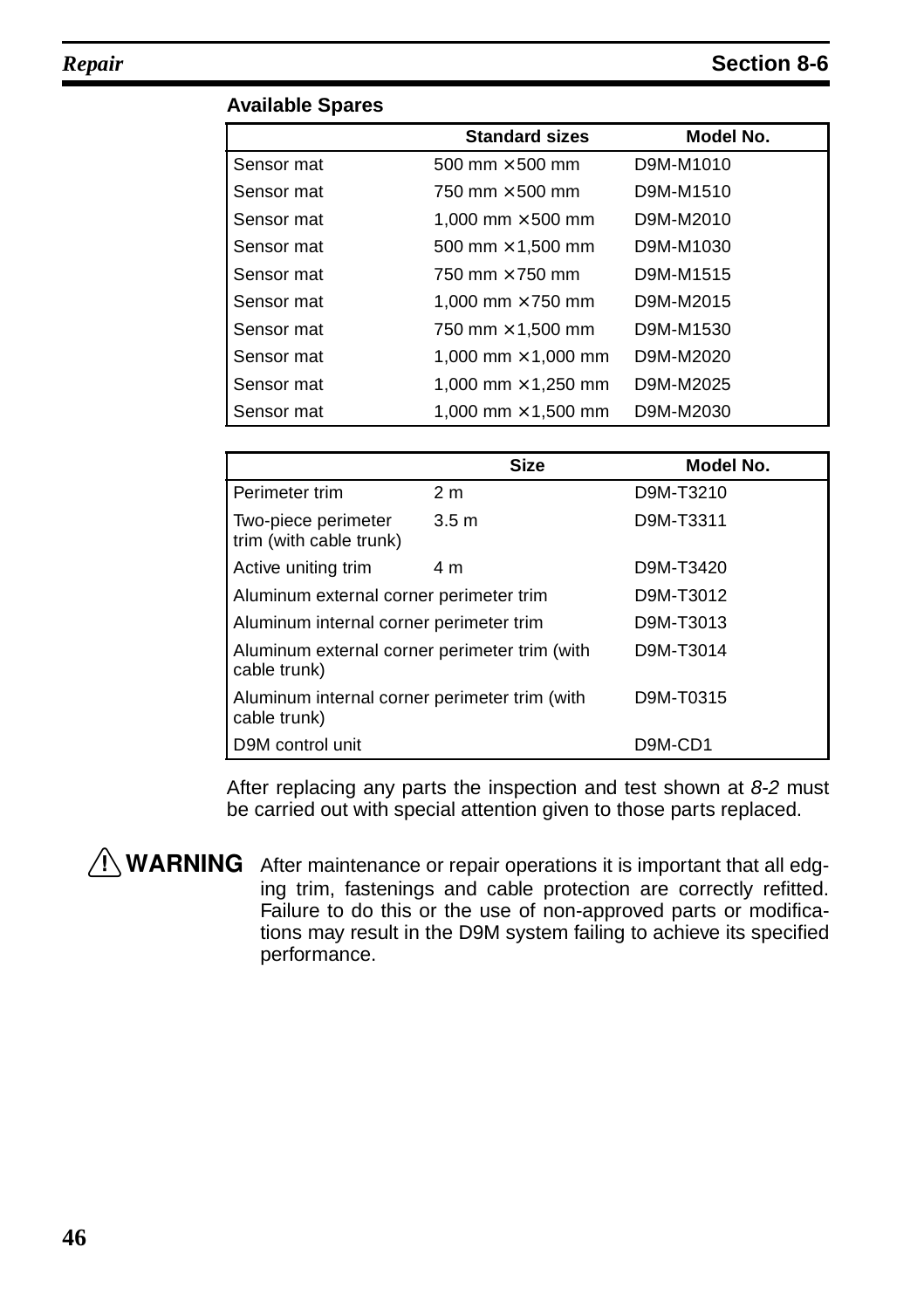|            | <b>Standard sizes</b>      | Model No. |
|------------|----------------------------|-----------|
| Sensor mat | 500 mm $\times$ 500 mm     | D9M-M1010 |
| Sensor mat | 750 mm $\times$ 500 mm     | D9M-M1510 |
| Sensor mat | 1,000 mm $\times$ 500 mm   | D9M-M2010 |
| Sensor mat | 500 mm $\times$ 1,500 mm   | D9M-M1030 |
| Sensor mat | 750 mm $\times$ 750 mm     | D9M-M1515 |
| Sensor mat | 1.000 mm $\times$ 750 mm   | D9M-M2015 |
| Sensor mat | 750 mm $\times$ 1,500 mm   | D9M-M1530 |
| Sensor mat | 1,000 mm $\times$ 1,000 mm | D9M-M2020 |
| Sensor mat | 1,000 mm $\times$ 1,250 mm | D9M-M2025 |
| Sensor mat | 1.000 mm $\times$ 1.500 mm | D9M-M2030 |

#### **Available Spares**

|                                                               | <b>Size</b>      | Model No. |
|---------------------------------------------------------------|------------------|-----------|
| Perimeter trim                                                | 2 <sub>m</sub>   | D9M-T3210 |
| Two-piece perimeter<br>trim (with cable trunk)                | 3.5 <sub>m</sub> | D9M-T3311 |
| Active uniting trim                                           | 4 m              | D9M-T3420 |
| Aluminum external corner perimeter trim                       |                  | D9M-T3012 |
| Aluminum internal corner perimeter trim                       |                  | D9M-T3013 |
| Aluminum external corner perimeter trim (with<br>cable trunk) |                  | D9M-T3014 |
| Aluminum internal corner perimeter trim (with<br>cable trunk) |                  | D9M-T0315 |
| D9M control unit                                              |                  | D9M-CD1   |

After replacing any parts the inspection and test shown at [8-2](#page-45-1) must be carried out with special attention given to those parts replaced.

 $\sqrt{N}$  WARNING After maintenance or repair operations it is important that all edging trim, fastenings and cable protection are correctly refitted. Failure to do this or the use of non-approved parts or modifications may result in the D9M system failing to achieve its specified performance.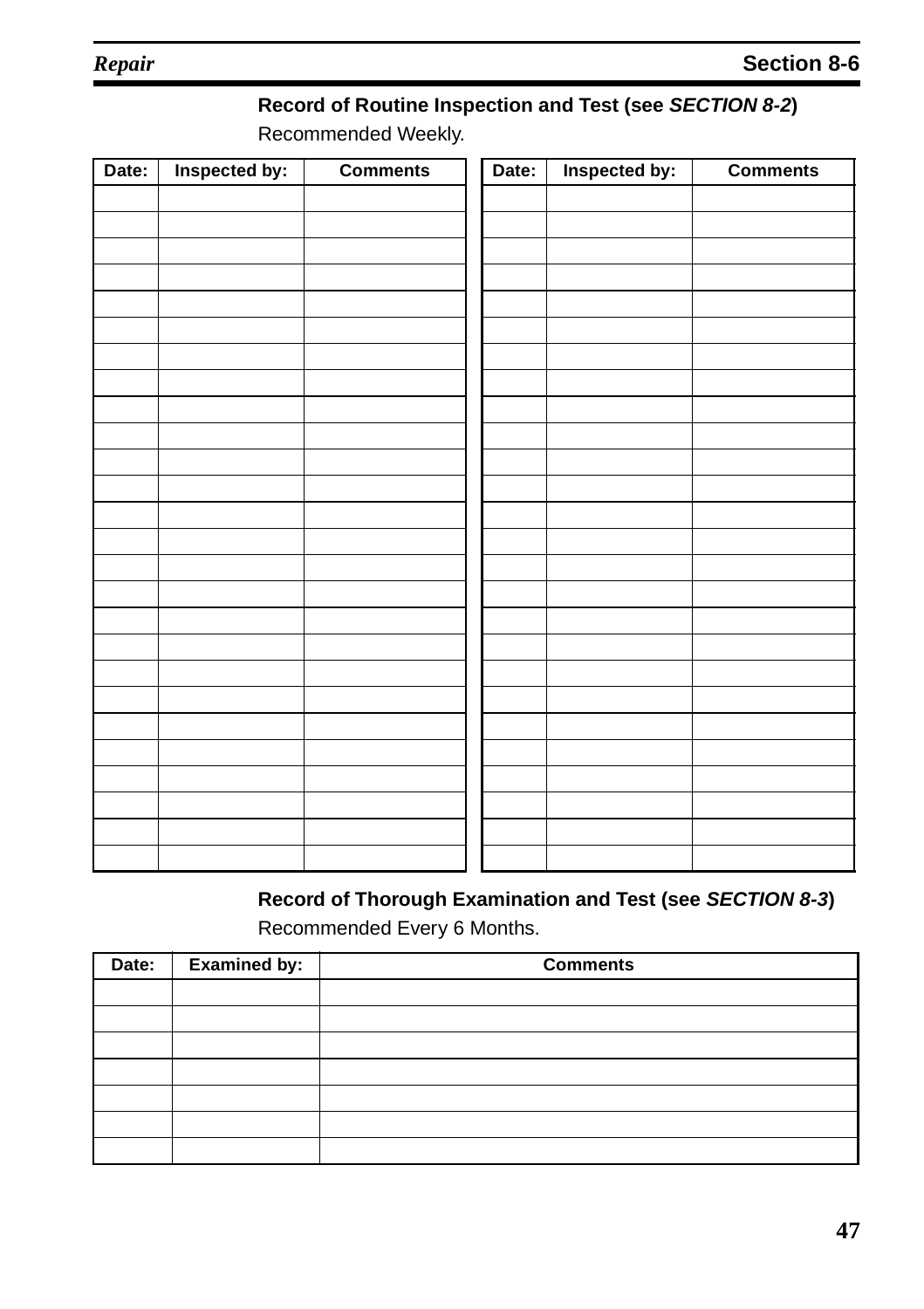### **Record of Routine Inspection and Test (see SECTION [8-2](#page-45-1))**

Recommended Weekly.

| Date: | Inspected by: | <b>Comments</b> | Date: | Inspected by: | <b>Comments</b> |
|-------|---------------|-----------------|-------|---------------|-----------------|
|       |               |                 |       |               |                 |
|       |               |                 |       |               |                 |
|       |               |                 |       |               |                 |
|       |               |                 |       |               |                 |
|       |               |                 |       |               |                 |
|       |               |                 |       |               |                 |
|       |               |                 |       |               |                 |
|       |               |                 |       |               |                 |
|       |               |                 |       |               |                 |
|       |               |                 |       |               |                 |
|       |               |                 |       |               |                 |
|       |               |                 |       |               |                 |
|       |               |                 |       |               |                 |
|       |               |                 |       |               |                 |
|       |               |                 |       |               |                 |
|       |               |                 |       |               |                 |
|       |               |                 |       |               |                 |
|       |               |                 |       |               |                 |
|       |               |                 |       |               |                 |
|       |               |                 |       |               |                 |
|       |               |                 |       |               |                 |
|       |               |                 |       |               |                 |
|       |               |                 |       |               |                 |
|       |               |                 |       |               |                 |
|       |               |                 |       |               |                 |

#### **Record of Thorough Examination and Test (see SECTION [8-3](#page-46-3))** Recommended Every 6 Months.

| Date: | <b>Examined by:</b> | <b>Comments</b> |  |  |
|-------|---------------------|-----------------|--|--|
|       |                     |                 |  |  |
|       |                     |                 |  |  |
|       |                     |                 |  |  |
|       |                     |                 |  |  |
|       |                     |                 |  |  |
|       |                     |                 |  |  |
|       |                     |                 |  |  |